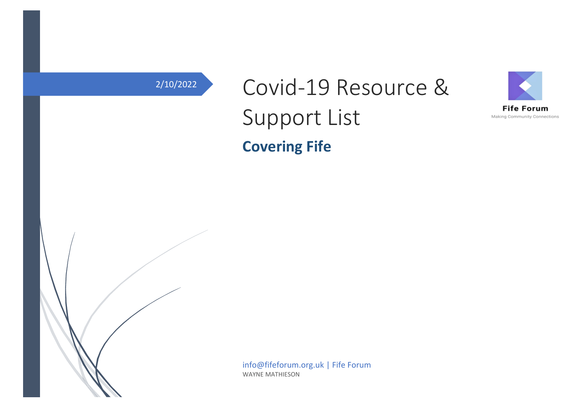# 2/10/2022 Covid-19 Resource & Support List **Covering Fife**





info@fifeforum.org.uk | Fife Forum WAYNE MATHIESON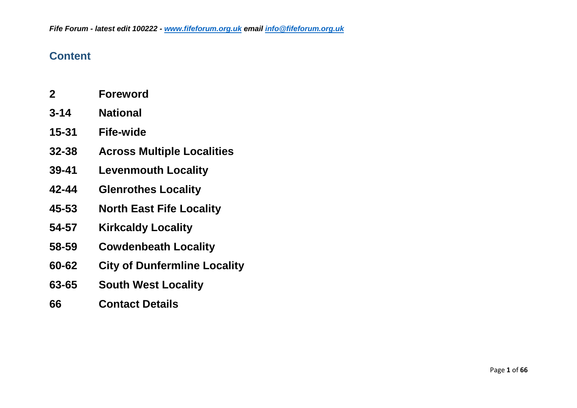#### **Content**

- **2 Foreword**
- **3-14 National**
- **15-31 Fife-wide**
- **32-38 Across Multiple Localities**
- **39-41 Levenmouth Locality**
- **42-44 Glenrothes Locality**
- **45-53 North East Fife Locality**
- **54-57 Kirkcaldy Locality**
- **58-59 Cowdenbeath Locality**
- **60-62 City of Dunfermline Locality**
- **63-65 South West Locality**
- **66 Contact Details**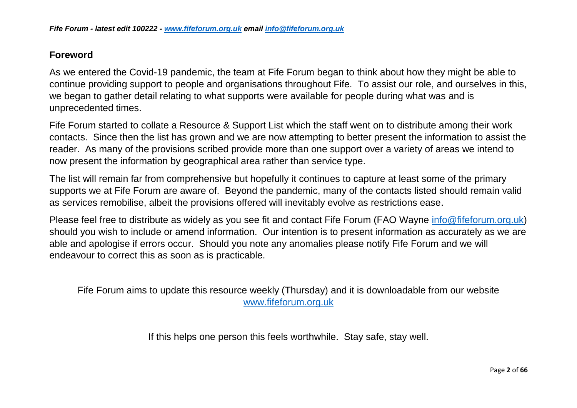#### **Foreword**

As we entered the Covid-19 pandemic, the team at Fife Forum began to think about how they might be able to continue providing support to people and organisations throughout Fife. To assist our role, and ourselves in this, we began to gather detail relating to what supports were available for people during what was and is unprecedented times.

Fife Forum started to collate a Resource & Support List which the staff went on to distribute among their work contacts. Since then the list has grown and we are now attempting to better present the information to assist the reader. As many of the provisions scribed provide more than one support over a variety of areas we intend to now present the information by geographical area rather than service type.

The list will remain far from comprehensive but hopefully it continues to capture at least some of the primary supports we at Fife Forum are aware of. Beyond the pandemic, many of the contacts listed should remain valid as services remobilise, albeit the provisions offered will inevitably evolve as restrictions ease.

Please feel free to distribute as widely as you see fit and contact Fife Forum (FAO Wayne [info@fifeforum.org.uk\)](mailto:info@fifefourm.org.uk) should you wish to include or amend information. Our intention is to present information as accurately as we are able and apologise if errors occur. Should you note any anomalies please notify Fife Forum and we will endeavour to correct this as soon as is practicable.

Fife Forum aims to update this resource weekly (Thursday) and it is downloadable from our website [www.fifeforum.org.uk](http://www.fifeforum.org.uk/)

If this helps one person this feels worthwhile. Stay safe, stay well.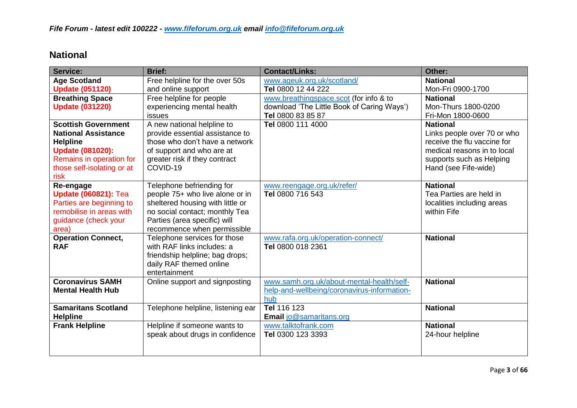#### **National**

| <b>Service:</b>             | <b>Brief:</b>                     | <b>Contact/Links:</b>                       | Other:                      |
|-----------------------------|-----------------------------------|---------------------------------------------|-----------------------------|
| <b>Age Scotland</b>         | Free helpline for the over 50s    | www.ageuk.org.uk/scotland/                  | <b>National</b>             |
| <b>Update (051120)</b>      | and online support                | Tel 0800 12 44 222                          | Mon-Fri 0900-1700           |
| <b>Breathing Space</b>      | Free helpline for people          | www.breathingspace.scot (for info & to      | <b>National</b>             |
| <b>Update (031220)</b>      | experiencing mental health        | download 'The Little Book of Caring Ways')  | Mon-Thurs 1800-0200         |
|                             | issues                            | Tel 0800 83 85 87                           | Fri-Mon 1800-0600           |
| <b>Scottish Government</b>  | A new national helpline to        | Tel 0800 111 4000                           | <b>National</b>             |
| <b>National Assistance</b>  | provide essential assistance to   |                                             | Links people over 70 or who |
| <b>Helpline</b>             | those who don't have a network    |                                             | receive the flu vaccine for |
| <b>Update (081020):</b>     | of support and who are at         |                                             | medical reasons in to local |
| Remains in operation for    | greater risk if they contract     |                                             | supports such as Helping    |
| those self-isolating or at  | COVID-19                          |                                             | Hand (see Fife-wide)        |
| risk                        |                                   |                                             |                             |
| Re-engage                   | Telephone befriending for         | www.reengage.org.uk/refer/                  | <b>National</b>             |
| <b>Update (060821): Tea</b> | people 75+ who live alone or in   | Tel 0800 716 543                            | Tea Parties are held in     |
| Parties are beginning to    | sheltered housing with little or  |                                             | localities including areas  |
| remobilise in areas with    | no social contact; monthly Tea    |                                             | within Fife                 |
| guidance (check your        | Parties (area specific) will      |                                             |                             |
| area)                       | recommence when permissible       |                                             |                             |
| <b>Operation Connect,</b>   | Telephone services for those      | www.rafa.org.uk/operation-connect/          | <b>National</b>             |
| <b>RAF</b>                  | with RAF links includes: a        | Tel 0800 018 2361                           |                             |
|                             | friendship helpline; bag drops;   |                                             |                             |
|                             | daily RAF themed online           |                                             |                             |
|                             | entertainment                     |                                             |                             |
| <b>Coronavirus SAMH</b>     | Online support and signposting    | www.samh.org.uk/about-mental-health/self-   | <b>National</b>             |
| <b>Mental Health Hub</b>    |                                   | help-and-wellbeing/coronavirus-information- |                             |
|                             |                                   | hub                                         |                             |
| <b>Samaritans Scotland</b>  | Telephone helpline, listening ear | Tel 116 123                                 | <b>National</b>             |
| <b>Helpline</b>             |                                   | <b>Email jo@samaritans.org</b>              |                             |
| <b>Frank Helpline</b>       | Helpline if someone wants to      | www.talktofrank.com                         | <b>National</b>             |
|                             | speak about drugs in confidence   | Tel 0300 123 3393                           | 24-hour helpline            |
|                             |                                   |                                             |                             |
|                             |                                   |                                             |                             |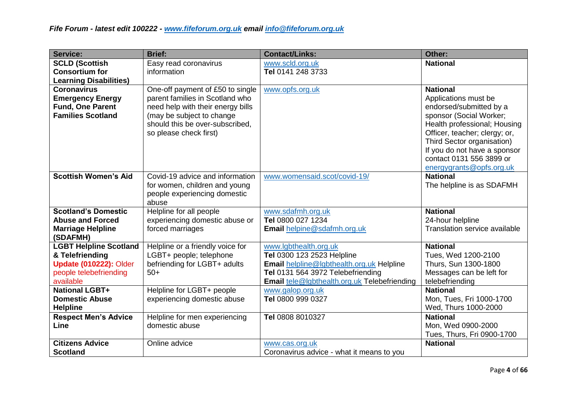| <b>Service:</b>                                                                               | <b>Brief:</b>                                                                                                                                                                                      | <b>Contact/Links:</b>                               | Other:                                                                                                                                                                                                                                                   |
|-----------------------------------------------------------------------------------------------|----------------------------------------------------------------------------------------------------------------------------------------------------------------------------------------------------|-----------------------------------------------------|----------------------------------------------------------------------------------------------------------------------------------------------------------------------------------------------------------------------------------------------------------|
| <b>SCLD (Scottish</b>                                                                         | Easy read coronavirus                                                                                                                                                                              | www.scld.org.uk                                     | <b>National</b>                                                                                                                                                                                                                                          |
| <b>Consortium for</b>                                                                         | information                                                                                                                                                                                        | Tel 0141 248 3733                                   |                                                                                                                                                                                                                                                          |
| <b>Learning Disabilities)</b>                                                                 |                                                                                                                                                                                                    |                                                     |                                                                                                                                                                                                                                                          |
| <b>Coronavirus</b><br><b>Emergency Energy</b><br>Fund, One Parent<br><b>Families Scotland</b> | One-off payment of £50 to single<br>parent families in Scotland who<br>need help with their energy bills<br>(may be subject to change<br>should this be over-subscribed,<br>so please check first) | www.opfs.org.uk                                     | <b>National</b><br>Applications must be<br>endorsed/submitted by a<br>sponsor (Social Worker;<br>Health professional; Housing<br>Officer, teacher; clergy; or,<br>Third Sector organisation)<br>If you do not have a sponsor<br>contact 0131 556 3899 or |
| <b>Scottish Women's Aid</b>                                                                   | Covid-19 advice and information                                                                                                                                                                    | www.womensaid.scot/covid-19/                        | energygrants@opfs.org.uk<br><b>National</b>                                                                                                                                                                                                              |
|                                                                                               | for women, children and young<br>people experiencing domestic<br>abuse                                                                                                                             |                                                     | The helpline is as SDAFMH                                                                                                                                                                                                                                |
| <b>Scotland's Domestic</b>                                                                    | Helpline for all people                                                                                                                                                                            | www.sdafmh.org.uk                                   | <b>National</b>                                                                                                                                                                                                                                          |
| <b>Abuse and Forced</b>                                                                       | experiencing domestic abuse or                                                                                                                                                                     | Tel 0800 027 1234                                   | 24-hour helpline                                                                                                                                                                                                                                         |
| <b>Marriage Helpline</b><br>(SDAFMH)                                                          | forced marriages                                                                                                                                                                                   | Email helpine@sdafmh.org.uk                         | Translation service available                                                                                                                                                                                                                            |
| <b>LGBT Helpline Scotland</b>                                                                 | Helpline or a friendly voice for                                                                                                                                                                   | www.lgbthealth.org.uk                               | <b>National</b>                                                                                                                                                                                                                                          |
| & Telefriending                                                                               | LGBT+ people; telephone                                                                                                                                                                            | Tel 0300 123 2523 Helpline                          | Tues, Wed 1200-2100                                                                                                                                                                                                                                      |
| <b>Update (010222): Older</b>                                                                 | befriending for LGBT+ adults                                                                                                                                                                       | Email helpline@lgbthealth.org.uk Helpline           | Thurs, Sun 1300-1800                                                                                                                                                                                                                                     |
| people telebefriending                                                                        | $50+$                                                                                                                                                                                              | Tel 0131 564 3972 Telebefriending                   | Messages can be left for                                                                                                                                                                                                                                 |
| available                                                                                     |                                                                                                                                                                                                    | <b>Email</b> tele@lgbthealth.org.uk Telebefriending | telebefriending                                                                                                                                                                                                                                          |
| <b>National LGBT+</b>                                                                         | Helpline for LGBT+ people                                                                                                                                                                          | www.galop.org.uk                                    | <b>National</b>                                                                                                                                                                                                                                          |
| <b>Domestic Abuse</b>                                                                         | experiencing domestic abuse                                                                                                                                                                        | Tel 0800 999 0327                                   | Mon, Tues, Fri 1000-1700                                                                                                                                                                                                                                 |
| <b>Helpline</b>                                                                               |                                                                                                                                                                                                    | Tel 0808 8010327                                    | Wed, Thurs 1000-2000<br><b>National</b>                                                                                                                                                                                                                  |
| <b>Respect Men's Advice</b><br>Line                                                           | Helpline for men experiencing<br>domestic abuse                                                                                                                                                    |                                                     | Mon, Wed 0900-2000                                                                                                                                                                                                                                       |
|                                                                                               |                                                                                                                                                                                                    |                                                     | Tues, Thurs, Fri 0900-1700                                                                                                                                                                                                                               |
| <b>Citizens Advice</b>                                                                        | Online advice                                                                                                                                                                                      | www.cas.org.uk                                      | <b>National</b>                                                                                                                                                                                                                                          |
| <b>Scotland</b>                                                                               |                                                                                                                                                                                                    | Coronavirus advice - what it means to you           |                                                                                                                                                                                                                                                          |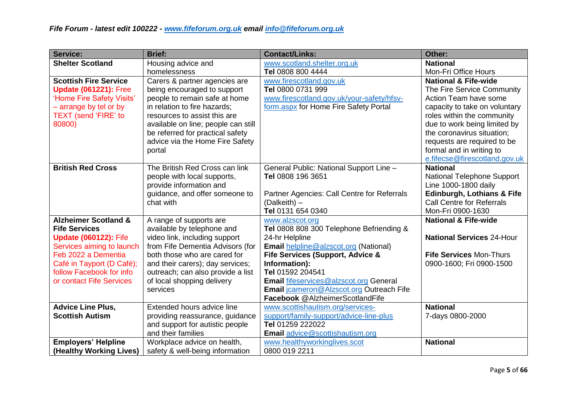| <b>Service:</b>                 | <b>Brief:</b>                       | <b>Contact/Links:</b>                        | Other:                                |
|---------------------------------|-------------------------------------|----------------------------------------------|---------------------------------------|
| <b>Shelter Scotland</b>         | Housing advice and                  | www.scotland.shelter.org.uk                  | <b>National</b>                       |
|                                 | homelessness                        | Tel 0808 800 4444                            | Mon-Fri Office Hours                  |
| <b>Scottish Fire Service</b>    | Carers & partner agencies are       | www.firescotland.gov.uk                      | <b>National &amp; Fife-wide</b>       |
| <b>Update (061221): Free</b>    | being encouraged to support         | Tel 0800 0731 999                            | The Fire Service Community            |
| 'Home Fire Safety Visits'       | people to remain safe at home       | www.firescotland.gov.uk/your-safety/hfsv-    | Action Team have some                 |
| - arrange by tel or by          | in relation to fire hazards;        | form.aspx for Home Fire Safety Portal        | capacity to take on voluntary         |
| <b>TEXT</b> (send 'FIRE' to     | resources to assist this are        |                                              | roles within the community            |
| 80800)                          | available on line; people can still |                                              | due to work being limited by          |
|                                 | be referred for practical safety    |                                              | the coronavirus situation;            |
|                                 | advice via the Home Fire Safety     |                                              | requests are required to be           |
|                                 | portal                              |                                              | formal and in writing to              |
|                                 |                                     |                                              | e.fifecse@firescotland.gov.uk         |
| <b>British Red Cross</b>        | The British Red Cross can link      | General Public: National Support Line -      | <b>National</b>                       |
|                                 | people with local supports,         | Tel 0808 196 3651                            | National Telephone Support            |
|                                 | provide information and             |                                              | Line 1000-1800 daily                  |
|                                 | guidance, and offer someone to      | Partner Agencies: Call Centre for Referrals  | <b>Edinburgh, Lothians &amp; Fife</b> |
|                                 | chat with                           | (Dalkeith) -                                 | <b>Call Centre for Referrals</b>      |
|                                 |                                     | Tel 0131 654 0340                            | Mon-Fri 0900-1630                     |
| <b>Alzheimer Scotland &amp;</b> | A range of supports are             | www.alzscot.org                              | <b>National &amp; Fife-wide</b>       |
| <b>Fife Services</b>            | available by telephone and          | Tel 0808 808 300 Telephone Befriending &     |                                       |
| <b>Update (060122): Fife</b>    | video link, including support       | 24-hr Helpline                               | <b>National Services 24-Hour</b>      |
| Services aiming to launch       | from Fife Dementia Advisors (for    | <b>Email helpline@alzscot.org (National)</b> |                                       |
| Feb 2022 a Dementia             | both those who are cared for        | Fife Services (Support, Advice &             | Fife Services Mon-Thurs               |
| Café in Tayport (D Café);       | and their carers); day services;    | Information):                                | 0900-1600; Fri 0900-1500              |
| follow Facebook for info        | outreach; can also provide a list   | Tel 01592 204541                             |                                       |
| or contact Fife Services        | of local shopping delivery          | Email fifeservices@alzscot.org General       |                                       |
|                                 | services                            | Email jcameron@Alzscot.org Outreach Fife     |                                       |
|                                 |                                     | Facebook @AlzheimerScotlandFife              |                                       |
| <b>Advice Line Plus,</b>        | Extended hours advice line          | www.scottishautism.org/services-             | <b>National</b>                       |
| <b>Scottish Autism</b>          | providing reassurance, guidance     | support/family-support/advice-line-plus      | 7-days 0800-2000                      |
|                                 | and support for autistic people     | Tel 01259 222022                             |                                       |
|                                 | and their families                  | Email advice@scottishautism.org              |                                       |
| <b>Employers' Helpline</b>      | Workplace advice on health,         | www.healthyworkinglives.scot                 | <b>National</b>                       |
| (Healthy Working Lives)         | safety & well-being information     | 0800 019 2211                                |                                       |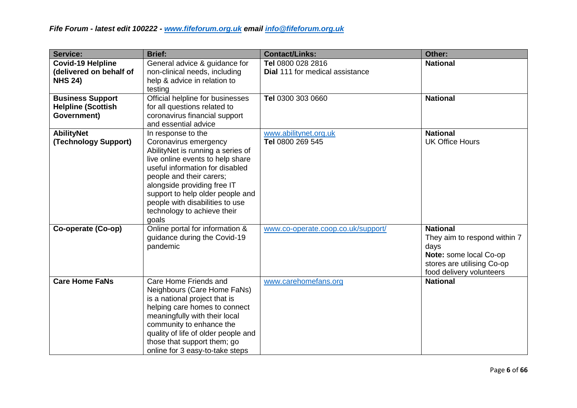| <b>Service:</b>                                                       | <b>Brief:</b>                                                                                                                                                                                                                                                                                                                     | <b>Contact/Links:</b>                                       | Other:                                                                                                                                      |
|-----------------------------------------------------------------------|-----------------------------------------------------------------------------------------------------------------------------------------------------------------------------------------------------------------------------------------------------------------------------------------------------------------------------------|-------------------------------------------------------------|---------------------------------------------------------------------------------------------------------------------------------------------|
| <b>Covid-19 Helpline</b><br>(delivered on behalf of<br><b>NHS 24)</b> | General advice & guidance for<br>non-clinical needs, including<br>help & advice in relation to<br>testing                                                                                                                                                                                                                         | Tel 0800 028 2816<br><b>Dial 111 for medical assistance</b> | <b>National</b>                                                                                                                             |
| <b>Business Support</b><br><b>Helpline (Scottish</b><br>Government)   | Official helpline for businesses<br>for all questions related to<br>coronavirus financial support<br>and essential advice                                                                                                                                                                                                         | Tel 0300 303 0660                                           | <b>National</b>                                                                                                                             |
| <b>AbilityNet</b><br>(Technology Support)                             | In response to the<br>Coronavirus emergency<br>AbilityNet is running a series of<br>live online events to help share<br>useful information for disabled<br>people and their carers;<br>alongside providing free IT<br>support to help older people and<br>people with disabilities to use<br>technology to achieve their<br>goals | www.abilitynet.org.uk<br>Tel 0800 269 545                   | <b>National</b><br><b>UK Office Hours</b>                                                                                                   |
| Co-operate (Co-op)                                                    | Online portal for information &<br>guidance during the Covid-19<br>pandemic                                                                                                                                                                                                                                                       | www.co-operate.coop.co.uk/support/                          | <b>National</b><br>They aim to respond within 7<br>days<br>Note: some local Co-op<br>stores are utilising Co-op<br>food delivery volunteers |
| <b>Care Home FaNs</b>                                                 | Care Home Friends and<br>Neighbours (Care Home FaNs)<br>is a national project that is<br>helping care homes to connect<br>meaningfully with their local<br>community to enhance the<br>quality of life of older people and<br>those that support them; go<br>online for 3 easy-to-take steps                                      | www.carehomefans.org                                        | <b>National</b>                                                                                                                             |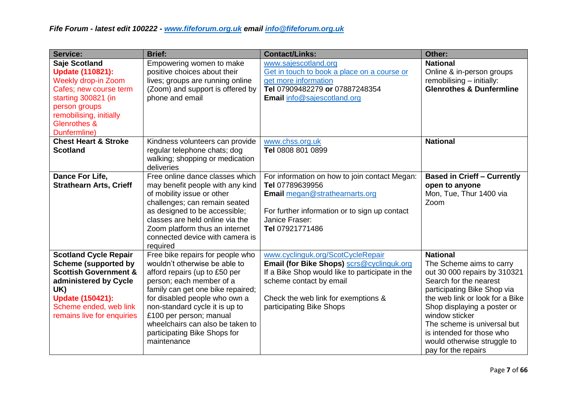| <b>Service:</b>                                                                                                                                                                                                    | <b>Brief:</b>                                                                                                                                                                                                                                                                                                                                        | <b>Contact/Links:</b>                                                                                                                                                                                                           | Other:                                                                                                                                                                                                                                                                                                                                     |
|--------------------------------------------------------------------------------------------------------------------------------------------------------------------------------------------------------------------|------------------------------------------------------------------------------------------------------------------------------------------------------------------------------------------------------------------------------------------------------------------------------------------------------------------------------------------------------|---------------------------------------------------------------------------------------------------------------------------------------------------------------------------------------------------------------------------------|--------------------------------------------------------------------------------------------------------------------------------------------------------------------------------------------------------------------------------------------------------------------------------------------------------------------------------------------|
| Saje Scotland<br><b>Update (110821):</b><br><b>Weekly drop-in Zoom</b><br>Cafes; new course term<br>starting 300821 (in<br>person groups<br>remobilising, initially<br><b>Glenrothes &amp;</b><br>Dunfermline)     | Empowering women to make<br>positive choices about their<br>lives; groups are running online<br>(Zoom) and support is offered by<br>phone and email                                                                                                                                                                                                  | www.sajescotland.org<br>Get in touch to book a place on a course or<br>get more information<br>Tel 07909482279 or 07887248354<br>Email info@sajescotland.org                                                                    | <b>National</b><br>Online & in-person groups<br>remobilising - initially:<br><b>Glenrothes &amp; Dunfermline</b>                                                                                                                                                                                                                           |
| <b>Chest Heart &amp; Stroke</b><br><b>Scotland</b>                                                                                                                                                                 | Kindness volunteers can provide<br>regular telephone chats; dog<br>walking; shopping or medication<br>deliveries                                                                                                                                                                                                                                     | www.chss.org.uk<br>Tel 0808 801 0899                                                                                                                                                                                            | <b>National</b>                                                                                                                                                                                                                                                                                                                            |
| Dance For Life,<br><b>Strathearn Arts, Crieff</b>                                                                                                                                                                  | Free online dance classes which<br>may benefit people with any kind<br>of mobility issue or other<br>challenges; can remain seated<br>as designed to be accessible;<br>classes are held online via the<br>Zoom platform thus an internet<br>connected device with camera is<br>required                                                              | For information on how to join contact Megan:<br>Tel 07789639956<br><b>Email</b> megan@strathearnarts.org<br>For further information or to sign up contact<br>Janice Fraser:<br>Tel 07921771486                                 | <b>Based in Crieff - Currently</b><br>open to anyone<br>Mon, Tue, Thur 1400 via<br>Zoom                                                                                                                                                                                                                                                    |
| <b>Scotland Cycle Repair</b><br><b>Scheme (supported by</b><br><b>Scottish Government &amp;</b><br>administered by Cycle<br>UK)<br><b>Update (150421):</b><br>Scheme ended, web link<br>remains live for enquiries | Free bike repairs for people who<br>wouldn't otherwise be able to<br>afford repairs (up to £50 per<br>person; each member of a<br>family can get one bike repaired;<br>for disabled people who own a<br>non-standard cycle it is up to<br>£100 per person; manual<br>wheelchairs can also be taken to<br>participating Bike Shops for<br>maintenance | www.cyclinguk.org/ScotCycleRepair<br>Email (for Bike Shops) scrs@cyclinguk.org<br>If a Bike Shop would like to participate in the<br>scheme contact by email<br>Check the web link for exemptions &<br>participating Bike Shops | <b>National</b><br>The Scheme aims to carry<br>out 30 000 repairs by 310321<br>Search for the nearest<br>participating Bike Shop via<br>the web link or look for a Bike<br>Shop displaying a poster or<br>window sticker<br>The scheme is universal but<br>is intended for those who<br>would otherwise struggle to<br>pay for the repairs |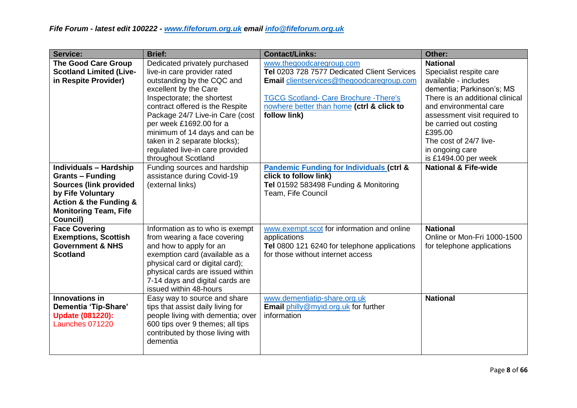| <b>Service:</b>                                                                                                                                                                                     | <b>Brief:</b>                                                                                                                                                                                                                                                                                                                                                                 | <b>Contact/Links:</b>                                                                                                                                                                                                                     | Other:                                                                                                                                                                                                                                                                                                 |
|-----------------------------------------------------------------------------------------------------------------------------------------------------------------------------------------------------|-------------------------------------------------------------------------------------------------------------------------------------------------------------------------------------------------------------------------------------------------------------------------------------------------------------------------------------------------------------------------------|-------------------------------------------------------------------------------------------------------------------------------------------------------------------------------------------------------------------------------------------|--------------------------------------------------------------------------------------------------------------------------------------------------------------------------------------------------------------------------------------------------------------------------------------------------------|
| <b>The Good Care Group</b><br><b>Scotland Limited (Live-</b><br>in Respite Provider)                                                                                                                | Dedicated privately purchased<br>live-in care provider rated<br>outstanding by the CQC and<br>excellent by the Care<br>Inspectorate; the shortest<br>contract offered is the Respite<br>Package 24/7 Live-in Care (cost<br>per week £1692.00 for a<br>minimum of 14 days and can be<br>taken in 2 separate blocks);<br>regulated live-in care provided<br>throughout Scotland | www.thegoodcaregroup.com<br>Tel 0203 728 7577 Dedicated Client Services<br><b>Email</b> clientservices@thegoodcaregroup.com<br><b>TGCG Scotland- Care Brochure - There's</b><br>nowhere better than home (ctrl & click to<br>follow link) | <b>National</b><br>Specialist respite care<br>available - includes<br>dementia; Parkinson's; MS<br>There is an additional clinical<br>and environmental care<br>assessment visit required to<br>be carried out costing<br>£395.00<br>The cost of 24/7 live-<br>in ongoing care<br>is £1494.00 per week |
| <b>Individuals - Hardship</b><br><b>Grants - Funding</b><br><b>Sources (link provided</b><br>by Fife Voluntary<br><b>Action &amp; the Funding &amp;</b><br><b>Monitoring Team, Fife</b><br>Council) | Funding sources and hardship<br>assistance during Covid-19<br>(external links)                                                                                                                                                                                                                                                                                                | <b>Pandemic Funding for Individuals (ctrl &amp;</b><br>click to follow link)<br>Tel 01592 583498 Funding & Monitoring<br>Team, Fife Council                                                                                               | <b>National &amp; Fife-wide</b>                                                                                                                                                                                                                                                                        |
| <b>Face Covering</b><br><b>Exemptions, Scottish</b><br><b>Government &amp; NHS</b><br><b>Scotland</b>                                                                                               | Information as to who is exempt<br>from wearing a face covering<br>and how to apply for an<br>exemption card (available as a<br>physical card or digital card);<br>physical cards are issued within<br>7-14 days and digital cards are<br>issued within 48-hours                                                                                                              | www.exempt.scot for information and online<br>applications<br>Tel 0800 121 6240 for telephone applications<br>for those without internet access                                                                                           | <b>National</b><br>Online or Mon-Fri 1000-1500<br>for telephone applications                                                                                                                                                                                                                           |
| <b>Innovations in</b><br>Dementia 'Tip-Share'<br><b>Update (081220):</b><br>Launches 071220                                                                                                         | Easy way to source and share<br>tips that assist daily living for<br>people living with dementia; over<br>600 tips over 9 themes; all tips<br>contributed by those living with<br>dementia                                                                                                                                                                                    | www.dementiatip-share.org.uk<br>Email philly@myid.org.uk for further<br>information                                                                                                                                                       | <b>National</b>                                                                                                                                                                                                                                                                                        |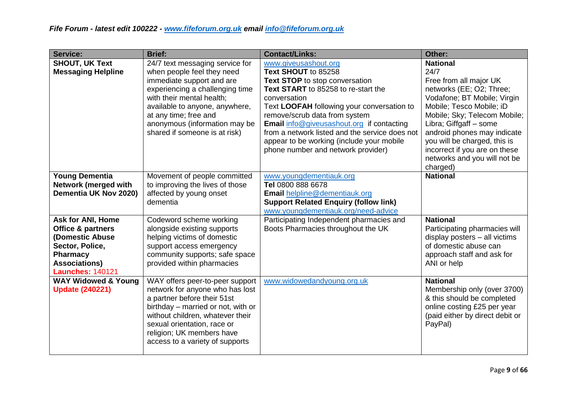| <b>Service:</b>                                                                                                                                           | <b>Brief:</b>                                                                                                                                                                                                                                                                           | <b>Contact/Links:</b>                                                                                                                                                                                                                                                                                                                                                                                        | Other:                                                                                                                                                                                                                                                                                                                                         |
|-----------------------------------------------------------------------------------------------------------------------------------------------------------|-----------------------------------------------------------------------------------------------------------------------------------------------------------------------------------------------------------------------------------------------------------------------------------------|--------------------------------------------------------------------------------------------------------------------------------------------------------------------------------------------------------------------------------------------------------------------------------------------------------------------------------------------------------------------------------------------------------------|------------------------------------------------------------------------------------------------------------------------------------------------------------------------------------------------------------------------------------------------------------------------------------------------------------------------------------------------|
| <b>SHOUT, UK Text</b><br><b>Messaging Helpline</b>                                                                                                        | 24/7 text messaging service for<br>when people feel they need<br>immediate support and are<br>experiencing a challenging time<br>with their mental health;<br>available to anyone, anywhere,<br>at any time; free and<br>anonymous (information may be<br>shared if someone is at risk) | www.giveusashout.org<br>Text SHOUT to 85258<br>Text STOP to stop conversation<br>Text START to 85258 to re-start the<br>conversation<br>Text LOOFAH following your conversation to<br>remove/scrub data from system<br><b>Email</b> info@giveusashout.org if contacting<br>from a network listed and the service does not<br>appear to be working (include your mobile<br>phone number and network provider) | <b>National</b><br>24/7<br>Free from all major UK<br>networks (EE; O2; Three;<br>Vodafone; BT Mobile; Virgin<br>Mobile; Tesco Mobile; iD<br>Mobile; Sky; Telecom Mobile;<br>Libra; Giffgaff - some<br>android phones may indicate<br>you will be charged, this is<br>incorrect if you are on these<br>networks and you will not be<br>charged) |
| <b>Young Dementia</b><br>Network (merged with<br>Dementia UK Nov 2020)                                                                                    | Movement of people committed<br>to improving the lives of those<br>affected by young onset<br>dementia                                                                                                                                                                                  | www.youngdementiauk.org<br>Tel 0800 888 6678<br>Email helpline@dementiauk.org<br><b>Support Related Enquiry (follow link)</b><br>www.youngdementiauk.org/need-advice                                                                                                                                                                                                                                         | <b>National</b>                                                                                                                                                                                                                                                                                                                                |
| <b>Ask for ANI, Home</b><br>Office & partners<br>(Domestic Abuse<br>Sector, Police,<br><b>Pharmacy</b><br><b>Associations)</b><br><b>Launches: 140121</b> | Codeword scheme working<br>alongside existing supports<br>helping victims of domestic<br>support access emergency<br>community supports; safe space<br>provided within pharmacies                                                                                                       | Participating Independent pharmacies and<br>Boots Pharmacies throughout the UK                                                                                                                                                                                                                                                                                                                               | <b>National</b><br>Participating pharmacies will<br>display posters - all victims<br>of domestic abuse can<br>approach staff and ask for<br>ANI or help                                                                                                                                                                                        |
| <b>WAY Widowed &amp; Young</b><br><b>Update (240221)</b>                                                                                                  | WAY offers peer-to-peer support<br>network for anyone who has lost<br>a partner before their 51st<br>birthday - married or not, with or<br>without children, whatever their<br>sexual orientation, race or<br>religion; UK members have<br>access to a variety of supports              | www.widowedandyoung.org.uk                                                                                                                                                                                                                                                                                                                                                                                   | <b>National</b><br>Membership only (over 3700)<br>& this should be completed<br>online costing £25 per year<br>(paid either by direct debit or<br>PayPal)                                                                                                                                                                                      |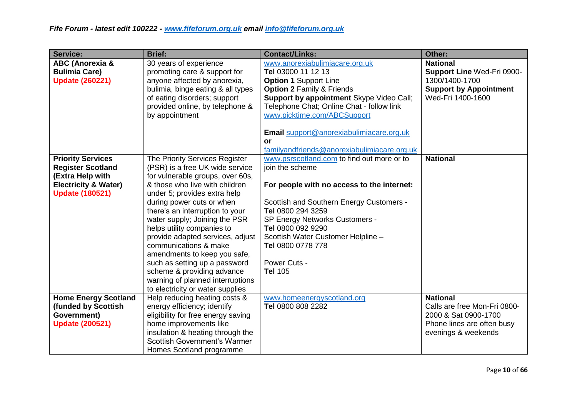| <b>Service:</b>                                                                                                                       | <b>Brief:</b>                                                                                                                                                                                                                                                                                                                                                                                                                                                                                                                              | <b>Contact/Links:</b>                                                                                                                                                                                                                                                                                                            | Other:                                                                                                                |
|---------------------------------------------------------------------------------------------------------------------------------------|--------------------------------------------------------------------------------------------------------------------------------------------------------------------------------------------------------------------------------------------------------------------------------------------------------------------------------------------------------------------------------------------------------------------------------------------------------------------------------------------------------------------------------------------|----------------------------------------------------------------------------------------------------------------------------------------------------------------------------------------------------------------------------------------------------------------------------------------------------------------------------------|-----------------------------------------------------------------------------------------------------------------------|
| <b>ABC (Anorexia &amp;</b><br><b>Bulimia Care)</b><br><b>Update (260221)</b>                                                          | 30 years of experience<br>promoting care & support for<br>anyone affected by anorexia,<br>bulimia, binge eating & all types<br>of eating disorders; support<br>provided online, by telephone &<br>by appointment                                                                                                                                                                                                                                                                                                                           | www.anorexiabulimiacare.org.uk<br>Tel 03000 11 12 13<br><b>Option 1 Support Line</b><br><b>Option 2 Family &amp; Friends</b><br>Support by appointment Skype Video Call;<br>Telephone Chat; Online Chat - follow link<br>www.picktime.com/ABCSupport<br>Email support@anorexiabulimiacare.org.uk<br><b>or</b>                    | <b>National</b><br>Support Line Wed-Fri 0900-<br>1300/1400-1700<br><b>Support by Appointment</b><br>Wed-Fri 1400-1600 |
|                                                                                                                                       |                                                                                                                                                                                                                                                                                                                                                                                                                                                                                                                                            | familyandfriends@anorexiabulimiacare.org.uk                                                                                                                                                                                                                                                                                      |                                                                                                                       |
| <b>Priority Services</b><br><b>Register Scotland</b><br>(Extra Help with<br><b>Electricity &amp; Water)</b><br><b>Update (180521)</b> | The Priority Services Register<br>(PSR) is a free UK wide service<br>for vulnerable groups, over 60s,<br>& those who live with children<br>under 5; provides extra help<br>during power cuts or when<br>there's an interruption to your<br>water supply; Joining the PSR<br>helps utility companies to<br>provide adapted services, adjust<br>communications & make<br>amendments to keep you safe,<br>such as setting up a password<br>scheme & providing advance<br>warning of planned interruptions<br>to electricity or water supplies | www.psrscotland.com to find out more or to<br>join the scheme<br>For people with no access to the internet:<br>Scottish and Southern Energy Customers -<br>Tel 0800 294 3259<br>SP Energy Networks Customers -<br>Tel 0800 092 9290<br>Scottish Water Customer Helpline -<br>Tel 0800 0778 778<br>Power Cuts -<br><b>Tel 105</b> | <b>National</b>                                                                                                       |
| <b>Home Energy Scotland</b>                                                                                                           | Help reducing heating costs &                                                                                                                                                                                                                                                                                                                                                                                                                                                                                                              | www.homeenergyscotland.org                                                                                                                                                                                                                                                                                                       | <b>National</b>                                                                                                       |
| (funded by Scottish<br>Government)<br><b>Update (200521)</b>                                                                          | energy efficiency; identify<br>eligibility for free energy saving<br>home improvements like<br>insulation & heating through the<br><b>Scottish Government's Warmer</b><br>Homes Scotland programme                                                                                                                                                                                                                                                                                                                                         | Tel 0800 808 2282                                                                                                                                                                                                                                                                                                                | Calls are free Mon-Fri 0800-<br>2000 & Sat 0900-1700<br>Phone lines are often busy<br>evenings & weekends             |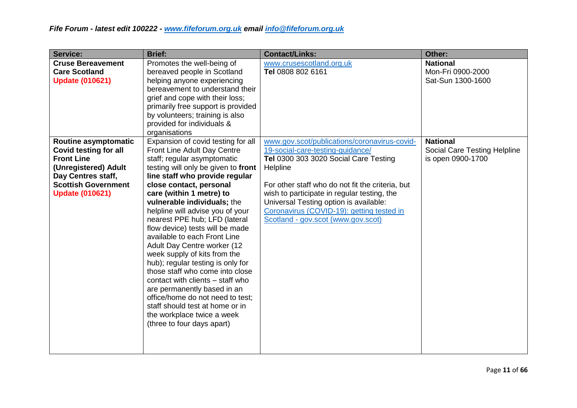| <b>Service:</b>                                                                                                                                                                 | <b>Brief:</b>                                                                                                                                                                                                                                                                                                                                                                                                                                                                                                                                                                                                                                                                                                                                        | <b>Contact/Links:</b>                                                                                                                                                                                                                                                                                                                                                 | Other:                                                               |
|---------------------------------------------------------------------------------------------------------------------------------------------------------------------------------|------------------------------------------------------------------------------------------------------------------------------------------------------------------------------------------------------------------------------------------------------------------------------------------------------------------------------------------------------------------------------------------------------------------------------------------------------------------------------------------------------------------------------------------------------------------------------------------------------------------------------------------------------------------------------------------------------------------------------------------------------|-----------------------------------------------------------------------------------------------------------------------------------------------------------------------------------------------------------------------------------------------------------------------------------------------------------------------------------------------------------------------|----------------------------------------------------------------------|
| <b>Cruse Bereavement</b><br><b>Care Scotland</b><br><b>Update (010621)</b>                                                                                                      | Promotes the well-being of<br>bereaved people in Scotland<br>helping anyone experiencing<br>bereavement to understand their<br>grief and cope with their loss;<br>primarily free support is provided<br>by volunteers; training is also<br>provided for individuals &<br>organisations                                                                                                                                                                                                                                                                                                                                                                                                                                                               | www.crusescotland.org.uk<br>Tel 0808 802 6161                                                                                                                                                                                                                                                                                                                         | <b>National</b><br>Mon-Fri 0900-2000<br>Sat-Sun 1300-1600            |
| Routine asymptomatic<br><b>Covid testing for all</b><br><b>Front Line</b><br>(Unregistered) Adult<br>Day Centres staff,<br><b>Scottish Government</b><br><b>Update (010621)</b> | Expansion of covid testing for all<br>Front Line Adult Day Centre<br>staff; regular asymptomatic<br>testing will only be given to front<br>line staff who provide regular<br>close contact, personal<br>care (within 1 metre) to<br>vulnerable individuals; the<br>helpline will advise you of your<br>nearest PPE hub; LFD (lateral<br>flow device) tests will be made<br>available to each Front Line<br>Adult Day Centre worker (12<br>week supply of kits from the<br>hub); regular testing is only for<br>those staff who come into close<br>contact with clients - staff who<br>are permanently based in an<br>office/home do not need to test;<br>staff should test at home or in<br>the workplace twice a week<br>(three to four days apart) | www.gov.scot/publications/coronavirus-covid-<br>19-social-care-testing-guidance/<br>Tel 0300 303 3020 Social Care Testing<br>Helpline<br>For other staff who do not fit the criteria, but<br>wish to participate in regular testing, the<br>Universal Testing option is available:<br>Coronavirus (COVID-19): getting tested in<br>Scotland - gov.scot (www.gov.scot) | <b>National</b><br>Social Care Testing Helpline<br>is open 0900-1700 |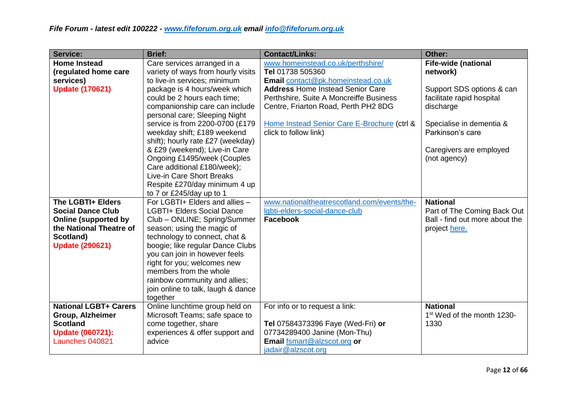| <b>Service:</b>                            | <b>Brief:</b>                             | <b>Contact/Links:</b>                                       | Other:                                 |
|--------------------------------------------|-------------------------------------------|-------------------------------------------------------------|----------------------------------------|
| <b>Home Instead</b>                        | Care services arranged in a               | www.homeinstead.co.uk/perthshire/                           | <b>Fife-wide (national</b>             |
| (regulated home care                       | variety of ways from hourly visits        | Tel 01738 505360                                            | network)                               |
| services)                                  | to live-in services; minimum              | Email contact@pk.homeinstead.co.uk                          |                                        |
| <b>Update (170621)</b>                     | package is 4 hours/week which             | <b>Address Home Instead Senior Care</b>                     | Support SDS options & can              |
|                                            | could be 2 hours each time;               | Perthshire, Suite A Moncreiffe Business                     | facilitate rapid hospital              |
|                                            | companionship care can include            | Centre, Friarton Road, Perth PH2 8DG                        | discharge                              |
|                                            | personal care; Sleeping Night             |                                                             |                                        |
|                                            | service is from 2200-0700 (£179           | Home Instead Senior Care E-Brochure (ctrl &                 | Specialise in dementia &               |
|                                            | weekday shift; £189 weekend               | click to follow link)                                       | Parkinson's care                       |
|                                            | shift); hourly rate £27 (weekday)         |                                                             |                                        |
|                                            | & £29 (weekend); Live-in Care             |                                                             | Caregivers are employed                |
|                                            | Ongoing £1495/week (Couples               |                                                             | (not agency)                           |
|                                            | Care additional £180/week);               |                                                             |                                        |
|                                            | Live-in Care Short Breaks                 |                                                             |                                        |
|                                            | Respite £270/day minimum 4 up             |                                                             |                                        |
|                                            | to 7 or £245/day up to 1                  |                                                             |                                        |
| The LGBTI+ Elders                          | For LGBTI+ Elders and allies -            | www.nationaltheatrescotland.com/events/the-                 | <b>National</b>                        |
| <b>Social Dance Club</b>                   | <b>LGBTI+ Elders Social Dance</b>         | Igbti-elders-social-dance-club                              | Part of The Coming Back Out            |
| <b>Online (supported by</b>                | Club - ONLINE; Spring/Summer              | Facebook                                                    | Ball - find out more about the         |
| the National Theatre of                    | season; using the magic of                |                                                             | project here.                          |
| Scotland)                                  | technology to connect, chat &             |                                                             |                                        |
| <b>Update (290621)</b>                     | boogie; like regular Dance Clubs          |                                                             |                                        |
|                                            | you can join in however feels             |                                                             |                                        |
|                                            | right for you; welcomes new               |                                                             |                                        |
|                                            | members from the whole                    |                                                             |                                        |
|                                            | rainbow community and allies;             |                                                             |                                        |
|                                            | join online to talk, laugh & dance        |                                                             |                                        |
|                                            | together                                  |                                                             |                                        |
| <b>National LGBT+ Carers</b>               | Online lunchtime group held on            | For info or to request a link:                              | <b>National</b>                        |
| <b>Group, Alzheimer</b><br><b>Scotland</b> | Microsoft Teams; safe space to            |                                                             | 1 <sup>st</sup> Wed of the month 1230- |
|                                            | come together, share                      | Tel 07584373396 Faye (Wed-Fri) or                           | 1330                                   |
| <b>Update (060721):</b><br>Launches 040821 | experiences & offer support and<br>advice | 07734289400 Janine (Mon-Thu)<br>Email fsmart@alzscot.org or |                                        |
|                                            |                                           |                                                             |                                        |
|                                            |                                           | jadair@alzscot.org                                          |                                        |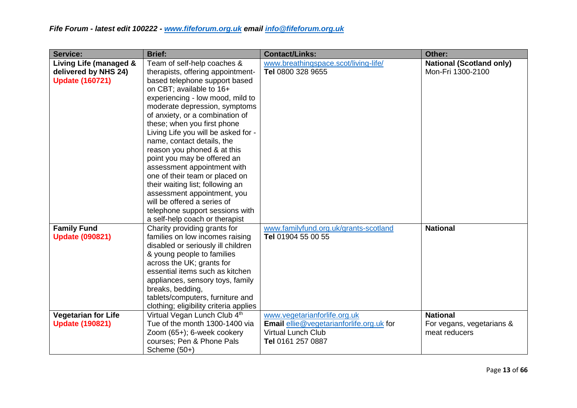| <b>Service:</b>                                                          | <b>Brief:</b>                                                                                                                                                                                                                                                                                                                                                                                                                                                                                                                                                                                                                                   | <b>Contact/Links:</b>                                                                                                      | Other:                                                        |
|--------------------------------------------------------------------------|-------------------------------------------------------------------------------------------------------------------------------------------------------------------------------------------------------------------------------------------------------------------------------------------------------------------------------------------------------------------------------------------------------------------------------------------------------------------------------------------------------------------------------------------------------------------------------------------------------------------------------------------------|----------------------------------------------------------------------------------------------------------------------------|---------------------------------------------------------------|
| Living Life (managed &<br>delivered by NHS 24)<br><b>Update (160721)</b> | Team of self-help coaches &<br>therapists, offering appointment-<br>based telephone support based<br>on CBT; available to 16+<br>experiencing - low mood, mild to<br>moderate depression, symptoms<br>of anxiety, or a combination of<br>these; when you first phone<br>Living Life you will be asked for -<br>name, contact details, the<br>reason you phoned & at this<br>point you may be offered an<br>assessment appointment with<br>one of their team or placed on<br>their waiting list; following an<br>assessment appointment, you<br>will be offered a series of<br>telephone support sessions with<br>a self-help coach or therapist | www.breathingspace.scot/living-life/<br>Tel 0800 328 9655                                                                  | <b>National (Scotland only)</b><br>Mon-Fri 1300-2100          |
| <b>Family Fund</b><br><b>Update (090821)</b>                             | Charity providing grants for<br>families on low incomes raising<br>disabled or seriously ill children<br>& young people to families<br>across the UK; grants for<br>essential items such as kitchen<br>appliances, sensory toys, family<br>breaks, bedding,<br>tablets/computers, furniture and<br>clothing; eligibility criteria applies                                                                                                                                                                                                                                                                                                       | www.familyfund.org.uk/grants-scotland<br>Tel 01904 55 00 55                                                                | <b>National</b>                                               |
| <b>Vegetarian for Life</b><br><b>Update (190821)</b>                     | Virtual Vegan Lunch Club 4th<br>Tue of the month 1300-1400 via<br>Zoom (65+); 6-week cookery<br>courses; Pen & Phone Pals<br>Scheme $(50+)$                                                                                                                                                                                                                                                                                                                                                                                                                                                                                                     | www.vegetarianforlife.org.uk<br>Email ellie@vegetarianforlife.org.uk for<br><b>Virtual Lunch Club</b><br>Tel 0161 257 0887 | <b>National</b><br>For vegans, vegetarians &<br>meat reducers |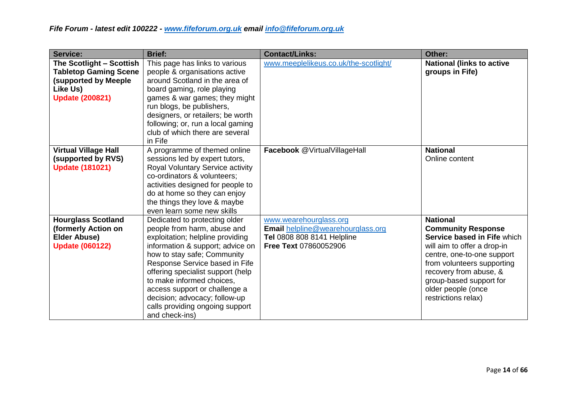| <b>Service:</b>                                                                                                               | <b>Brief:</b>                                                                                                                                                                                                                                                                                                                                                                                  | <b>Contact/Links:</b>                                                                                                     | Other:                                                                                                                                                                                                                                                                   |
|-------------------------------------------------------------------------------------------------------------------------------|------------------------------------------------------------------------------------------------------------------------------------------------------------------------------------------------------------------------------------------------------------------------------------------------------------------------------------------------------------------------------------------------|---------------------------------------------------------------------------------------------------------------------------|--------------------------------------------------------------------------------------------------------------------------------------------------------------------------------------------------------------------------------------------------------------------------|
| The Scotlight - Scottish<br><b>Tabletop Gaming Scene</b><br><b>(supported by Meeple</b><br>Like Us)<br><b>Update (200821)</b> | This page has links to various<br>people & organisations active<br>around Scotland in the area of<br>board gaming, role playing<br>games & war games; they might<br>run blogs, be publishers,<br>designers, or retailers; be worth<br>following; or, run a local gaming<br>club of which there are several<br>in Fife                                                                          | www.meeplelikeus.co.uk/the-scotlight/                                                                                     | <b>National (links to active</b><br>groups in Fife)                                                                                                                                                                                                                      |
| <b>Virtual Village Hall</b><br>(supported by RVS)<br><b>Update (181021)</b>                                                   | A programme of themed online<br>sessions led by expert tutors,<br>Royal Voluntary Service activity<br>co-ordinators & volunteers;<br>activities designed for people to<br>do at home so they can enjoy<br>the things they love & maybe<br>even learn some new skills                                                                                                                           | Facebook @VirtualVillageHall                                                                                              | <b>National</b><br>Online content                                                                                                                                                                                                                                        |
| <b>Hourglass Scotland</b><br>(formerly Action on<br><b>Elder Abuse)</b><br><b>Update (060122)</b>                             | Dedicated to protecting older<br>people from harm, abuse and<br>exploitation; helpline providing<br>information & support; advice on<br>how to stay safe; Community<br>Response Service based in Fife<br>offering specialist support (help<br>to make informed choices,<br>access support or challenge a<br>decision; advocacy; follow-up<br>calls providing ongoing support<br>and check-ins) | www.wearehourglass.org<br>Email helpline@wearehourglass.org<br><b>Tel 0808 808 8141 Helpline</b><br>Free Text 07860052906 | <b>National</b><br><b>Community Response</b><br>Service based in Fife which<br>will aim to offer a drop-in<br>centre, one-to-one support<br>from volunteers supporting<br>recovery from abuse, &<br>group-based support for<br>older people (once<br>restrictions relax) |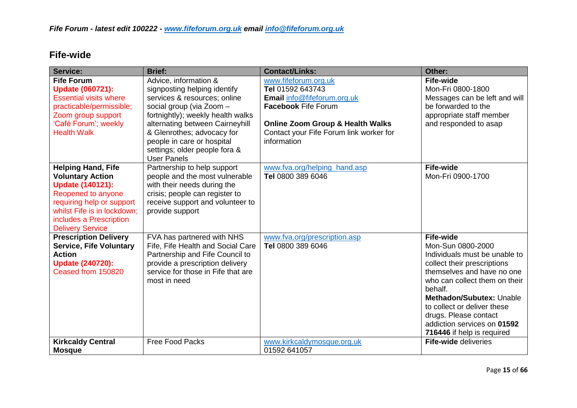#### **Fife-wide**

| <b>Service:</b>                                                                                                                                                                                                         | <b>Brief:</b>                                                                                                                                                                                                                                                                                                | <b>Contact/Links:</b>                                                                                                                                                                                          | Other:                                                                                                                                                                                                                                                                                                                           |
|-------------------------------------------------------------------------------------------------------------------------------------------------------------------------------------------------------------------------|--------------------------------------------------------------------------------------------------------------------------------------------------------------------------------------------------------------------------------------------------------------------------------------------------------------|----------------------------------------------------------------------------------------------------------------------------------------------------------------------------------------------------------------|----------------------------------------------------------------------------------------------------------------------------------------------------------------------------------------------------------------------------------------------------------------------------------------------------------------------------------|
| <b>Fife Forum</b><br><b>Update (060721):</b><br><b>Essential visits where</b><br>practicable/permissible;<br>Zoom group support<br>'Café Forum'; weekly<br><b>Health Walk</b>                                           | Advice, information &<br>signposting helping identify<br>services & resources; online<br>social group (via Zoom -<br>fortnightly); weekly health walks<br>alternating between Cairneyhill<br>& Glenrothes; advocacy for<br>people in care or hospital<br>settings; older people fora &<br><b>User Panels</b> | www.fifeforum.org.uk<br>Tel 01592 643743<br>Email info@fifeforum.org.uk<br><b>Facebook Fife Forum</b><br><b>Online Zoom Group &amp; Health Walks</b><br>Contact your Fife Forum link worker for<br>information | <b>Fife-wide</b><br>Mon-Fri 0800-1800<br>Messages can be left and will<br>be forwarded to the<br>appropriate staff member<br>and responded to asap                                                                                                                                                                               |
| <b>Helping Hand, Fife</b><br><b>Voluntary Action</b><br><b>Update (140121):</b><br>Reopened to anyone<br>requiring help or support<br>whilst Fife is in lockdown;<br>includes a Prescription<br><b>Delivery Service</b> | Partnership to help support<br>people and the most vulnerable<br>with their needs during the<br>crisis; people can register to<br>receive support and volunteer to<br>provide support                                                                                                                        | www.fva.org/helping_hand.asp<br>Tel 0800 389 6046                                                                                                                                                              | <b>Fife-wide</b><br>Mon-Fri 0900-1700                                                                                                                                                                                                                                                                                            |
| <b>Prescription Delivery</b><br><b>Service, Fife Voluntary</b><br><b>Action</b><br><b>Update (240720):</b><br>Ceased from 150820                                                                                        | FVA has partnered with NHS<br>Fife, Fife Health and Social Care<br>Partnership and Fife Council to<br>provide a prescription delivery<br>service for those in Fife that are<br>most in need                                                                                                                  | www.fva.org/prescription.asp<br>Tel 0800 389 6046                                                                                                                                                              | <b>Fife-wide</b><br>Mon-Sun 0800-2000<br>Individuals must be unable to<br>collect their prescriptions<br>themselves and have no one<br>who can collect them on their<br>behalf.<br>Methadon/Subutex: Unable<br>to collect or deliver these<br>drugs. Please contact<br>addiction services on 01592<br>716446 if help is required |
| <b>Kirkcaldy Central</b><br><b>Mosque</b>                                                                                                                                                                               | <b>Free Food Packs</b>                                                                                                                                                                                                                                                                                       | www.kirkcaldymosque.org.uk<br>01592 641057                                                                                                                                                                     | <b>Fife-wide deliveries</b>                                                                                                                                                                                                                                                                                                      |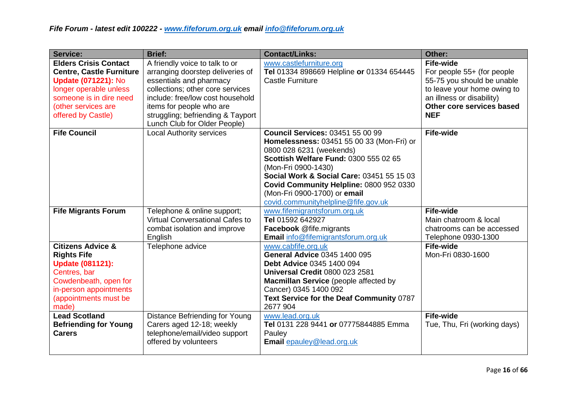| Service:                                                                                                                                                                                        | <b>Brief:</b>                                                                                                                                                                                                                                                          | <b>Contact/Links:</b>                                                                                                                                                                                                                                                                                                                           | Other:                                                                                                                                                                              |
|-------------------------------------------------------------------------------------------------------------------------------------------------------------------------------------------------|------------------------------------------------------------------------------------------------------------------------------------------------------------------------------------------------------------------------------------------------------------------------|-------------------------------------------------------------------------------------------------------------------------------------------------------------------------------------------------------------------------------------------------------------------------------------------------------------------------------------------------|-------------------------------------------------------------------------------------------------------------------------------------------------------------------------------------|
| <b>Elders Crisis Contact</b><br><b>Centre, Castle Furniture</b><br><b>Update (071221): No</b><br>longer operable unless<br>someone is in dire need<br>(other services are<br>offered by Castle) | A friendly voice to talk to or<br>arranging doorstep deliveries of<br>essentials and pharmacy<br>collections; other core services<br>include: free/low cost household<br>items for people who are<br>struggling; befriending & Tayport<br>Lunch Club for Older People) | www.castlefurniture.org<br>Tel 01334 898669 Helpline or 01334 654445<br><b>Castle Furniture</b>                                                                                                                                                                                                                                                 | <b>Fife-wide</b><br>For people 55+ (for people<br>55-75 you should be unable<br>to leave your home owing to<br>an illness or disability)<br>Other core services based<br><b>NEF</b> |
| <b>Fife Council</b>                                                                                                                                                                             | <b>Local Authority services</b>                                                                                                                                                                                                                                        | <b>Council Services: 03451 55 00 99</b><br>Homelessness: 03451 55 00 33 (Mon-Fri) or<br>0800 028 6231 (weekends)<br>Scottish Welfare Fund: 0300 555 02 65<br>(Mon-Fri 0900-1430)<br>Social Work & Social Care: 03451 55 15 03<br>Covid Community Helpline: 0800 952 0330<br>(Mon-Fri 0900-1700) or email<br>covid.communityhelpline@fife.gov.uk | <b>Fife-wide</b>                                                                                                                                                                    |
| <b>Fife Migrants Forum</b>                                                                                                                                                                      | Telephone & online support;<br>Virtual Conversational Cafes to                                                                                                                                                                                                         | www.fifemigrantsforum.org.uk<br>Tel 01592 642927                                                                                                                                                                                                                                                                                                | <b>Fife-wide</b><br>Main chatroom & local                                                                                                                                           |
|                                                                                                                                                                                                 | combat isolation and improve<br>English                                                                                                                                                                                                                                | Facebook @fife.migrants<br><b>Email</b> info@fifemigrantsforum.org.uk                                                                                                                                                                                                                                                                           | chatrooms can be accessed<br>Telephone 0930-1300                                                                                                                                    |
| <b>Citizens Advice &amp;</b><br><b>Rights Fife</b><br><b>Update (081121):</b><br>Centres, bar<br>Cowdenbeath, open for<br>in-person appointments<br>(appointments must be<br>made)              | Telephone advice                                                                                                                                                                                                                                                       | www.cabfife.org.uk<br><b>General Advice 0345 1400 095</b><br><b>Debt Advice 0345 1400 094</b><br><b>Universal Credit 0800 023 2581</b><br>Macmillan Service (people affected by<br>Cancer) 0345 1400 092<br>Text Service for the Deaf Community 0787<br>2677 904                                                                                | <b>Fife-wide</b><br>Mon-Fri 0830-1600                                                                                                                                               |
| <b>Lead Scotland</b><br><b>Befriending for Young</b><br><b>Carers</b>                                                                                                                           | Distance Befriending for Young<br>Carers aged 12-18; weekly<br>telephone/email/video support<br>offered by volunteers                                                                                                                                                  | www.lead.org.uk<br>Tel 0131 228 9441 or 07775844885 Emma<br>Pauley<br>Email epauley@lead.org.uk                                                                                                                                                                                                                                                 | <b>Fife-wide</b><br>Tue, Thu, Fri (working days)                                                                                                                                    |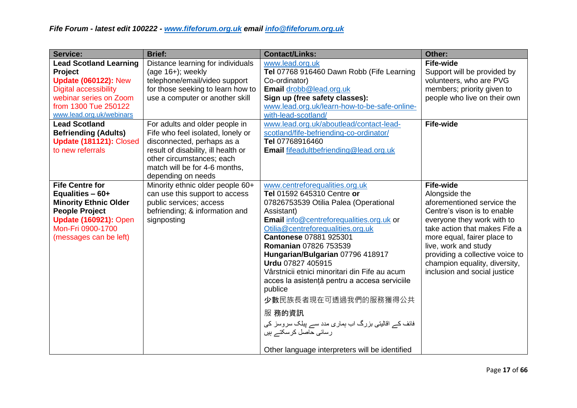| <b>Service:</b>                                                                                                                                                                       | <b>Brief:</b>                                                                                                                                                                                                                | <b>Contact/Links:</b>                                                                                                                                                                                                                                                                                                                                                                                                                                                                                                                                                                                   | Other:                                                                                                                                                                                                                                                                                                                   |
|---------------------------------------------------------------------------------------------------------------------------------------------------------------------------------------|------------------------------------------------------------------------------------------------------------------------------------------------------------------------------------------------------------------------------|---------------------------------------------------------------------------------------------------------------------------------------------------------------------------------------------------------------------------------------------------------------------------------------------------------------------------------------------------------------------------------------------------------------------------------------------------------------------------------------------------------------------------------------------------------------------------------------------------------|--------------------------------------------------------------------------------------------------------------------------------------------------------------------------------------------------------------------------------------------------------------------------------------------------------------------------|
| <b>Lead Scotland Learning</b><br>Project<br><b>Update (060122): New</b><br><b>Digital accessibility</b><br>webinar series on Zoom<br>from 1300 Tue 250122<br>www.lead.org.uk/webinars | Distance learning for individuals<br>$(age 16+)$ ; weekly<br>telephone/email/video support<br>for those seeking to learn how to<br>use a computer or another skill                                                           | www.lead.org.uk<br>Tel 07768 916460 Dawn Robb (Fife Learning<br>Co-ordinator)<br>Email drobb@lead.org.uk<br>Sign up (free safety classes):<br>www.lead.org.uk/learn-how-to-be-safe-online-<br>with-lead-scotland/                                                                                                                                                                                                                                                                                                                                                                                       | <b>Fife-wide</b><br>Support will be provided by<br>volunteers, who are PVG<br>members; priority given to<br>people who live on their own                                                                                                                                                                                 |
| <b>Lead Scotland</b><br><b>Befriending (Adults)</b><br>Update (181121): Closed<br>to new referrals                                                                                    | For adults and older people in<br>Fife who feel isolated, lonely or<br>disconnected, perhaps as a<br>result of disability, ill health or<br>other circumstances; each<br>match will be for 4-6 months,<br>depending on needs | www.lead.org.uk/aboutlead/contact-lead-<br>scotland/fife-befriending-co-ordinator/<br>Tel 07768916460<br>Email fifeadultbefriending@lead.org.uk                                                                                                                                                                                                                                                                                                                                                                                                                                                         | <b>Fife-wide</b>                                                                                                                                                                                                                                                                                                         |
| <b>Fife Centre for</b><br>Equalities $-60+$<br><b>Minority Ethnic Older</b><br><b>People Project</b><br><b>Update (160921): Open</b><br>Mon-Fri 0900-1700<br>(messages can be left)   | Minority ethnic older people 60+<br>can use this support to access<br>public services; access<br>befriending; & information and<br>signposting                                                                               | www.centreforequalities.org.uk<br>Tel 01592 645310 Centre or<br>07826753539 Otilia Palea (Operational<br>Assistant)<br>Email info@centreforequalities.org.uk or<br>Otilia@centreforequalities.org.uk<br>Cantonese 07881 925301<br><b>Romanian 07826 753539</b><br>Hungarian/Bulgarian 07796 418917<br>Urdu 07827 405915<br>Vârstnicii etnici minoritari din Fife au acum<br>acces la asistență pentru a accesa serviciile<br>publice<br>少數民族長者現在可透過我們的服務獲得公共<br>服 務的資訊<br>فائف کے اقالیتی بزرگ اب ہماری مدد سے پبلک سروسز کی<br>رسائی حاصل کرسکتے ہیں<br>Other language interpreters will be identified | <b>Fife-wide</b><br>Alongside the<br>aforementioned service the<br>Centre's vison is to enable<br>everyone they work with to<br>take action that makes Fife a<br>more equal, fairer place to<br>live, work and study<br>providing a collective voice to<br>champion equality, diversity,<br>inclusion and social justice |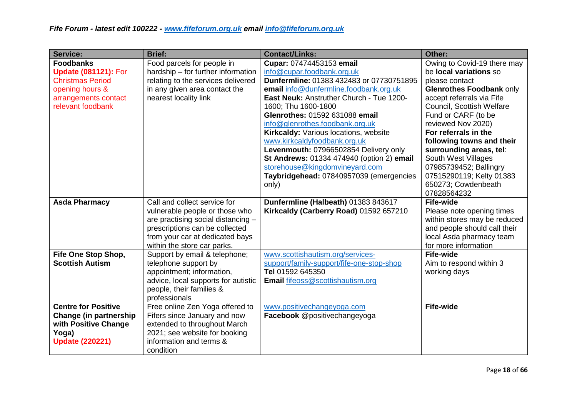| <b>Service:</b>               | <b>Brief:</b>                                            | <b>Contact/Links:</b>                     | Other:                       |
|-------------------------------|----------------------------------------------------------|-------------------------------------------|------------------------------|
| <b>Foodbanks</b>              | Food parcels for people in                               | Cupar: 07474453153 email                  | Owing to Covid-19 there may  |
| <b>Update (081121): For</b>   | hardship – for further information                       | info@cupar.foodbank.org.uk                | be local variations so       |
| <b>Christmas Period</b>       | relating to the services delivered                       | Dunfermline: 01383 432483 or 07730751895  | please contact               |
| opening hours &               | in any given area contact the                            | email info@dunfermline.foodbank.org.uk    | Glenrothes Foodbank only     |
| arrangements contact          | nearest locality link                                    | East Neuk: Anstruther Church - Tue 1200-  | accept referrals via Fife    |
| relevant foodbank             |                                                          | 1600; Thu 1600-1800                       | Council, Scottish Welfare    |
|                               |                                                          | Glenrothes: 01592 631088 email            | Fund or CARF (to be          |
|                               |                                                          | info@glenrothes.foodbank.org.uk           | reviewed Nov 2020)           |
|                               |                                                          | Kirkcaldy: Various locations, website     | For referrals in the         |
|                               |                                                          | www.kirkcaldyfoodbank.org.uk              | following towns and their    |
|                               |                                                          | Levenmouth: 07966502854 Delivery only     | surrounding areas, tel:      |
|                               |                                                          | St Andrews: 01334 474940 (option 2) email | South West Villages          |
|                               |                                                          | storehouse@kingdomvineyard.com            | 07985739452; Ballingry       |
|                               |                                                          | Taybridgehead: 07840957039 (emergencies   | 07515290119; Kelty 01383     |
|                               |                                                          | only)                                     | 650273; Cowdenbeath          |
|                               |                                                          |                                           | 07828564232                  |
| <b>Asda Pharmacy</b>          | Call and collect service for                             | Dunfermline (Halbeath) 01383 843617       | <b>Fife-wide</b>             |
|                               | vulnerable people or those who                           | Kirkcaldy (Carberry Road) 01592 657210    | Please note opening times    |
|                               | are practising social distancing -                       |                                           | within stores may be reduced |
|                               | prescriptions can be collected                           |                                           | and people should call their |
|                               | from your car at dedicated bays                          |                                           | local Asda pharmacy team     |
|                               | within the store car parks.                              |                                           | for more information         |
| Fife One Stop Shop,           | Support by email & telephone;                            | www.scottishautism.org/services-          | <b>Fife-wide</b>             |
| <b>Scottish Autism</b>        | telephone support by                                     | support/family-support/fife-one-stop-shop | Aim to respond within 3      |
|                               | appointment; information,                                | Tel 01592 645350                          | working days                 |
|                               | advice, local supports for autistic                      | Email fifeoss@scottishautism.org          |                              |
|                               | people, their families &                                 |                                           |                              |
|                               | professionals                                            |                                           |                              |
| <b>Centre for Positive</b>    | Free online Zen Yoga offered to                          | www.positivechangeyoga.com                | <b>Fife-wide</b>             |
| <b>Change (in partnership</b> | Fifers since January and now                             | Facebook @positivechangeyoga              |                              |
| with Positive Change          | extended to throughout March                             |                                           |                              |
| Yoga)                         | 2021; see website for booking<br>information and terms & |                                           |                              |
| <b>Update (220221)</b>        |                                                          |                                           |                              |
|                               | condition                                                |                                           |                              |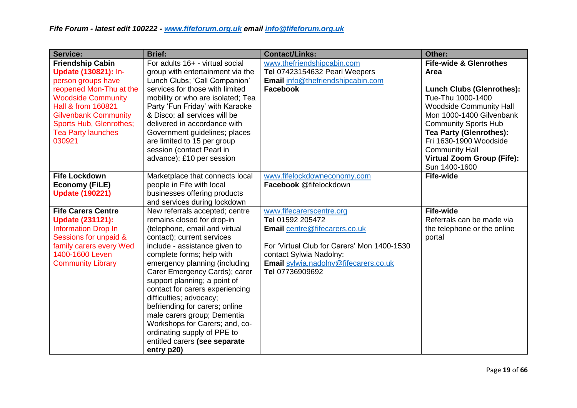| Service:                    | <b>Brief:</b>                                                | <b>Contact/Links:</b>                                 | Other:                            |
|-----------------------------|--------------------------------------------------------------|-------------------------------------------------------|-----------------------------------|
| <b>Friendship Cabin</b>     | For adults 16+ - virtual social                              | www.thefriendshipcabin.com                            | <b>Fife-wide &amp; Glenrothes</b> |
| Update (130821): In-        | group with entertainment via the                             | <b>Tel 07423154632 Pearl Weepers</b>                  | Area                              |
| person groups have          | Lunch Clubs; 'Call Companion'                                | Email info@thefriendshipcabin.com                     |                                   |
| reopened Mon-Thu at the     | services for those with limited                              | <b>Facebook</b>                                       | <b>Lunch Clubs (Glenrothes):</b>  |
| <b>Woodside Community</b>   | mobility or who are isolated; Tea                            |                                                       | Tue-Thu 1000-1400                 |
| Hall & from 160821          | Party 'Fun Friday' with Karaoke                              |                                                       | <b>Woodside Community Hall</b>    |
| <b>Gilvenbank Community</b> | & Disco; all services will be                                |                                                       | Mon 1000-1400 Gilvenbank          |
| Sports Hub, Glenrothes;     | delivered in accordance with                                 |                                                       | <b>Community Sports Hub</b>       |
| <b>Tea Party launches</b>   | Government guidelines; places                                |                                                       | <b>Tea Party (Glenrothes):</b>    |
| 030921                      | are limited to 15 per group                                  |                                                       | Fri 1630-1900 Woodside            |
|                             | session (contact Pearl in                                    |                                                       | <b>Community Hall</b>             |
|                             | advance); £10 per session                                    |                                                       | <b>Virtual Zoom Group (Fife):</b> |
| <b>Fife Lockdown</b>        |                                                              |                                                       | Sun 1400-1600<br><b>Fife-wide</b> |
| <b>Economy (FiLE)</b>       | Marketplace that connects local<br>people in Fife with local | www.fifelockdowneconomy.com<br>Facebook @fifelockdown |                                   |
| <b>Update (190221)</b>      | businesses offering products                                 |                                                       |                                   |
|                             | and services during lockdown                                 |                                                       |                                   |
| <b>Fife Carers Centre</b>   | New referrals accepted; centre                               | www.fifecarerscentre.org                              | <b>Fife-wide</b>                  |
| <b>Update (231121):</b>     | remains closed for drop-in                                   | Tel 01592 205472                                      | Referrals can be made via         |
| <b>Information Drop In</b>  | (telephone, email and virtual                                | Email centre@fifecarers.co.uk                         | the telephone or the online       |
| Sessions for unpaid &       | contact); current services                                   |                                                       | portal                            |
| family carers every Wed     | include - assistance given to                                | For 'Virtual Club for Carers' Mon 1400-1530           |                                   |
| 1400-1600 Leven             | complete forms; help with                                    | contact Sylwia Nadolny:                               |                                   |
| <b>Community Library</b>    | emergency planning (including                                | Email sylwia.nadolny@fifecarers.co.uk                 |                                   |
|                             | Carer Emergency Cards); carer                                | Tel 07736909692                                       |                                   |
|                             | support planning; a point of                                 |                                                       |                                   |
|                             | contact for carers experiencing                              |                                                       |                                   |
|                             | difficulties; advocacy;                                      |                                                       |                                   |
|                             | befriending for carers; online                               |                                                       |                                   |
|                             | male carers group; Dementia                                  |                                                       |                                   |
|                             | Workshops for Carers; and, co-                               |                                                       |                                   |
|                             | ordinating supply of PPE to                                  |                                                       |                                   |
|                             | entitled carers (see separate                                |                                                       |                                   |
|                             | entry p20)                                                   |                                                       |                                   |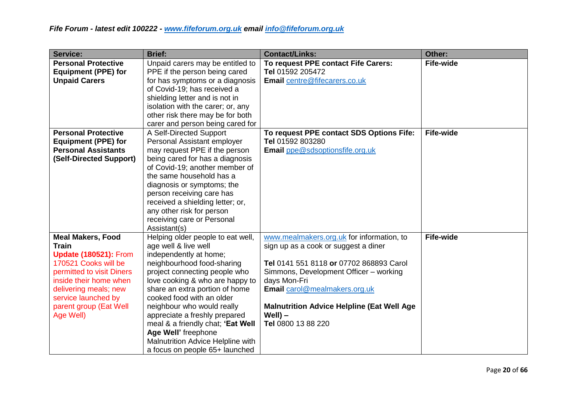| <b>Service:</b>                                                                                                                                                                                                                                | <b>Brief:</b>                                                                                                                                                                                                                                                                                                                                                                                                                                          | <b>Contact/Links:</b>                                                                                                                                                                                                                                                                                             | Other:           |
|------------------------------------------------------------------------------------------------------------------------------------------------------------------------------------------------------------------------------------------------|--------------------------------------------------------------------------------------------------------------------------------------------------------------------------------------------------------------------------------------------------------------------------------------------------------------------------------------------------------------------------------------------------------------------------------------------------------|-------------------------------------------------------------------------------------------------------------------------------------------------------------------------------------------------------------------------------------------------------------------------------------------------------------------|------------------|
| <b>Personal Protective</b><br><b>Equipment (PPE) for</b><br><b>Unpaid Carers</b>                                                                                                                                                               | Unpaid carers may be entitled to<br>PPE if the person being cared<br>for has symptoms or a diagnosis<br>of Covid-19; has received a<br>shielding letter and is not in<br>isolation with the carer; or, any<br>other risk there may be for both<br>carer and person being cared for                                                                                                                                                                     | To request PPE contact Fife Carers:<br>Tel 01592 205472<br>Email centre@fifecarers.co.uk                                                                                                                                                                                                                          | <b>Fife-wide</b> |
| <b>Personal Protective</b><br><b>Equipment (PPE) for</b><br><b>Personal Assistants</b><br>(Self-Directed Support)                                                                                                                              | A Self-Directed Support<br>Personal Assistant employer<br>may request PPE if the person<br>being cared for has a diagnosis<br>of Covid-19; another member of<br>the same household has a<br>diagnosis or symptoms; the<br>person receiving care has<br>received a shielding letter; or,<br>any other risk for person<br>receiving care or Personal<br>Assistant(s)                                                                                     | To request PPE contact SDS Options Fife:<br>Tel 01592 803280<br>Email ppe@sdsoptionsfife.org.uk                                                                                                                                                                                                                   | <b>Fife-wide</b> |
| <b>Meal Makers, Food</b><br><b>Train</b><br><b>Update (180521): From</b><br>170521 Cooks will be<br>permitted to visit Diners<br>inside their home when<br>delivering meals; new<br>service launched by<br>parent group (Eat Well<br>Age Well) | Helping older people to eat well,<br>age well & live well<br>independently at home;<br>neighbourhood food-sharing<br>project connecting people who<br>love cooking & who are happy to<br>share an extra portion of home<br>cooked food with an older<br>neighbour who would really<br>appreciate a freshly prepared<br>meal & a friendly chat; 'Eat Well<br>Age Well' freephone<br>Malnutrition Advice Helpline with<br>a focus on people 65+ launched | www.mealmakers.org.uk for information, to<br>sign up as a cook or suggest a diner<br>Tel 0141 551 8118 or 07702 868893 Carol<br>Simmons, Development Officer - working<br>days Mon-Fri<br>Email carol@mealmakers.org.uk<br><b>Malnutrition Advice Helpline (Eat Well Age)</b><br>$WeII$ ) –<br>Tel 0800 13 88 220 | <b>Fife-wide</b> |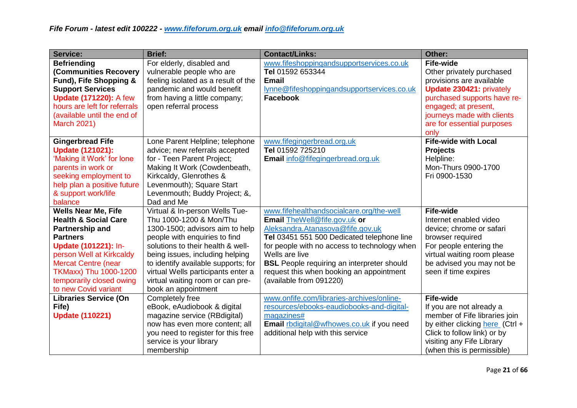| <b>Service:</b>                                                                                                                                                                                                                                                    | <b>Brief:</b>                                                                                                                                                                                                                                                                                                                                 | <b>Contact/Links:</b>                                                                                                                                                                                                                                                                                                                                    | Other:                                                                                                                                                                                                                           |
|--------------------------------------------------------------------------------------------------------------------------------------------------------------------------------------------------------------------------------------------------------------------|-----------------------------------------------------------------------------------------------------------------------------------------------------------------------------------------------------------------------------------------------------------------------------------------------------------------------------------------------|----------------------------------------------------------------------------------------------------------------------------------------------------------------------------------------------------------------------------------------------------------------------------------------------------------------------------------------------------------|----------------------------------------------------------------------------------------------------------------------------------------------------------------------------------------------------------------------------------|
| <b>Befriending</b><br><b>(Communities Recovery</b><br>Fund), Fife Shopping &<br><b>Support Services</b><br><b>Update (171220): A few</b><br>hours are left for referrals<br>(available until the end of<br><b>March 2021)</b>                                      | For elderly, disabled and<br>vulnerable people who are<br>feeling isolated as a result of the<br>pandemic and would benefit<br>from having a little company;<br>open referral process                                                                                                                                                         | www.fifeshoppingandsupportservices.co.uk<br>Tel 01592 653344<br><b>Email</b><br>lynne@fifeshoppingandsupportservices.co.uk<br><b>Facebook</b>                                                                                                                                                                                                            | <b>Fife-wide</b><br>Other privately purchased<br>provisions are available<br>Update 230421: privately<br>purchased supports have re-<br>engaged; at present,<br>journeys made with clients<br>are for essential purposes<br>only |
| <b>Gingerbread Fife</b><br><b>Update (121021):</b><br>'Making it Work' for lone<br>parents in work or<br>seeking employment to<br>help plan a positive future<br>& support work/life<br>balance                                                                    | Lone Parent Helpline; telephone<br>advice; new referrals accepted<br>for - Teen Parent Project;<br>Making It Work (Cowdenbeath,<br>Kirkcaldy, Glenrothes &<br>Levenmouth); Square Start<br>Levenmouth; Buddy Project; &,<br>Dad and Me                                                                                                        | www.fifegingerbread.org.uk<br>Tel 01592 725210<br>Email info@fifegingerbread.org.uk                                                                                                                                                                                                                                                                      | <b>Fife-wide with Local</b><br><b>Projects</b><br>Helpline:<br>Mon-Thurs 0900-1700<br>Fri 0900-1530                                                                                                                              |
| <b>Wells Near Me, Fife</b><br><b>Health &amp; Social Care</b><br>Partnership and<br><b>Partners</b><br>Update (101221): In-<br>person Well at Kirkcaldy<br><b>Mercat Centre (near</b><br>TKMaxx) Thu 1000-1200<br>temporarily closed owing<br>to new Covid variant | Virtual & In-person Wells Tue-<br>Thu 1000-1200 & Mon/Thu<br>1300-1500; advisors aim to help<br>people with enquiries to find<br>solutions to their health & well-<br>being issues, including helping<br>to identify available supports; for<br>virtual Wells participants enter a<br>virtual waiting room or can pre-<br>book an appointment | www.fifehealthandsocialcare.org/the-well<br>Email TheWell@fife.gov.uk or<br>Aleksandra.Atanasova@fife.gov.uk<br>Tel 03451 551 500 Dedicated telephone line<br>for people with no access to technology when<br>Wells are live<br><b>BSL</b> People requiring an interpreter should<br>request this when booking an appointment<br>(available from 091220) | Fife-wide<br>Internet enabled video<br>device; chrome or safari<br>browser required<br>For people entering the<br>virtual waiting room please<br>be advised you may not be<br>seen if time expires                               |
| <b>Libraries Service (On</b><br>Fife)<br><b>Update (110221)</b>                                                                                                                                                                                                    | Completely free<br>eBook, eAudiobook & digital<br>magazine service (RBdigital)<br>now has even more content; all<br>you need to register for this free<br>service is your library<br>membership                                                                                                                                               | www.onfife.com/libraries-archives/online-<br>resources/ebooks-eaudiobooks-and-digital-<br>magazines#<br><b>Email</b> rbdigital@wfhowes.co.uk if you need<br>additional help with this service                                                                                                                                                            | <b>Fife-wide</b><br>If you are not already a<br>member of Fife libraries join<br>by either clicking here (Ctrl +<br>Click to follow link) or by<br>visiting any Fife Library<br>(when this is permissible)                       |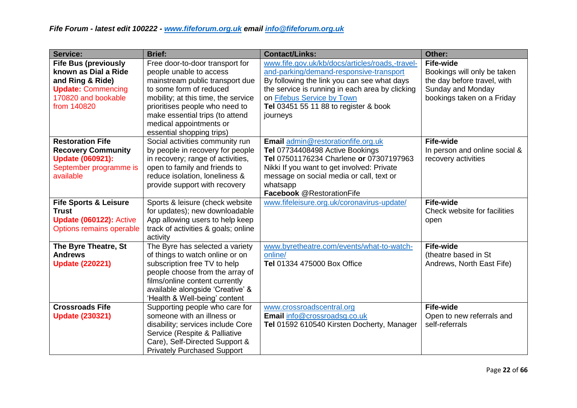| <b>Service:</b>                                                                                                                            | <b>Brief:</b>                                                                                                                                                                                                                                                                                | <b>Contact/Links:</b>                                                                                                                                                                                                                                                           | Other:                                                                                                                            |
|--------------------------------------------------------------------------------------------------------------------------------------------|----------------------------------------------------------------------------------------------------------------------------------------------------------------------------------------------------------------------------------------------------------------------------------------------|---------------------------------------------------------------------------------------------------------------------------------------------------------------------------------------------------------------------------------------------------------------------------------|-----------------------------------------------------------------------------------------------------------------------------------|
| <b>Fife Bus (previously</b><br>known as Dial a Ride<br>and Ring & Ride)<br><b>Update: Commencing</b><br>170820 and bookable<br>from 140820 | Free door-to-door transport for<br>people unable to access<br>mainstream public transport due<br>to some form of reduced<br>mobility; at this time, the service<br>prioritises people who need to<br>make essential trips (to attend<br>medical appointments or<br>essential shopping trips) | www.fife.gov.uk/kb/docs/articles/roads,-travel-<br>and-parking/demand-responsive-transport<br>By following the link you can see what days<br>the service is running in each area by clicking<br>on Fifebus Service by Town<br>Tel 03451 55 11 88 to register & book<br>journeys | <b>Fife-wide</b><br>Bookings will only be taken<br>the day before travel, with<br>Sunday and Monday<br>bookings taken on a Friday |
| <b>Restoration Fife</b><br><b>Recovery Community</b><br><b>Update (060921):</b><br>September programme is<br>available                     | Social activities community run<br>by people in recovery for people<br>in recovery; range of activities,<br>open to family and friends to<br>reduce isolation, loneliness &<br>provide support with recovery                                                                                 | Email admin@restorationfife.org.uk<br>Tel 07734408498 Active Bookings<br>Tel 07501176234 Charlene or 07307197963<br>Nikki If you want to get involved: Private<br>message on social media or call, text or<br>whatsapp<br>Facebook @RestorationFife                             | <b>Fife-wide</b><br>In person and online social &<br>recovery activities                                                          |
| <b>Fife Sports &amp; Leisure</b><br><b>Trust</b><br><b>Update (060122): Active</b><br><b>Options remains operable</b>                      | Sports & leisure (check website<br>for updates); new downloadable<br>App allowing users to help keep<br>track of activities & goals; online<br>activity                                                                                                                                      | www.fifeleisure.org.uk/coronavirus-update/                                                                                                                                                                                                                                      | <b>Fife-wide</b><br>Check website for facilities<br>open                                                                          |
| The Byre Theatre, St<br><b>Andrews</b><br><b>Update (220221)</b>                                                                           | The Byre has selected a variety<br>of things to watch online or on<br>subscription free TV to help<br>people choose from the array of<br>films/online content currently<br>available alongside 'Creative' &<br>'Health & Well-being' content                                                 | www.byretheatre.com/events/what-to-watch-<br>online/<br>Tel 01334 475000 Box Office                                                                                                                                                                                             | <b>Fife-wide</b><br>(theatre based in St<br>Andrews, North East Fife)                                                             |
| <b>Crossroads Fife</b><br><b>Update (230321)</b>                                                                                           | Supporting people who care for<br>someone with an illness or<br>disability; services include Core<br>Service (Respite & Palliative<br>Care), Self-Directed Support &<br><b>Privately Purchased Support</b>                                                                                   | www.crossroadscentral.org<br>Email info@crossroadsg.co.uk<br>Tel 01592 610540 Kirsten Docherty, Manager                                                                                                                                                                         | <b>Fife-wide</b><br>Open to new referrals and<br>self-referrals                                                                   |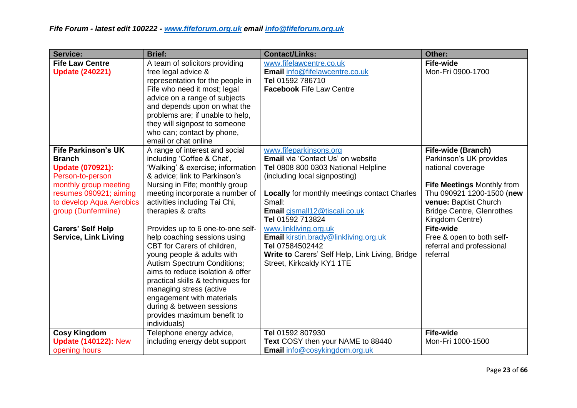| <b>Service:</b>                                                                                                                                                                                  | <b>Brief:</b>                                                                                                                                                                                                                                                                                                                                                                     | <b>Contact/Links:</b>                                                                                                                                                                                                                                     | Other:                                                                                                                                                                                                               |
|--------------------------------------------------------------------------------------------------------------------------------------------------------------------------------------------------|-----------------------------------------------------------------------------------------------------------------------------------------------------------------------------------------------------------------------------------------------------------------------------------------------------------------------------------------------------------------------------------|-----------------------------------------------------------------------------------------------------------------------------------------------------------------------------------------------------------------------------------------------------------|----------------------------------------------------------------------------------------------------------------------------------------------------------------------------------------------------------------------|
| <b>Fife Law Centre</b><br><b>Update (240221)</b>                                                                                                                                                 | A team of solicitors providing<br>free legal advice &<br>representation for the people in<br>Fife who need it most; legal<br>advice on a range of subjects<br>and depends upon on what the<br>problems are; if unable to help,<br>they will signpost to someone<br>who can; contact by phone,<br>email or chat online                                                             | www.fifelawcentre.co.uk<br>Email info@fifelawcentre.co.uk<br>Tel 01592 786710<br><b>Facebook Fife Law Centre</b>                                                                                                                                          | <b>Fife-wide</b><br>Mon-Fri 0900-1700                                                                                                                                                                                |
| <b>Fife Parkinson's UK</b><br><b>Branch</b><br><b>Update (070921):</b><br>Person-to-person<br>monthly group meeting<br>resumes 090921; aiming<br>to develop Aqua Aerobics<br>group (Dunfermline) | A range of interest and social<br>including 'Coffee & Chat',<br>'Walking' & exercise; information<br>& advice; link to Parkinson's<br>Nursing in Fife; monthly group<br>meeting incorporate a number of<br>activities including Tai Chi,<br>therapies & crafts                                                                                                                    | www.fifeparkinsons.org<br>Email via 'Contact Us' on website<br>Tel 0808 800 0303 National Helpline<br>(including local signposting)<br><b>Locally</b> for monthly meetings contact Charles<br>Small:<br>Email cjsmall12@tiscali.co.uk<br>Tel 01592 713824 | Fife-wide (Branch)<br>Parkinson's UK provides<br>national coverage<br><b>Fife Meetings Monthly from</b><br>Thu 090921 1200-1500 (new<br>venue: Baptist Church<br><b>Bridge Centre, Glenrothes</b><br>Kingdom Centre) |
| <b>Carers' Self Help</b><br><b>Service, Link Living</b>                                                                                                                                          | Provides up to 6 one-to-one self-<br>help coaching sessions using<br>CBT for Carers of children,<br>young people & adults with<br><b>Autism Spectrum Conditions;</b><br>aims to reduce isolation & offer<br>practical skills & techniques for<br>managing stress (active<br>engagement with materials<br>during & between sessions<br>provides maximum benefit to<br>individuals) | www.linkliving.org.uk<br>Email kirstin.brady@linkliving.org.uk<br>Tel 07584502442<br>Write to Carers' Self Help, Link Living, Bridge<br>Street, Kirkcaldy KY1 1TE                                                                                         | <b>Fife-wide</b><br>Free & open to both self-<br>referral and professional<br>referral                                                                                                                               |
| <b>Cosy Kingdom</b><br><b>Update (140122): New</b><br>opening hours                                                                                                                              | Telephone energy advice,<br>including energy debt support                                                                                                                                                                                                                                                                                                                         | Tel 01592 807930<br>Text COSY then your NAME to 88440<br><b>Email</b> info@cosykingdom.org.uk                                                                                                                                                             | <b>Fife-wide</b><br>Mon-Fri 1000-1500                                                                                                                                                                                |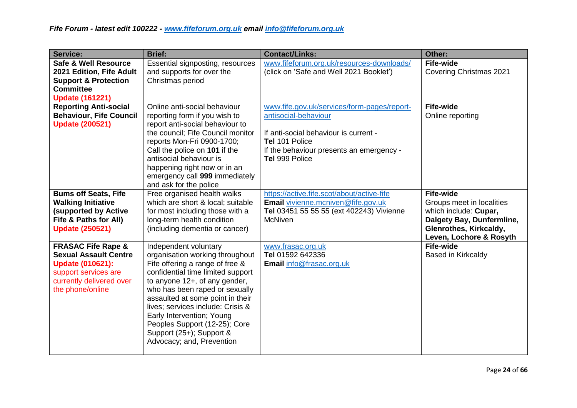| <b>Service:</b>                                                                                                                                                  | <b>Brief:</b>                                                                                                                                                                                                                                                                                                                                                                                       | <b>Contact/Links:</b>                                                                                                                                                                        | Other:                                                                                                                                                   |
|------------------------------------------------------------------------------------------------------------------------------------------------------------------|-----------------------------------------------------------------------------------------------------------------------------------------------------------------------------------------------------------------------------------------------------------------------------------------------------------------------------------------------------------------------------------------------------|----------------------------------------------------------------------------------------------------------------------------------------------------------------------------------------------|----------------------------------------------------------------------------------------------------------------------------------------------------------|
| <b>Safe &amp; Well Resource</b><br>2021 Edition, Fife Adult<br><b>Support &amp; Protection</b><br><b>Committee</b><br><b>Update (161221)</b>                     | Essential signposting, resources<br>and supports for over the<br>Christmas period                                                                                                                                                                                                                                                                                                                   | www.fifeforum.org.uk/resources-downloads/<br>(click on 'Safe and Well 2021 Booklet')                                                                                                         | <b>Fife-wide</b><br><b>Covering Christmas 2021</b>                                                                                                       |
| <b>Reporting Anti-social</b><br><b>Behaviour, Fife Council</b><br><b>Update (200521)</b>                                                                         | Online anti-social behaviour<br>reporting form if you wish to<br>report anti-social behaviour to<br>the council; Fife Council monitor<br>reports Mon-Fri 0900-1700;<br>Call the police on 101 if the<br>antisocial behaviour is<br>happening right now or in an<br>emergency call 999 immediately<br>and ask for the police                                                                         | www.fife.gov.uk/services/form-pages/report-<br>antisocial-behaviour<br>If anti-social behaviour is current -<br>Tel 101 Police<br>If the behaviour presents an emergency -<br>Tel 999 Police | <b>Fife-wide</b><br>Online reporting                                                                                                                     |
| <b>Bums off Seats, Fife</b><br><b>Walking Initiative</b><br>(supported by Active<br>Fife & Paths for All)<br><b>Update (250521)</b>                              | Free organised health walks<br>which are short & local; suitable<br>for most including those with a<br>long-term health condition<br>(including dementia or cancer)                                                                                                                                                                                                                                 | https://active.fife.scot/about/active-fife<br>Email vivienne.mcniven@fife.gov.uk<br>Tel 03451 55 55 55 (ext 402243) Vivienne<br><b>McNiven</b>                                               | <b>Fife-wide</b><br>Groups meet in localities<br>which include: Cupar,<br>Dalgety Bay, Dunfermline,<br>Glenrothes, Kirkcaldy,<br>Leven, Lochore & Rosyth |
| <b>FRASAC Fife Rape &amp;</b><br><b>Sexual Assault Centre</b><br><b>Update (010621):</b><br>support services are<br>currently delivered over<br>the phone/online | Independent voluntary<br>organisation working throughout<br>Fife offering a range of free &<br>confidential time limited support<br>to anyone 12+, of any gender,<br>who has been raped or sexually<br>assaulted at some point in their<br>lives; services include: Crisis &<br>Early Intervention; Young<br>Peoples Support (12-25); Core<br>Support (25+); Support &<br>Advocacy; and, Prevention | www.frasac.org.uk<br>Tel 01592 642336<br>Email info@frasac.org.uk                                                                                                                            | <b>Fife-wide</b><br><b>Based in Kirkcaldy</b>                                                                                                            |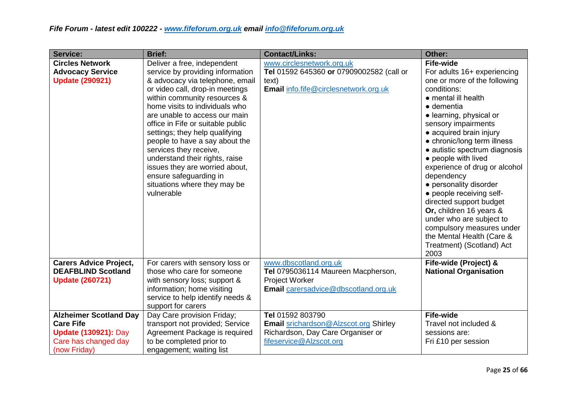| <b>Service:</b>                                                                                                          | <b>Brief:</b>                                                                                                                                                                                                                                                                                                                                                                                                                                                                                                           | <b>Contact/Links:</b>                                                                                                               | Other:                                                                                                                                                                                                                                                                                                                                                                                                                                                                                                                                                                                                        |
|--------------------------------------------------------------------------------------------------------------------------|-------------------------------------------------------------------------------------------------------------------------------------------------------------------------------------------------------------------------------------------------------------------------------------------------------------------------------------------------------------------------------------------------------------------------------------------------------------------------------------------------------------------------|-------------------------------------------------------------------------------------------------------------------------------------|---------------------------------------------------------------------------------------------------------------------------------------------------------------------------------------------------------------------------------------------------------------------------------------------------------------------------------------------------------------------------------------------------------------------------------------------------------------------------------------------------------------------------------------------------------------------------------------------------------------|
| <b>Circles Network</b><br><b>Advocacy Service</b><br><b>Update (290921)</b>                                              | Deliver a free, independent<br>service by providing information<br>& advocacy via telephone, email<br>or video call, drop-in meetings<br>within community resources &<br>home visits to individuals who<br>are unable to access our main<br>office in Fife or suitable public<br>settings; they help qualifying<br>people to have a say about the<br>services they receive,<br>understand their rights, raise<br>issues they are worried about,<br>ensure safeguarding in<br>situations where they may be<br>vulnerable | www.circlesnetwork.org.uk<br>Tel 01592 645360 or 07909002582 (call or<br>text)<br>Email info.fife@circlesnetwork.org.uk             | <b>Fife-wide</b><br>For adults 16+ experiencing<br>one or more of the following<br>conditions:<br>$\bullet$ mental ill health<br>$\bullet$ dementia<br>• learning, physical or<br>sensory impairments<br>• acquired brain injury<br>• chronic/long term illness<br>• autistic spectrum diagnosis<br>• people with lived<br>experience of drug or alcohol<br>dependency<br>• personality disorder<br>• people receiving self-<br>directed support budget<br>Or, children 16 years &<br>under who are subject to<br>compulsory measures under<br>the Mental Health (Care &<br>Treatment) (Scotland) Act<br>2003 |
| <b>Carers Advice Project,</b><br><b>DEAFBLIND Scotland</b><br><b>Update (260721)</b>                                     | For carers with sensory loss or<br>those who care for someone<br>with sensory loss; support &<br>information; home visiting<br>service to help identify needs &<br>support for carers                                                                                                                                                                                                                                                                                                                                   | www.dbscotland.org.uk<br>Tel 0795036114 Maureen Macpherson,<br><b>Project Worker</b><br><b>Email</b> carersadvice@dbscotland.org.uk | Fife-wide (Project) &<br><b>National Organisation</b>                                                                                                                                                                                                                                                                                                                                                                                                                                                                                                                                                         |
| <b>Alzheimer Scotland Day</b><br><b>Care Fife</b><br><b>Update (130921): Day</b><br>Care has changed day<br>(now Friday) | Day Care provision Friday;<br>transport not provided; Service<br>Agreement Package is required<br>to be completed prior to<br>engagement; waiting list                                                                                                                                                                                                                                                                                                                                                                  | Tel 01592 803790<br><b>Email srichardson@Alzscot.org Shirley</b><br>Richardson, Day Care Organiser or<br>fifeservice@Alzscot.org    | <b>Fife-wide</b><br>Travel not included &<br>sessions are:<br>Fri £10 per session                                                                                                                                                                                                                                                                                                                                                                                                                                                                                                                             |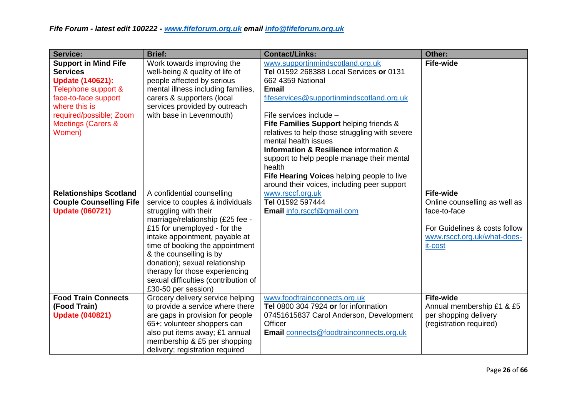| <b>Service:</b>                                                                                                                                                                                                 | <b>Brief:</b>                                                                                                                                                                                                                                                                                                                                                                                  | <b>Contact/Links:</b>                                                                                                                                                                                                                                                                                                                                                                                                                                                                                        | Other:                                                                                                                                       |
|-----------------------------------------------------------------------------------------------------------------------------------------------------------------------------------------------------------------|------------------------------------------------------------------------------------------------------------------------------------------------------------------------------------------------------------------------------------------------------------------------------------------------------------------------------------------------------------------------------------------------|--------------------------------------------------------------------------------------------------------------------------------------------------------------------------------------------------------------------------------------------------------------------------------------------------------------------------------------------------------------------------------------------------------------------------------------------------------------------------------------------------------------|----------------------------------------------------------------------------------------------------------------------------------------------|
| <b>Support in Mind Fife</b><br><b>Services</b><br><b>Update (140621):</b><br>Telephone support &<br>face-to-face support<br>where this is<br>required/possible; Zoom<br><b>Meetings (Carers &amp;</b><br>Women) | Work towards improving the<br>well-being & quality of life of<br>people affected by serious<br>mental illness including families,<br>carers & supporters (local<br>services provided by outreach<br>with base in Levenmouth)                                                                                                                                                                   | www.supportinmindscotland.org.uk<br>Tel 01592 268388 Local Services or 0131<br>662 4359 National<br><b>Email</b><br>fifeservices@supportinmindscotland.org.uk<br>Fife services include -<br>Fife Families Support helping friends &<br>relatives to help those struggling with severe<br>mental health issues<br>Information & Resilience information &<br>support to help people manage their mental<br>health<br>Fife Hearing Voices helping people to live<br>around their voices, including peer support | <b>Fife-wide</b>                                                                                                                             |
| <b>Relationships Scotland</b><br><b>Couple Counselling Fife</b><br><b>Update (060721)</b>                                                                                                                       | A confidential counselling<br>service to couples & individuals<br>struggling with their<br>marriage/relationship (£25 fee -<br>£15 for unemployed - for the<br>intake appointment, payable at<br>time of booking the appointment<br>& the counselling is by<br>donation); sexual relationship<br>therapy for those experiencing<br>sexual difficulties (contribution of<br>£30-50 per session) | www.rsccf.org.uk<br>Tel 01592 597444<br>Email info.rsccf@gmail.com                                                                                                                                                                                                                                                                                                                                                                                                                                           | <b>Fife-wide</b><br>Online counselling as well as<br>face-to-face<br>For Guidelines & costs follow<br>www.rsccf.org.uk/what-does-<br>it-cost |
| <b>Food Train Connects</b><br>(Food Train)<br><b>Update (040821)</b>                                                                                                                                            | Grocery delivery service helping<br>to provide a service where there<br>are gaps in provision for people<br>65+; volunteer shoppers can<br>also put items away; £1 annual<br>membership & £5 per shopping<br>delivery; registration required                                                                                                                                                   | www.foodtrainconnects.org.uk<br>Tel 0800 304 7924 or for information<br>07451615837 Carol Anderson, Development<br>Officer<br><b>Email</b> connects@foodtrainconnects.org.uk                                                                                                                                                                                                                                                                                                                                 | <b>Fife-wide</b><br>Annual membership £1 & £5<br>per shopping delivery<br>(registration required)                                            |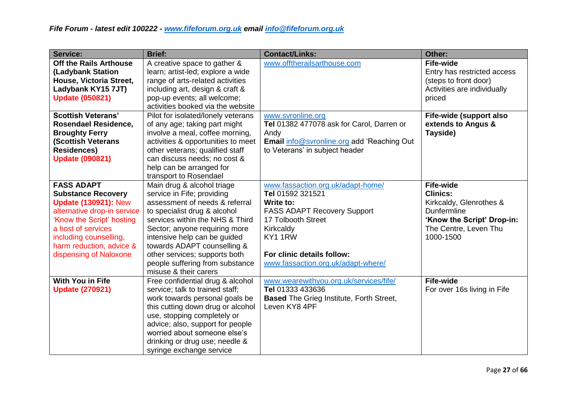| <b>Service:</b>                                                                                                                                                                                                                                 | <b>Brief:</b>                                                                                                                                                                                                                                                                                                                                              | <b>Contact/Links:</b>                                                                                                                                                                                                      | Other:                                                                                                                                            |
|-------------------------------------------------------------------------------------------------------------------------------------------------------------------------------------------------------------------------------------------------|------------------------------------------------------------------------------------------------------------------------------------------------------------------------------------------------------------------------------------------------------------------------------------------------------------------------------------------------------------|----------------------------------------------------------------------------------------------------------------------------------------------------------------------------------------------------------------------------|---------------------------------------------------------------------------------------------------------------------------------------------------|
| <b>Off the Rails Arthouse</b><br>(Ladybank Station<br>House, Victoria Street,<br>Ladybank KY15 7JT)<br><b>Update (050821)</b>                                                                                                                   | A creative space to gather &<br>learn; artist-led; explore a wide<br>range of arts-related activities<br>including art, design & craft &<br>pop-up events; all welcome;<br>activities booked via the website                                                                                                                                               | www.offtherailsarthouse.com                                                                                                                                                                                                | <b>Fife-wide</b><br>Entry has restricted access<br>(steps to front door)<br>Activities are individually<br>priced                                 |
| <b>Scottish Veterans'</b><br><b>Rosendael Residence,</b><br><b>Broughty Ferry</b><br><b>(Scottish Veterans</b><br><b>Residences)</b><br><b>Update (090821)</b>                                                                                  | Pilot for isolated/lonely veterans<br>of any age; taking part might<br>involve a meal, coffee morning,<br>activities & opportunities to meet<br>other veterans; qualified staff<br>can discuss needs; no cost &<br>help can be arranged for<br>transport to Rosendael                                                                                      | www.svronline.org<br>Tel 01382 477078 ask for Carol, Darren or<br>Andy<br>Email info@svronline.org add 'Reaching Out<br>to Veterans' in subject header                                                                     | Fife-wide (support also<br>extends to Angus &<br>Tayside)                                                                                         |
| <b>FASS ADAPT</b><br><b>Substance Recovery</b><br><b>Update (130921): New</b><br>alternative drop-in service<br>'Know the Script' hosting<br>a host of services<br>including counselling,<br>harm reduction, advice &<br>dispensing of Naloxone | Main drug & alcohol triage<br>service in Fife; providing<br>assessment of needs & referral<br>to specialist drug & alcohol<br>services within the NHS & Third<br>Sector; anyone requiring more<br>intensive help can be guided<br>towards ADAPT counselling &<br>other services; supports both<br>people suffering from substance<br>misuse & their carers | www.fassaction.org.uk/adapt-home/<br>Tel 01592 321521<br>Write to:<br><b>FASS ADAPT Recovery Support</b><br>17 Tolbooth Street<br>Kirkcaldy<br>KY1 1RW<br>For clinic details follow:<br>www.fassaction.org.uk/adapt-where/ | <b>Fife-wide</b><br><b>Clinics:</b><br>Kirkcaldy, Glenrothes &<br>Dunfermline<br>'Know the Script' Drop-in:<br>The Centre, Leven Thu<br>1000-1500 |
| <b>With You in Fife</b><br><b>Update (270921)</b>                                                                                                                                                                                               | Free confidential drug & alcohol<br>service; talk to trained staff;<br>work towards personal goals be<br>this cutting down drug or alcohol<br>use, stopping completely or<br>advice; also, support for people<br>worried about someone else's<br>drinking or drug use; needle &<br>syringe exchange service                                                | www.wearewithyou.org.uk/services/fife/<br>Tel 01333 433636<br><b>Based</b> The Grieg Institute, Forth Street,<br>Leven KY8 4PF                                                                                             | <b>Fife-wide</b><br>For over 16s living in Fife                                                                                                   |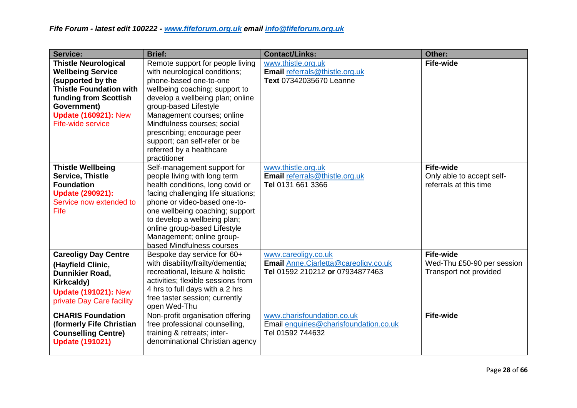| <b>Service:</b>                                                                                                                                                                                            | <b>Brief:</b>                                                                                                                                                                                                                                                                                                                                                       | <b>Contact/Links:</b>                                                                           | Other:                                                                   |
|------------------------------------------------------------------------------------------------------------------------------------------------------------------------------------------------------------|---------------------------------------------------------------------------------------------------------------------------------------------------------------------------------------------------------------------------------------------------------------------------------------------------------------------------------------------------------------------|-------------------------------------------------------------------------------------------------|--------------------------------------------------------------------------|
| <b>Thistle Neurological</b><br><b>Wellbeing Service</b><br>(supported by the<br><b>Thistle Foundation with</b><br>funding from Scottish<br>Government)<br><b>Update (160921): New</b><br>Fife-wide service | Remote support for people living<br>with neurological conditions;<br>phone-based one-to-one<br>wellbeing coaching; support to<br>develop a wellbeing plan; online<br>group-based Lifestyle<br>Management courses; online<br>Mindfulness courses; social<br>prescribing; encourage peer<br>support; can self-refer or be<br>referred by a healthcare<br>practitioner | www.thistle.org.uk<br>Email referrals@thistle.org.uk<br>Text 07342035670 Leanne                 | <b>Fife-wide</b>                                                         |
| <b>Thistle Wellbeing</b><br><b>Service, Thistle</b><br><b>Foundation</b><br><b>Update (290921):</b><br>Service now extended to<br>Fife                                                                     | Self-management support for<br>people living with long term<br>health conditions, long covid or<br>facing challenging life situations;<br>phone or video-based one-to-<br>one wellbeing coaching; support<br>to develop a wellbeing plan;<br>online group-based Lifestyle<br>Management; online group-<br>based Mindfulness courses                                 | www.thistle.org.uk<br>Email referrals@thistle.org.uk<br>Tel 0131 661 3366                       | <b>Fife-wide</b><br>Only able to accept self-<br>referrals at this time  |
| <b>Careoligy Day Centre</b><br>(Hayfield Clinic,<br>Dunnikier Road,<br><b>Kirkcaldy)</b><br><b>Update (191021): New</b><br>private Day Care facility                                                       | Bespoke day service for 60+<br>with disability/frailty/dementia;<br>recreational, leisure & holistic<br>activities; flexible sessions from<br>4 hrs to full days with a 2 hrs<br>free taster session; currently<br>open Wed-Thu                                                                                                                                     | www.careoligy.co.uk<br>Email Anne. Ciarletta@careoligy.co.uk<br>Tel 01592 210212 or 07934877463 | <b>Fife-wide</b><br>Wed-Thu £50-90 per session<br>Transport not provided |
| <b>CHARIS Foundation</b><br>(formerly Fife Christian<br><b>Counselling Centre)</b><br><b>Update (191021)</b>                                                                                               | Non-profit organisation offering<br>free professional counselling,<br>training & retreats; inter-<br>denominational Christian agency                                                                                                                                                                                                                                | www.charisfoundation.co.uk<br>Email enquiries@charisfoundation.co.uk<br>Tel 01592 744632        | <b>Fife-wide</b>                                                         |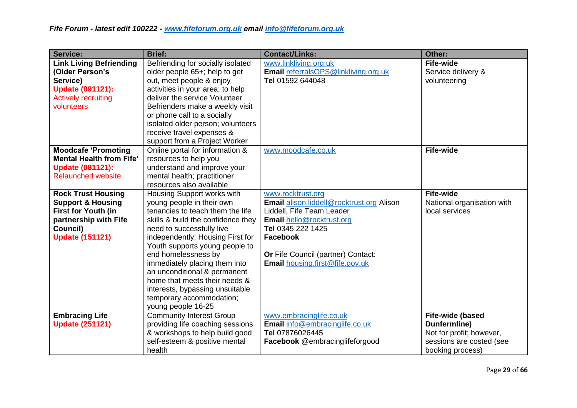| <b>Service:</b>                 | <b>Brief:</b>                      | <b>Contact/Links:</b>                            | Other:                     |
|---------------------------------|------------------------------------|--------------------------------------------------|----------------------------|
| <b>Link Living Befriending</b>  | Befriending for socially isolated  | www.linkliving.org.uk                            | <b>Fife-wide</b>           |
| (Older Person's                 | older people 65+; help to get      | <b>Email</b> referralsOPS@linkliving.org.uk      | Service delivery &         |
| Service)                        | out, meet people & enjoy           | Tel 01592 644048                                 | volunteering               |
| <b>Update (091121):</b>         | activities in your area; to help   |                                                  |                            |
| <b>Actively recruiting</b>      | deliver the service Volunteer      |                                                  |                            |
| volunteers                      | Befrienders make a weekly visit    |                                                  |                            |
|                                 | or phone call to a socially        |                                                  |                            |
|                                 | isolated older person; volunteers  |                                                  |                            |
|                                 | receive travel expenses &          |                                                  |                            |
|                                 | support from a Project Worker      |                                                  |                            |
| <b>Moodcafe 'Promoting</b>      | Online portal for information &    | www.moodcafe.co.uk                               | <b>Fife-wide</b>           |
| <b>Mental Health from Fife'</b> | resources to help you              |                                                  |                            |
| <b>Update (081121):</b>         | understand and improve your        |                                                  |                            |
| <b>Relaunched website</b>       | mental health; practitioner        |                                                  |                            |
|                                 | resources also available           |                                                  |                            |
| <b>Rock Trust Housing</b>       | Housing Support works with         | www.rocktrust.org                                | <b>Fife-wide</b>           |
| <b>Support &amp; Housing</b>    | young people in their own          | <b>Email alison.liddell@rocktrust.org Alison</b> | National organisation with |
| First for Youth (in             | tenancies to teach them the life   | Liddell, Fife Team Leader                        | local services             |
| partnership with Fife           | skills & build the confidence they | <b>Email hello@rocktrust.org</b>                 |                            |
| Council)                        | need to successfully live          | Tel 0345 222 1425                                |                            |
| <b>Update (151121)</b>          | independently; Housing First for   | <b>Facebook</b>                                  |                            |
|                                 | Youth supports young people to     |                                                  |                            |
|                                 | end homelessness by                | Or Fife Council (partner) Contact:               |                            |
|                                 | immediately placing them into      | <b>Email housing.first@fife.gov.uk</b>           |                            |
|                                 | an unconditional & permanent       |                                                  |                            |
|                                 | home that meets their needs &      |                                                  |                            |
|                                 | interests, bypassing unsuitable    |                                                  |                            |
|                                 | temporary accommodation;           |                                                  |                            |
|                                 | young people 16-25                 |                                                  |                            |
| <b>Embracing Life</b>           | <b>Community Interest Group</b>    | www.embracinglife.co.uk                          | Fife-wide (based           |
| <b>Update (251121)</b>          | providing life coaching sessions   | Email info@embracinglife.co.uk                   | Dunfermline)               |
|                                 | & workshops to help build good     | Tel 07876026445                                  | Not for profit; however,   |
|                                 | self-esteem & positive mental      | Facebook @embracinglifeforgood                   | sessions are costed (see   |
|                                 | health                             |                                                  | booking process)           |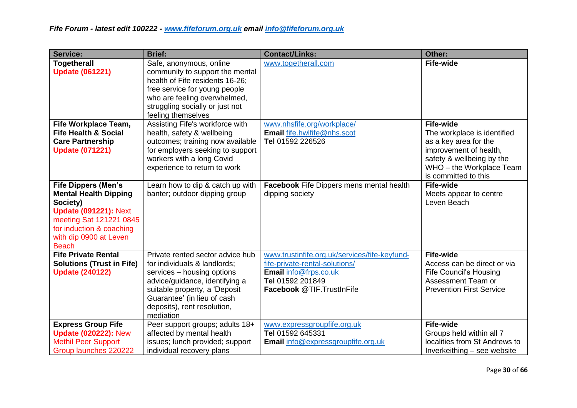| <b>Service:</b>                                                                                                                                                                                         | <b>Brief:</b>                                                                                                                                                                                                                                | <b>Contact/Links:</b>                                                                                                                                     | Other:                                                                                                                                                                              |
|---------------------------------------------------------------------------------------------------------------------------------------------------------------------------------------------------------|----------------------------------------------------------------------------------------------------------------------------------------------------------------------------------------------------------------------------------------------|-----------------------------------------------------------------------------------------------------------------------------------------------------------|-------------------------------------------------------------------------------------------------------------------------------------------------------------------------------------|
| <b>Togetherall</b><br><b>Update (061221)</b>                                                                                                                                                            | Safe, anonymous, online<br>community to support the mental<br>health of Fife residents 16-26;<br>free service for young people<br>who are feeling overwhelmed,<br>struggling socially or just not<br>feeling themselves                      | www.togetherall.com                                                                                                                                       | <b>Fife-wide</b>                                                                                                                                                                    |
| <b>Fife Workplace Team,</b><br><b>Fife Health &amp; Social</b><br><b>Care Partnership</b><br><b>Update (071221)</b>                                                                                     | Assisting Fife's workforce with<br>health, safety & wellbeing<br>outcomes; training now available<br>for employers seeking to support<br>workers with a long Covid<br>experience to return to work                                           | www.nhsfife.org/workplace/<br>Email fife.hwlfife@nhs.scot<br>Tel 01592 226526                                                                             | <b>Fife-wide</b><br>The workplace is identified<br>as a key area for the<br>improvement of health,<br>safety & wellbeing by the<br>WHO - the Workplace Team<br>is committed to this |
| <b>Fife Dippers (Men's</b><br><b>Mental Health Dipping</b><br>Society)<br><b>Update (091221): Next</b><br>meeting Sat 121221 0845<br>for induction & coaching<br>with dip 0900 at Leven<br><b>Beach</b> | Learn how to dip & catch up with<br>banter; outdoor dipping group                                                                                                                                                                            | <b>Facebook</b> Fife Dippers mens mental health<br>dipping society                                                                                        | <b>Fife-wide</b><br>Meets appear to centre<br>Leven Beach                                                                                                                           |
| <b>Fife Private Rental</b><br><b>Solutions (Trust in Fife)</b><br><b>Update (240122)</b>                                                                                                                | Private rented sector advice hub<br>for individuals & landlords;<br>services - housing options<br>advice/guidance, identifying a<br>suitable property, a 'Deposit<br>Guarantee' (in lieu of cash<br>deposits), rent resolution,<br>mediation | www.trustinfife.org.uk/services/fife-keyfund-<br>fife-private-rental-solutions/<br>Email info@frps.co.uk<br>Tel 01592 201849<br>Facebook @TIF.TrustInFife | <b>Fife-wide</b><br>Access can be direct or via<br><b>Fife Council's Housing</b><br>Assessment Team or<br><b>Prevention First Service</b>                                           |
| <b>Express Group Fife</b><br><b>Update (020222): New</b><br><b>Methil Peer Support</b><br>Group launches 220222                                                                                         | Peer support groups; adults 18+<br>affected by mental health<br>issues; lunch provided; support<br>individual recovery plans                                                                                                                 | www.expressgroupfife.org.uk<br>Tel 01592 645331<br>Email info@expressgroupfife.org.uk                                                                     | <b>Fife-wide</b><br>Groups held within all 7<br>localities from St Andrews to<br>Inverkeithing - see website                                                                        |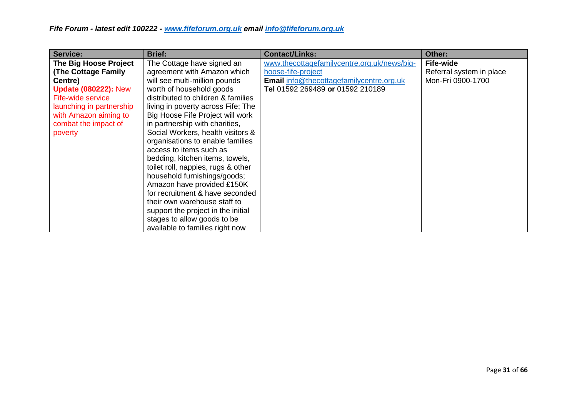| Service:                    | <b>Brief:</b>                      | <b>Contact/Links:</b>                       | Other:                   |
|-----------------------------|------------------------------------|---------------------------------------------|--------------------------|
| The Big Hoose Project       | The Cottage have signed an         | www.thecottagefamilycentre.org.uk/news/big- | <b>Fife-wide</b>         |
| <b>(The Cottage Family</b>  | agreement with Amazon which        | hoose-fife-project                          | Referral system in place |
| Centre)                     | will see multi-million pounds      | Email info@thecottagefamilycentre.org.uk    | Mon-Fri 0900-1700        |
| <b>Update (080222): New</b> | worth of household goods           | Tel 01592 269489 or 01592 210189            |                          |
| Fife-wide service           | distributed to children & families |                                             |                          |
| launching in partnership    | living in poverty across Fife; The |                                             |                          |
| with Amazon aiming to       | Big Hoose Fife Project will work   |                                             |                          |
| combat the impact of        | in partnership with charities,     |                                             |                          |
| poverty                     | Social Workers, health visitors &  |                                             |                          |
|                             | organisations to enable families   |                                             |                          |
|                             | access to items such as            |                                             |                          |
|                             | bedding, kitchen items, towels,    |                                             |                          |
|                             | toilet roll, nappies, rugs & other |                                             |                          |
|                             | household furnishings/goods;       |                                             |                          |
|                             | Amazon have provided £150K         |                                             |                          |
|                             | for recruitment & have seconded    |                                             |                          |
|                             | their own warehouse staff to       |                                             |                          |
|                             | support the project in the initial |                                             |                          |
|                             | stages to allow goods to be        |                                             |                          |
|                             | available to families right now    |                                             |                          |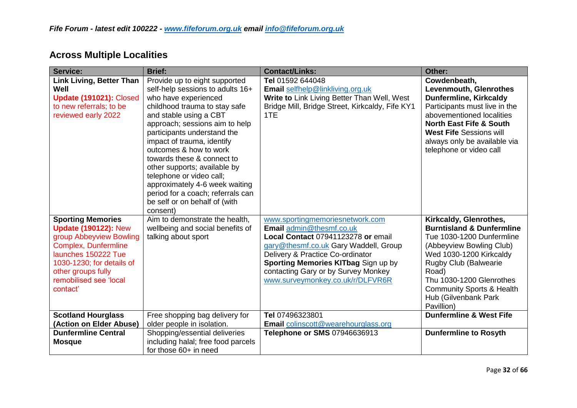# **Across Multiple Localities**

| <b>Service:</b>                                                                                                                                                                                                                   | <b>Brief:</b>                                                                                                                                                                                                                                                                                                                                                                                                                                                                               | <b>Contact/Links:</b>                                                                                                                                                                                                                                                                            | Other:                                                                                                                                                                                                                                                                                         |
|-----------------------------------------------------------------------------------------------------------------------------------------------------------------------------------------------------------------------------------|---------------------------------------------------------------------------------------------------------------------------------------------------------------------------------------------------------------------------------------------------------------------------------------------------------------------------------------------------------------------------------------------------------------------------------------------------------------------------------------------|--------------------------------------------------------------------------------------------------------------------------------------------------------------------------------------------------------------------------------------------------------------------------------------------------|------------------------------------------------------------------------------------------------------------------------------------------------------------------------------------------------------------------------------------------------------------------------------------------------|
| <b>Link Living, Better Than</b><br>Well<br>Update (191021): Closed<br>to new referrals; to be<br>reviewed early 2022                                                                                                              | Provide up to eight supported<br>self-help sessions to adults 16+<br>who have experienced<br>childhood trauma to stay safe<br>and stable using a CBT<br>approach; sessions aim to help<br>participants understand the<br>impact of trauma, identify<br>outcomes & how to work<br>towards these & connect to<br>other supports; available by<br>telephone or video call;<br>approximately 4-6 week waiting<br>period for a coach; referrals can<br>be self or on behalf of (with<br>consent) | Tel 01592 644048<br>Email selfhelp@linkliving.org.uk<br>Write to Link Living Better Than Well, West<br>Bridge Mill, Bridge Street, Kirkcaldy, Fife KY1<br>1TE                                                                                                                                    | Cowdenbeath,<br>Levenmouth, Glenrothes<br><b>Dunfermline, Kirkcaldy</b><br>Participants must live in the<br>abovementioned localities<br><b>North East Fife &amp; South</b><br><b>West Fife Sessions will</b><br>always only be available via<br>telephone or video call                       |
| <b>Sporting Memories</b><br><b>Update (190122): New</b><br>group Abbeyview Bowling<br><b>Complex, Dunfermline</b><br>launches 150222 Tue<br>1030-1230; for details of<br>other groups fully<br>remobilised see 'local<br>contact' | Aim to demonstrate the health,<br>wellbeing and social benefits of<br>talking about sport                                                                                                                                                                                                                                                                                                                                                                                                   | www.sportingmemoriesnetwork.com<br>Email admin@thesmf.co.uk<br>Local Contact 07941123278 or email<br>gary@thesmf.co.uk Gary Waddell, Group<br>Delivery & Practice Co-ordinator<br>Sporting Memories KITbag Sign up by<br>contacting Gary or by Survey Monkey<br>www.surveymonkey.co.uk/r/DLFVR6R | Kirkcaldy, Glenrothes,<br><b>Burntisland &amp; Dunfermline</b><br>Tue 1030-1200 Dunfermline<br>(Abbeyview Bowling Club)<br>Wed 1030-1200 Kirkcaldy<br>Rugby Club (Balwearie<br>Road)<br>Thu 1030-1200 Glenrothes<br><b>Community Sports &amp; Health</b><br>Hub (Gilvenbank Park<br>Pavillion) |
| <b>Scotland Hourglass</b><br>(Action on Elder Abuse)                                                                                                                                                                              | Free shopping bag delivery for<br>older people in isolation.                                                                                                                                                                                                                                                                                                                                                                                                                                | Tel 07496323801<br><b>Email</b> colinscott@wearehourglass.org                                                                                                                                                                                                                                    | <b>Dunfermline &amp; West Fife</b>                                                                                                                                                                                                                                                             |
| <b>Dunfermline Central</b><br><b>Mosque</b>                                                                                                                                                                                       | Shopping/essential deliveries<br>including halal; free food parcels<br>for those 60+ in need                                                                                                                                                                                                                                                                                                                                                                                                | Telephone or SMS 07946636913                                                                                                                                                                                                                                                                     | <b>Dunfermline to Rosyth</b>                                                                                                                                                                                                                                                                   |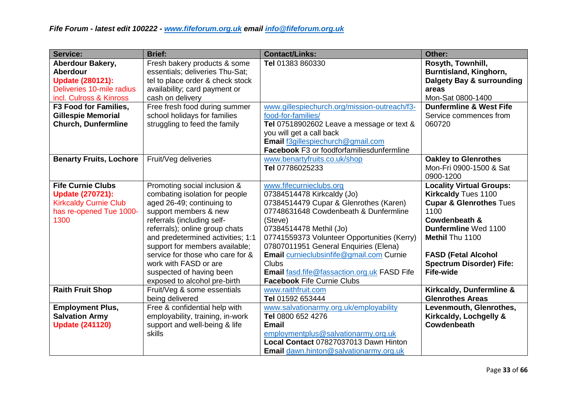| <b>Service:</b>                | <b>Brief:</b>                     | <b>Contact/Links:</b>                              | Other:                             |
|--------------------------------|-----------------------------------|----------------------------------------------------|------------------------------------|
| Aberdour Bakery,               | Fresh bakery products & some      | Tel 01383 860330                                   | Rosyth, Townhill,                  |
| <b>Aberdour</b>                | essentials; deliveries Thu-Sat;   |                                                    | Burntisland, Kinghorn,             |
| <b>Update (280121):</b>        | tel to place order & check stock  |                                                    | Dalgety Bay & surrounding          |
| Deliveries 10-mile radius      | availability; card payment or     |                                                    | areas                              |
| incl. Culross & Kinross        | cash on delivery                  |                                                    | Mon-Sat 0800-1400                  |
| F3 Food for Families,          | Free fresh food during summer     | www.gillespiechurch.org/mission-outreach/f3-       | <b>Dunfermline &amp; West Fife</b> |
| <b>Gillespie Memorial</b>      | school holidays for families      | food-for-families/                                 | Service commences from             |
| <b>Church, Dunfermline</b>     | struggling to feed the family     | Tel 07518902602 Leave a message or text &          | 060720                             |
|                                |                                   | you will get a call back                           |                                    |
|                                |                                   | Email f3gillespiechurch@gmail.com                  |                                    |
|                                |                                   | Facebook F3 or foodforfamiliesdunfermline          |                                    |
| <b>Benarty Fruits, Lochore</b> | Fruit/Veg deliveries              | www.benartyfruits.co.uk/shop                       | <b>Oakley to Glenrothes</b>        |
|                                |                                   | Tel 07786025233                                    | Mon-Fri 0900-1500 & Sat            |
|                                |                                   |                                                    | 0900-1200                          |
| <b>Fife Curnie Clubs</b>       | Promoting social inclusion &      | www.fifecurnieclubs.org                            | <b>Locality Virtual Groups:</b>    |
| <b>Update (270721):</b>        | combating isolation for people    | 07384514478 Kirkcaldy (Jo)                         | <b>Kirkcaldy Tues 1100</b>         |
| <b>Kirkcaldy Curnie Club</b>   | aged 26-49; continuing to         | 07384514479 Cupar & Glenrothes (Karen)             | <b>Cupar &amp; Glenrothes Tues</b> |
| has re-opened Tue 1000-        | support members & new             | 07748631648 Cowdenbeath & Dunfermline              | 1100                               |
| 1300                           | referrals (including self-        | (Steve)                                            | Cowdenbeath &                      |
|                                | referrals); online group chats    | 07384514478 Methil (Jo)                            | Dunfermline Wed 1100               |
|                                | and predetermined activities; 1:1 | 07741559373 Volunteer Opportunities (Kerry)        | Methil Thu 1100                    |
|                                | support for members available;    | 07807011951 General Enquiries (Elena)              |                                    |
|                                | service for those who care for &  | Email curnieclubsinfife@gmail.com Curnie           | <b>FASD (Fetal Alcohol</b>         |
|                                | work with FASD or are             | Clubs                                              | <b>Spectrum Disorder) Fife:</b>    |
|                                | suspected of having been          | <b>Email fasd.fife@fassaction.org.uk FASD Fife</b> | <b>Fife-wide</b>                   |
|                                | exposed to alcohol pre-birth      | <b>Facebook Fife Curnie Clubs</b>                  |                                    |
| <b>Raith Fruit Shop</b>        | Fruit/Veg & some essentials       | www.raithfruit.com                                 | Kirkcaldy, Dunfermline &           |
|                                | being delivered                   | Tel 01592 653444                                   | <b>Glenrothes Areas</b>            |
| <b>Employment Plus,</b>        | Free & confidential help with     | www.salvationarmy.org.uk/employability             | Levenmouth, Glenrothes,            |
| <b>Salvation Army</b>          | employability, training, in-work  | Tel 0800 652 4276                                  | Kirkcaldy, Lochgelly &             |
| <b>Update (241120)</b>         | support and well-being & life     | <b>Email</b>                                       | Cowdenbeath                        |
|                                | skills                            | employmentplus@salvationarmy.org.uk                |                                    |
|                                |                                   | Local Contact 07827037013 Dawn Hinton              |                                    |
|                                |                                   | <b>Email</b> dawn.hinton@salvationarmy.org.uk      |                                    |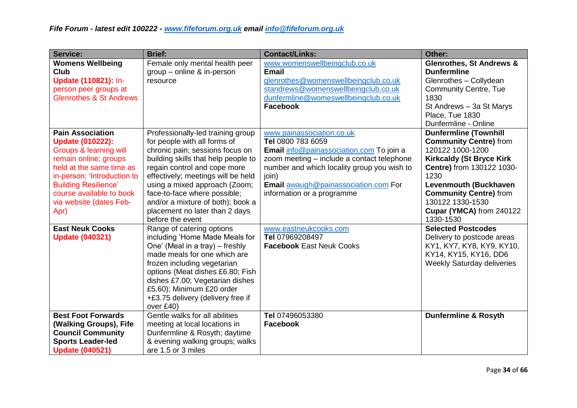| Service:                                                                                                                                                                                                                                                                  | <b>Brief:</b>                                                                                                                                                                                                                                                                                                                                                                 | <b>Contact/Links:</b>                                                                                                                                                                                                                                                  | Other:                                                                                                                                                                                                                                                                                  |
|---------------------------------------------------------------------------------------------------------------------------------------------------------------------------------------------------------------------------------------------------------------------------|-------------------------------------------------------------------------------------------------------------------------------------------------------------------------------------------------------------------------------------------------------------------------------------------------------------------------------------------------------------------------------|------------------------------------------------------------------------------------------------------------------------------------------------------------------------------------------------------------------------------------------------------------------------|-----------------------------------------------------------------------------------------------------------------------------------------------------------------------------------------------------------------------------------------------------------------------------------------|
| <b>Womens Wellbeing</b><br><b>Club</b><br>Update (110821): In-<br>person peer groups at<br><b>Glenrothes &amp; St Andrews</b>                                                                                                                                             | Female only mental health peer<br>$group$ – online & in-person<br>resource                                                                                                                                                                                                                                                                                                    | www.womenswellbeingclub.co.uk<br><b>Email</b><br>glenrothes@womenswellbeingclub.co.uk<br>standrews@womenswellbeingclub.co.uk<br>dunfermline@womeswellbeingclub.co.uk<br><b>Facebook</b>                                                                                | <b>Glenrothes, St Andrews &amp;</b><br><b>Dunfermline</b><br>Glenrothes - Collydean<br><b>Community Centre, Tue</b><br>1830<br>St Andrews - 3a St Marys<br>Place, Tue 1830<br>Dunfermline - Online                                                                                      |
| <b>Pain Association</b><br><b>Update (010222):</b><br><b>Groups &amp; learning will</b><br>remain online; groups<br>held at the same time as<br>in-person; 'Introduction to<br><b>Building Resilience'</b><br>course available to book<br>via website (dates Feb-<br>Apr) | Professionally-led training group<br>for people with all forms of<br>chronic pain; sessions focus on<br>building skills that help people to<br>regain control and cope more<br>effectively; meetings will be held<br>using a mixed approach (Zoom;<br>face-to-face where possible;<br>and/or a mixture of both); book a<br>placement no later than 2 days<br>before the event | www.painassociation.co.uk<br>Tel 0800 783 6059<br>Email info@painassociation.com To join a<br>zoom meeting - include a contact telephone<br>number and which locality group you wish to<br>join)<br>Email awaugh@painassociation.com For<br>information or a programme | <b>Dunfermline (Townhill</b><br><b>Community Centre)</b> from<br>120122 1000-1200<br><b>Kirkcaldy (St Bryce Kirk</b><br>Centre) from 130122 1030-<br>1230<br><b>Levenmouth (Buckhaven</b><br><b>Community Centre)</b> from<br>130122 1330-1530<br>Cupar (YMCA) from 240122<br>1330-1530 |
| <b>East Neuk Cooks</b><br><b>Update (040321)</b>                                                                                                                                                                                                                          | Range of catering options<br>including 'Home Made Meals for<br>One' (Meal in a tray) – freshly<br>made meals for one which are<br>frozen including vegetarian<br>options (Meat dishes £6.80; Fish<br>dishes £7.00; Vegetarian dishes<br>£5.60); Minimum £20 order<br>+£3.75 delivery (delivery free if<br>over £40)                                                           | www.eastneukcooks.com<br>Tel 07969208497<br><b>Facebook East Neuk Cooks</b>                                                                                                                                                                                            | <b>Selected Postcodes</b><br>Delivery to postcode areas<br>KY1, KY7, KY8, KY9, KY10,<br>KY14, KY15, KY16, DD6<br><b>Weekly Saturday deliveries</b>                                                                                                                                      |
| <b>Best Foot Forwards</b><br>(Walking Groups), Fife<br><b>Council Community</b><br><b>Sports Leader-led</b><br><b>Update (040521)</b>                                                                                                                                     | Gentle walks for all abilities<br>meeting at local locations in<br>Dunfermline & Rosyth; daytime<br>& evening walking groups; walks<br>are 1.5 or 3 miles                                                                                                                                                                                                                     | Tel 07496053380<br><b>Facebook</b>                                                                                                                                                                                                                                     | <b>Dunfermline &amp; Rosyth</b>                                                                                                                                                                                                                                                         |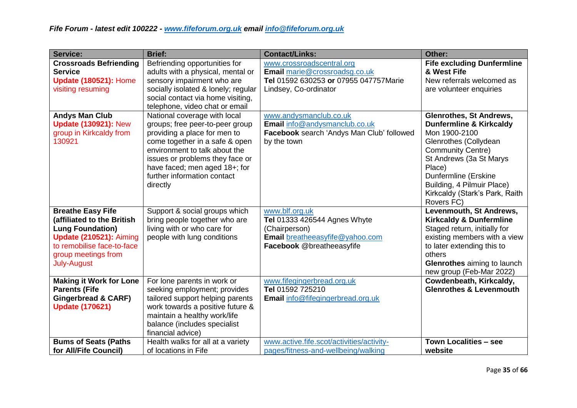| <b>Service:</b>                                                                                                                                                                                | <b>Brief:</b>                                                                                                                                                                                                                                                                     | <b>Contact/Links:</b>                                                                                                                  | Other:                                                                                                                                                                                                                                                                                |
|------------------------------------------------------------------------------------------------------------------------------------------------------------------------------------------------|-----------------------------------------------------------------------------------------------------------------------------------------------------------------------------------------------------------------------------------------------------------------------------------|----------------------------------------------------------------------------------------------------------------------------------------|---------------------------------------------------------------------------------------------------------------------------------------------------------------------------------------------------------------------------------------------------------------------------------------|
| <b>Crossroads Befriending</b><br><b>Service</b><br><b>Update (180521): Home</b><br>visiting resuming                                                                                           | Befriending opportunities for<br>adults with a physical, mental or<br>sensory impairment who are<br>socially isolated & lonely; regular<br>social contact via home visiting,<br>telephone, video chat or email                                                                    | www.crossroadscentral.org<br>Email marie@crossroadsg.co.uk<br>Tel 01592 630253 or 07955 047757Marie<br>Lindsey, Co-ordinator           | <b>Fife excluding Dunfermline</b><br>& West Fife<br>New referrals welcomed as<br>are volunteer enquiries                                                                                                                                                                              |
| <b>Andys Man Club</b><br><b>Update (130921): New</b><br>group in Kirkcaldy from<br>130921                                                                                                      | National coverage with local<br>groups; free peer-to-peer group<br>providing a place for men to<br>come together in a safe & open<br>environment to talk about the<br>issues or problems they face or<br>have faced; men aged 18+; for<br>further information contact<br>directly | www.andysmanclub.co.uk<br>Email info@andysmanclub.co.uk<br>Facebook search 'Andys Man Club' followed<br>by the town                    | <b>Glenrothes, St Andrews,</b><br><b>Dunfermline &amp; Kirkcaldy</b><br>Mon 1900-2100<br>Glenrothes (Collydean<br><b>Community Centre)</b><br>St Andrews (3a St Marys<br>Place)<br>Dunfermline (Erskine<br>Building, 4 Pilmuir Place)<br>Kirkcaldy (Stark's Park, Raith<br>Rovers FC) |
| <b>Breathe Easy Fife</b><br>(affiliated to the British<br><b>Lung Foundation)</b><br><b>Update (210521): Aiming</b><br>to remobilise face-to-face<br>group meetings from<br><b>July-August</b> | Support & social groups which<br>bring people together who are<br>living with or who care for<br>people with lung conditions                                                                                                                                                      | www.blf.org.uk<br><b>Tel 01333 426544 Agnes Whyte</b><br>(Chairperson)<br>Email breatheeasyfife@yahoo.com<br>Facebook @breatheeasyfife | Levenmouth, St Andrews,<br><b>Kirkcaldy &amp; Dunfermline</b><br>Staged return, initially for<br>existing members with a view<br>to later extending this to<br>others<br><b>Glenrothes</b> aiming to launch<br>new group (Feb-Mar 2022)                                               |
| <b>Making it Work for Lone</b><br><b>Parents (Fife</b><br><b>Gingerbread &amp; CARF)</b><br><b>Update (170621)</b>                                                                             | For lone parents in work or<br>seeking employment; provides<br>tailored support helping parents<br>work towards a positive future &<br>maintain a healthy work/life<br>balance (includes specialist<br>financial advice)                                                          | www.fifegingerbread.org.uk<br>Tel 01592 725210<br>Email info@fifegingerbread.org.uk                                                    | Cowdenbeath, Kirkcaldy,<br><b>Glenrothes &amp; Levenmouth</b>                                                                                                                                                                                                                         |
| <b>Bums of Seats (Paths</b><br>for All/Fife Council)                                                                                                                                           | Health walks for all at a variety<br>of locations in Fife                                                                                                                                                                                                                         | www.active.fife.scot/activities/activity-<br>pages/fitness-and-wellbeing/walking                                                       | Town Localities - see<br>website                                                                                                                                                                                                                                                      |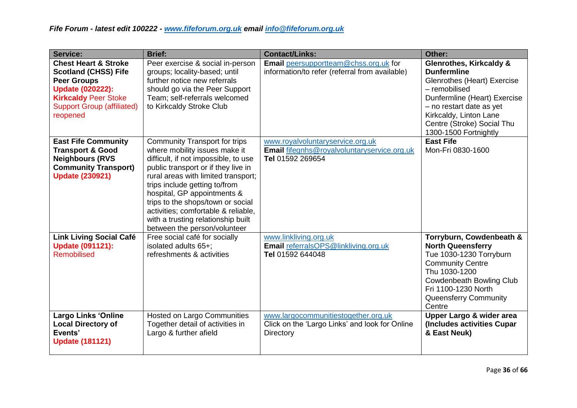| <b>Service:</b>                                                                                                                                                                                 | <b>Brief:</b>                                                                                                                                                                                                                                                                                                                                                                                                 | <b>Contact/Links:</b>                                                                                     | Other:                                                                                                                                                                                                                                                |
|-------------------------------------------------------------------------------------------------------------------------------------------------------------------------------------------------|---------------------------------------------------------------------------------------------------------------------------------------------------------------------------------------------------------------------------------------------------------------------------------------------------------------------------------------------------------------------------------------------------------------|-----------------------------------------------------------------------------------------------------------|-------------------------------------------------------------------------------------------------------------------------------------------------------------------------------------------------------------------------------------------------------|
| <b>Chest Heart &amp; Stroke</b><br><b>Scotland (CHSS) Fife</b><br><b>Peer Groups</b><br><b>Update (020222):</b><br><b>Kirkcaldy Peer Stoke</b><br><b>Support Group (affiliated)</b><br>reopened | Peer exercise & social in-person<br>groups; locality-based; until<br>further notice new referrals<br>should go via the Peer Support<br>Team; self-referrals welcomed<br>to Kirkcaldy Stroke Club                                                                                                                                                                                                              | Email peersupportteam@chss.org.uk for<br>information/to refer (referral from available)                   | <b>Glenrothes, Kirkcaldy &amp;</b><br><b>Dunfermline</b><br>Glenrothes (Heart) Exercise<br>- remobilised<br>Dunfermline (Heart) Exercise<br>- no restart date as yet<br>Kirkcaldy, Linton Lane<br>Centre (Stroke) Social Thu<br>1300-1500 Fortnightly |
| <b>East Fife Community</b><br><b>Transport &amp; Good</b><br><b>Neighbours (RVS)</b><br><b>Community Transport)</b><br><b>Update (230921)</b>                                                   | <b>Community Transport for trips</b><br>where mobility issues make it<br>difficult, if not impossible, to use<br>public transport or if they live in<br>rural areas with limited transport;<br>trips include getting to/from<br>hospital, GP appointments &<br>trips to the shops/town or social<br>activities; comfortable & reliable,<br>with a trusting relationship built<br>between the person/volunteer | www.royalvoluntaryservice.org.uk<br>Email fifegnhs@royalvoluntaryservice.org.uk<br>Tel 01592 269654       | <b>East Fife</b><br>Mon-Fri 0830-1600                                                                                                                                                                                                                 |
| <b>Link Living Social Café</b><br><b>Update (091121):</b><br>Remobilised                                                                                                                        | Free social café for socially<br>isolated adults 65+;<br>refreshments & activities                                                                                                                                                                                                                                                                                                                            | www.linkliving.org.uk<br>Email referralsOPS@linkliving.org.uk<br>Tel 01592 644048                         | Torryburn, Cowdenbeath &<br><b>North Queensferry</b><br>Tue 1030-1230 Torryburn<br><b>Community Centre</b><br>Thu 1030-1200<br><b>Cowdenbeath Bowling Club</b><br>Fri 1100-1230 North<br>Queensferry Community<br>Centre                              |
| <b>Largo Links 'Online</b><br><b>Local Directory of</b><br>Events'<br><b>Update (181121)</b>                                                                                                    | <b>Hosted on Largo Communities</b><br>Together detail of activities in<br>Largo & further afield                                                                                                                                                                                                                                                                                                              | www.largocommunitiestogether.org.uk<br>Click on the 'Largo Links' and look for Online<br><b>Directory</b> | Upper Largo & wider area<br>(Includes activities Cupar<br>& East Neuk)                                                                                                                                                                                |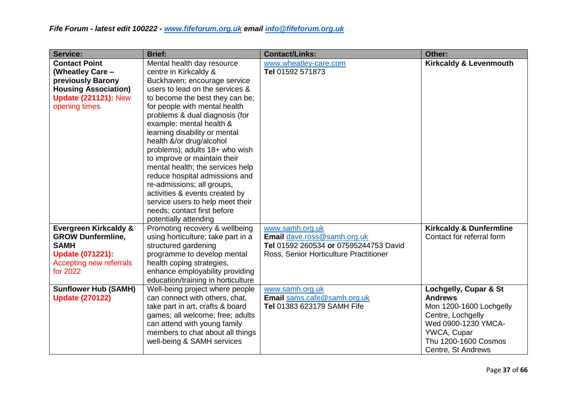| <b>Service:</b>                  | <b>Brief:</b>                      | <b>Contact/Links:</b>                  | Other:                             |
|----------------------------------|------------------------------------|----------------------------------------|------------------------------------|
| <b>Contact Point</b>             | Mental health day resource         | www.wheatley-care.com                  | <b>Kirkcaldy &amp; Levenmouth</b>  |
| (Wheatley Care -                 | centre in Kirkcaldy &              | Tel 01592 571873                       |                                    |
| previously Barony                | Buckhaven; encourage service       |                                        |                                    |
| <b>Housing Association)</b>      | users to lead on the services &    |                                        |                                    |
| <b>Update (221121): New</b>      | to become the best they can be;    |                                        |                                    |
| opening times                    | for people with mental health      |                                        |                                    |
|                                  | problems & dual diagnosis (for     |                                        |                                    |
|                                  | example: mental health &           |                                        |                                    |
|                                  | learning disability or mental      |                                        |                                    |
|                                  | health &/or drug/alcohol           |                                        |                                    |
|                                  | problems); adults 18+ who wish     |                                        |                                    |
|                                  | to improve or maintain their       |                                        |                                    |
|                                  | mental health; the services help   |                                        |                                    |
|                                  | reduce hospital admissions and     |                                        |                                    |
|                                  | re-admissions; all groups,         |                                        |                                    |
|                                  | activities & events created by     |                                        |                                    |
|                                  | service users to help meet their   |                                        |                                    |
|                                  | needs; contact first before        |                                        |                                    |
|                                  | potentially attending              |                                        |                                    |
| <b>Evergreen Kirkcaldy &amp;</b> | Promoting recovery & wellbeing     | www.samh.org.uk                        | <b>Kirkcaldy &amp; Dunfermline</b> |
| <b>GROW Dunfermline,</b>         | using horticulture; take part in a | Email dave.ross@samh.org.uk            | Contact for referral form          |
| <b>SAMH</b>                      | structured gardening               | Tel 01592 260534 or 07595244753 David  |                                    |
| <b>Update (071221):</b>          | programme to develop mental        | Ross, Senior Horticulture Practitioner |                                    |
| Accepting new referrals          | health coping strategies,          |                                        |                                    |
| for 2022                         | enhance employability providing    |                                        |                                    |
|                                  | education/training in horticulture |                                        |                                    |
| <b>Sunflower Hub (SAMH)</b>      | Well-being project where people    | www.samh.org.uk                        | Lochgelly, Cupar & St              |
| <b>Update (270122)</b>           | can connect with others, chat,     | Email sams.cafe@samh.org.uk            | <b>Andrews</b>                     |
|                                  | take part in art, crafts & board   | Tel 01383 623179 SAMH Fife             | Mon 1200-1600 Lochgelly            |
|                                  | games; all welcome; free; adults   |                                        | Centre, Lochgelly                  |
|                                  | can attend with young family       |                                        | Wed 0900-1230 YMCA-                |
|                                  | members to chat about all things   |                                        | YWCA, Cupar                        |
|                                  | well-being & SAMH services         |                                        | Thu 1200-1600 Cosmos               |
|                                  |                                    |                                        | Centre, St Andrews                 |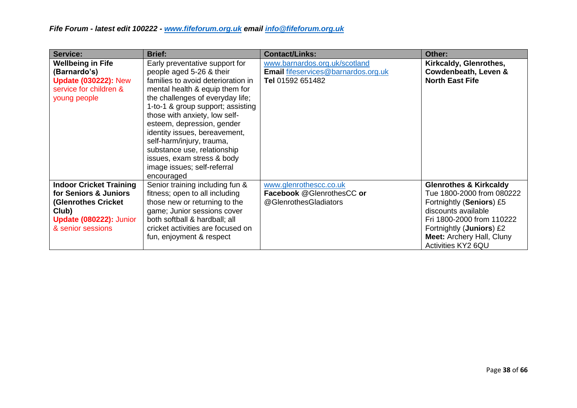| Service:                                                                                                                                | <b>Brief:</b>                                                                                                                                                                                                                                                                                                                                                                                                                                      | <b>Contact/Links:</b>                                                                           | Other:                                                                                                                                                                                                                                        |
|-----------------------------------------------------------------------------------------------------------------------------------------|----------------------------------------------------------------------------------------------------------------------------------------------------------------------------------------------------------------------------------------------------------------------------------------------------------------------------------------------------------------------------------------------------------------------------------------------------|-------------------------------------------------------------------------------------------------|-----------------------------------------------------------------------------------------------------------------------------------------------------------------------------------------------------------------------------------------------|
| <b>Wellbeing in Fife</b><br>(Barnardo's)<br><b>Update (030222): New</b><br>service for children &<br>young people                       | Early preventative support for<br>people aged 5-26 & their<br>families to avoid deterioration in<br>mental health & equip them for<br>the challenges of everyday life;<br>1-to-1 & group support; assisting<br>those with anxiety, low self-<br>esteem, depression, gender<br>identity issues, bereavement,<br>self-harm/injury, trauma,<br>substance use, relationship<br>issues, exam stress & body<br>image issues; self-referral<br>encouraged | www.barnardos.org.uk/scotland<br><b>Email fifeservices@barnardos.org.uk</b><br>Tel 01592 651482 | Kirkcaldy, Glenrothes,<br>Cowdenbeath, Leven &<br><b>North East Fife</b>                                                                                                                                                                      |
| <b>Indoor Cricket Training</b><br>for Seniors & Juniors<br>(Glenrothes Cricket<br>Club)<br>Update (080222): Junior<br>& senior sessions | Senior training including fun &<br>fitness; open to all including<br>those new or returning to the<br>game; Junior sessions cover<br>both softball & hardball; all<br>cricket activities are focused on<br>fun, enjoyment & respect                                                                                                                                                                                                                | www.glenrothescc.co.uk<br>Facebook @GlenrothesCC or<br>@GlenrothesGladiators                    | <b>Glenrothes &amp; Kirkcaldy</b><br>Tue 1800-2000 from 080222<br>Fortnightly (Seniors) £5<br>discounts available<br>Fri 1800-2000 from 110222<br>Fortnightly ( <b>Juniors</b> ) £2<br><b>Meet: Archery Hall, Cluny</b><br>Activities KY2 6QU |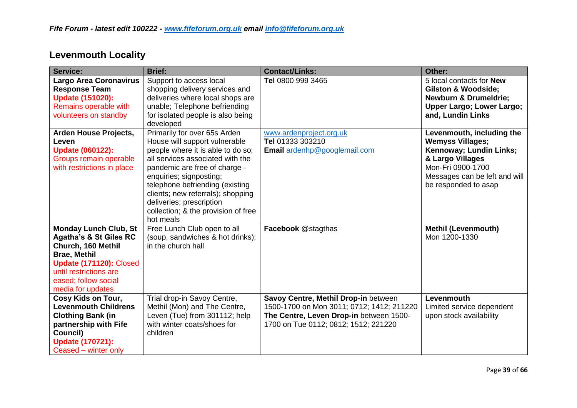| <b>Service:</b>                                                                                                                                                                                                  | <b>Brief:</b>                                                                                                                                                                                                                                                                                                                                              | <b>Contact/Links:</b>                                                                                                                                                | Other:                                                                                                                                                                            |
|------------------------------------------------------------------------------------------------------------------------------------------------------------------------------------------------------------------|------------------------------------------------------------------------------------------------------------------------------------------------------------------------------------------------------------------------------------------------------------------------------------------------------------------------------------------------------------|----------------------------------------------------------------------------------------------------------------------------------------------------------------------|-----------------------------------------------------------------------------------------------------------------------------------------------------------------------------------|
| <b>Largo Area Coronavirus</b><br><b>Response Team</b><br><b>Update (151020):</b><br>Remains operable with<br>volunteers on standby                                                                               | Support to access local<br>shopping delivery services and<br>deliveries where local shops are<br>unable; Telephone befriending<br>for isolated people is also being<br>developed                                                                                                                                                                           | Tel 0800 999 3465                                                                                                                                                    | 5 local contacts for <b>New</b><br><b>Gilston &amp; Woodside;</b><br><b>Newburn &amp; Drumeldrie;</b><br>Upper Largo; Lower Largo;<br>and, Lundin Links                           |
| Arden House Projects,<br>Leven<br><b>Update (060122):</b><br>Groups remain operable<br>with restrictions in place                                                                                                | Primarily for over 65s Arden<br>House will support vulnerable<br>people where it is able to do so;<br>all services associated with the<br>pandemic are free of charge -<br>enquiries; signposting;<br>telephone befriending (existing<br>clients; new referrals); shopping<br>deliveries; prescription<br>collection; & the provision of free<br>hot meals | www.ardenproject.org.uk<br>Tel 01333 303210<br>Email ardenhp@googlemail.com                                                                                          | Levenmouth, including the<br><b>Wemyss Villages;</b><br>Kennoway; Lundin Links;<br>& Largo Villages<br>Mon-Fri 0900-1700<br>Messages can be left and will<br>be responded to asap |
| <b>Monday Lunch Club, St</b><br><b>Agatha's &amp; St Giles RC</b><br>Church, 160 Methil<br><b>Brae, Methil</b><br>Update (171120): Closed<br>until restrictions are<br>eased; follow social<br>media for updates | Free Lunch Club open to all<br>(soup, sandwiches & hot drinks);<br>in the church hall                                                                                                                                                                                                                                                                      | <b>Facebook @stagthas</b>                                                                                                                                            | <b>Methil (Levenmouth)</b><br>Mon 1200-1330                                                                                                                                       |
| Cosy Kids on Tour,<br><b>Levenmouth Childrens</b><br><b>Clothing Bank (in</b><br>partnership with Fife<br>Council)<br><b>Update (170721):</b><br>Ceased – winter only                                            | Trial drop-in Savoy Centre,<br>Methil (Mon) and The Centre,<br>Leven (Tue) from 301112; help<br>with winter coats/shoes for<br>children                                                                                                                                                                                                                    | Savoy Centre, Methil Drop-in between<br>1500-1700 on Mon 3011; 0712; 1412; 211220<br>The Centre, Leven Drop-in between 1500-<br>1700 on Tue 0112; 0812; 1512; 221220 | Levenmouth<br>Limited service dependent<br>upon stock availability                                                                                                                |

# **Levenmouth Locality**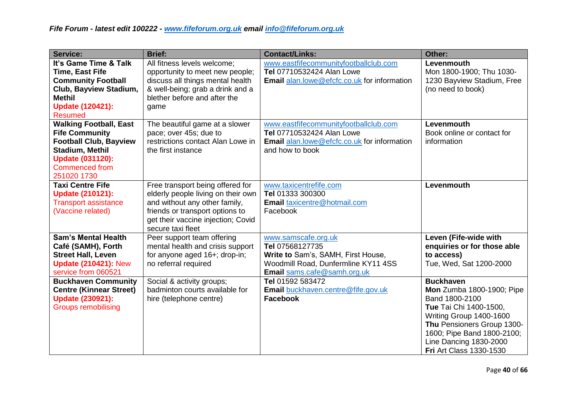| <b>Service:</b>                                                                                                                                                                      | <b>Brief:</b>                                                                                                                                                                                         | <b>Contact/Links:</b>                                                                                                                              | Other:                                                                                                                                                                                                                                       |
|--------------------------------------------------------------------------------------------------------------------------------------------------------------------------------------|-------------------------------------------------------------------------------------------------------------------------------------------------------------------------------------------------------|----------------------------------------------------------------------------------------------------------------------------------------------------|----------------------------------------------------------------------------------------------------------------------------------------------------------------------------------------------------------------------------------------------|
| It's Game Time & Talk<br><b>Time, East Fife</b><br><b>Community Football</b><br>Club, Bayview Stadium,<br><b>Methil</b><br><b>Update (120421):</b><br><b>Resumed</b>                 | All fitness levels welcome;<br>opportunity to meet new people;<br>discuss all things mental health<br>& well-being; grab a drink and a<br>blether before and after the<br>game                        | www.eastfifecommunityfootballclub.com<br>Tel 07710532424 Alan Lowe<br><b>Email alan.lowe@efcfc.co.uk for information</b>                           | Levenmouth<br>Mon 1800-1900; Thu 1030-<br>1230 Bayview Stadium, Free<br>(no need to book)                                                                                                                                                    |
| <b>Walking Football, East</b><br><b>Fife Community</b><br><b>Football Club, Bayview</b><br><b>Stadium, Methil</b><br><b>Update (031120):</b><br><b>Commenced from</b><br>251020 1730 | The beautiful game at a slower<br>pace; over 45s; due to<br>restrictions contact Alan Lowe in<br>the first instance                                                                                   | www.eastfifecommunityfootballclub.com<br>Tel 07710532424 Alan Lowe<br><b>Email</b> alan.lowe@efcfc.co.uk for information<br>and how to book        | Levenmouth<br>Book online or contact for<br>information                                                                                                                                                                                      |
| <b>Taxi Centre Fife</b><br><b>Update (210121):</b><br><b>Transport assistance</b><br>(Vaccine related)                                                                               | Free transport being offered for<br>elderly people living on their own<br>and without any other family,<br>friends or transport options to<br>get their vaccine injection; Covid<br>secure taxi fleet | www.taxicentrefife.com<br>Tel 01333 300300<br>Email taxicentre@hotmail.com<br>Facebook                                                             | Levenmouth                                                                                                                                                                                                                                   |
| <b>Sam's Mental Health</b><br>Café (SAMH), Forth<br><b>Street Hall, Leven</b><br><b>Update (210421): New</b><br>service from 060521                                                  | Peer support team offering<br>mental health and crisis support<br>for anyone aged 16+; drop-in;<br>no referral required                                                                               | www.samscafe.org.uk<br>Tel 07568127735<br>Write to Sam's, SAMH, First House,<br>Woodmill Road, Dunfermline KY11 4SS<br>Email sams.cafe@samh.org.uk | Leven (Fife-wide with<br>enquiries or for those able<br>to access)<br>Tue, Wed, Sat 1200-2000                                                                                                                                                |
| <b>Buckhaven Community</b><br><b>Centre (Kinnear Street)</b><br><b>Update (230921):</b><br><b>Groups remobilising</b>                                                                | Social & activity groups;<br>badminton courts available for<br>hire (telephone centre)                                                                                                                | Tel 01592 583472<br>Email buckhaven.centre@fife.gov.uk<br><b>Facebook</b>                                                                          | <b>Buckhaven</b><br>Mon Zumba 1800-1900; Pipe<br>Band 1800-2100<br>Tue Tai Chi 1400-1500,<br>Writing Group 1400-1600<br>Thu Pensioners Group 1300-<br>1600; Pipe Band 1800-2100;<br>Line Dancing 1830-2000<br><b>Fri Art Class 1330-1530</b> |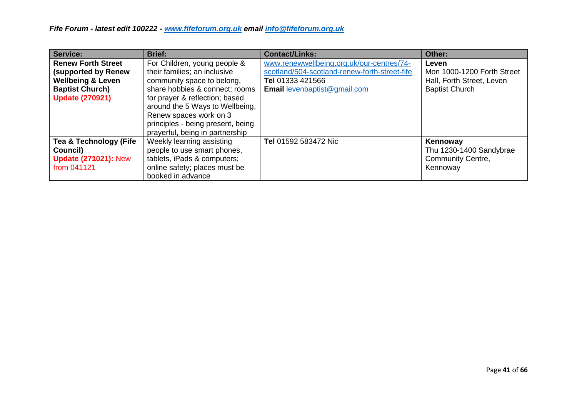| Service:                                                                                                                                    | <b>Brief:</b>                                                                                                                                                                                                                                                    | <b>Contact/Links:</b>                                                                                                                                 | Other:                                                                                    |
|---------------------------------------------------------------------------------------------------------------------------------------------|------------------------------------------------------------------------------------------------------------------------------------------------------------------------------------------------------------------------------------------------------------------|-------------------------------------------------------------------------------------------------------------------------------------------------------|-------------------------------------------------------------------------------------------|
| <b>Renew Forth Street</b><br><b>(supported by Renew</b><br><b>Wellbeing &amp; Leven</b><br><b>Baptist Church)</b><br><b>Update (270921)</b> | For Children, young people &<br>their families; an inclusive<br>community space to belong,<br>share hobbies & connect; rooms<br>for prayer & reflection; based<br>around the 5 Ways to Wellbeing,<br>Renew spaces work on 3<br>principles - being present, being | www.renewwellbeing.org.uk/our-centres/74-<br>scotland/504-scotland-renew-forth-street-fife<br>Tel 01333 421566<br><b>Email levenbaptist@gmail.com</b> | Leven<br>Mon 1000-1200 Forth Street<br>Hall, Forth Street, Leven<br><b>Baptist Church</b> |
| Tea & Technology (Fife<br>Council)<br><b>Update (271021): New</b><br>from 041121                                                            | prayerful, being in partnership<br>Weekly learning assisting<br>people to use smart phones,<br>tablets, iPads & computers;<br>online safety; places must be<br>booked in advance                                                                                 | Tel 01592 583472 Nic                                                                                                                                  | Kennoway<br>Thu 1230-1400 Sandybrae<br><b>Community Centre,</b><br>Kennoway               |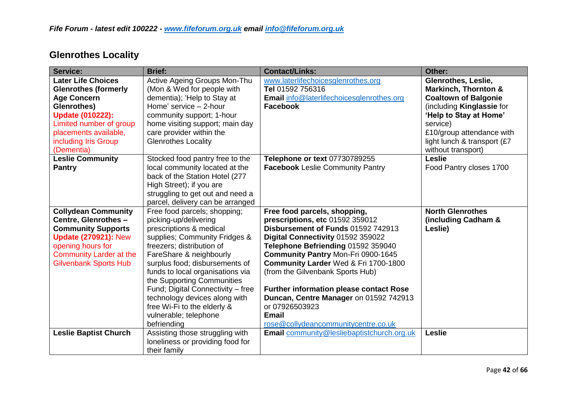| <b>Service:</b>                                                                                                                                                                                                    | <b>Brief:</b>                                                                                                                                                                                                                                                                                                                                                                                                              | <b>Contact/Links:</b>                                                                                                                                                                                                                                                                                                                                                                                                                                                          | Other:                                                                                                                                                                                                                                            |
|--------------------------------------------------------------------------------------------------------------------------------------------------------------------------------------------------------------------|----------------------------------------------------------------------------------------------------------------------------------------------------------------------------------------------------------------------------------------------------------------------------------------------------------------------------------------------------------------------------------------------------------------------------|--------------------------------------------------------------------------------------------------------------------------------------------------------------------------------------------------------------------------------------------------------------------------------------------------------------------------------------------------------------------------------------------------------------------------------------------------------------------------------|---------------------------------------------------------------------------------------------------------------------------------------------------------------------------------------------------------------------------------------------------|
| <b>Later Life Choices</b><br><b>Glenrothes (formerly</b><br><b>Age Concern</b><br>Glenrothes)<br><b>Update (010222):</b><br>Limited number of group<br>placements available,<br>including Iris Group<br>(Dementia) | Active Ageing Groups Mon-Thu<br>(Mon & Wed for people with<br>dementia); 'Help to Stay at<br>Home' service - 2-hour<br>community support; 1-hour<br>home visiting support; main day<br>care provider within the<br><b>Glenrothes Locality</b>                                                                                                                                                                              | www.laterlifechoicesglenrothes.org<br>Tel 01592 756316<br><b>Email</b> info@laterlifechoicesglenrothes.org<br><b>Facebook</b>                                                                                                                                                                                                                                                                                                                                                  | <b>Glenrothes, Leslie,</b><br><b>Markinch, Thornton &amp;</b><br><b>Coaltown of Balgonie</b><br>(including Kinglassie for<br>'Help to Stay at Home'<br>service)<br>£10/group attendance with<br>light lunch & transport (£7<br>without transport) |
| <b>Leslie Community</b><br><b>Pantry</b>                                                                                                                                                                           | Stocked food pantry free to the<br>local community located at the<br>back of the Station Hotel (277<br>High Street); if you are<br>struggling to get out and need a<br>parcel, delivery can be arranged                                                                                                                                                                                                                    | Telephone or text 07730789255<br><b>Facebook</b> Leslie Community Pantry                                                                                                                                                                                                                                                                                                                                                                                                       | <b>Leslie</b><br>Food Pantry closes 1700                                                                                                                                                                                                          |
| <b>Collydean Community</b><br>Centre, Glenrothes -<br><b>Community Supports</b><br><b>Update (270921): New</b><br>opening hours for<br><b>Community Larder at the</b><br><b>Gilvenbank Sports Hub</b>              | Free food parcels; shopping;<br>picking-up/delivering<br>prescriptions & medical<br>supplies; Community Fridges &<br>freezers; distribution of<br>FareShare & neighbourly<br>surplus food; disbursements of<br>funds to local organisations via<br>the Supporting Communities<br>Fund; Digital Connectivity - free<br>technology devices along with<br>free Wi-Fi to the elderly &<br>vulnerable; telephone<br>befriending | Free food parcels, shopping,<br>prescriptions, etc 01592 359012<br>Disbursement of Funds 01592 742913<br>Digital Connectivity 01592 359022<br>Telephone Befriending 01592 359040<br><b>Community Pantry Mon-Fri 0900-1645</b><br>Community Larder Wed & Fri 1700-1800<br>(from the Gilvenbank Sports Hub)<br><b>Further information please contact Rose</b><br>Duncan, Centre Manager on 01592 742913<br>or 07926503923<br><b>Email</b><br>rose@collydeancommunitycentre.co.uk | <b>North Glenrothes</b><br>(including Cadham &<br>Leslie)                                                                                                                                                                                         |
| <b>Leslie Baptist Church</b>                                                                                                                                                                                       | Assisting those struggling with<br>loneliness or providing food for<br>their family                                                                                                                                                                                                                                                                                                                                        | <b>Email</b> community@lesliebaptistchurch.org.uk                                                                                                                                                                                                                                                                                                                                                                                                                              | <b>Leslie</b>                                                                                                                                                                                                                                     |

# **Glenrothes Locality**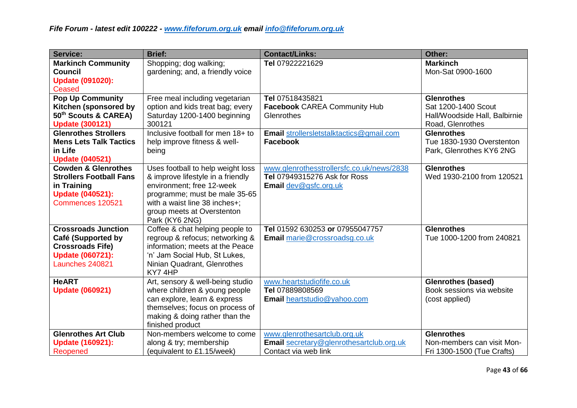| <b>Service:</b>                | <b>Brief:</b>                     | <b>Contact/Links:</b>                           | Other:                        |
|--------------------------------|-----------------------------------|-------------------------------------------------|-------------------------------|
| <b>Markinch Community</b>      | Shopping; dog walking;            | Tel 07922221629                                 | <b>Markinch</b>               |
| <b>Council</b>                 | gardening; and, a friendly voice  |                                                 | Mon-Sat 0900-1600             |
| <b>Update (091020):</b>        |                                   |                                                 |                               |
| Ceased                         |                                   |                                                 |                               |
| <b>Pop Up Community</b>        | Free meal including vegetarian    | Tel 07518435821                                 | <b>Glenrothes</b>             |
| Kitchen (sponsored by          | option and kids treat bag; every  | <b>Facebook CAREA Community Hub</b>             | Sat 1200-1400 Scout           |
| 50th Scouts & CAREA)           | Saturday 1200-1400 beginning      | Glenrothes                                      | Hall/Woodside Hall, Balbirnie |
| <b>Update (300121)</b>         | 300121                            |                                                 | Road, Glenrothes              |
| <b>Glenrothes Strollers</b>    | Inclusive football for men 18+ to | Email strollersletstalktactics@gmail.com        | <b>Glenrothes</b>             |
| <b>Mens Lets Talk Tactics</b>  | help improve fitness & well-      | <b>Facebook</b>                                 | Tue 1830-1930 Overstenton     |
| in Life                        | being                             |                                                 | Park, Glenrothes KY6 2NG      |
| <b>Update (040521)</b>         |                                   |                                                 |                               |
| <b>Cowden &amp; Glenrothes</b> | Uses football to help weight loss | www.glenrothesstrollersfc.co.uk/news/2838       | <b>Glenrothes</b>             |
| <b>Strollers Football Fans</b> | & improve lifestyle in a friendly | <b>Tel 07949315276 Ask for Ross</b>             | Wed 1930-2100 from 120521     |
| in Training                    | environment; free 12-week         | Email dev@gsfc.org.uk                           |                               |
| <b>Update (040521):</b>        | programme; must be male 35-65     |                                                 |                               |
| Commences 120521               | with a waist line 38 inches+;     |                                                 |                               |
|                                | group meets at Overstenton        |                                                 |                               |
|                                | Park (KY6 2NG)                    |                                                 |                               |
| <b>Crossroads Junction</b>     | Coffee & chat helping people to   | Tel 01592 630253 or 07955047757                 | <b>Glenrothes</b>             |
| <b>Café (Supported by</b>      | regroup & refocus; networking &   | Email marie@crossroadsg.co.uk                   | Tue 1000-1200 from 240821     |
| <b>Crossroads Fife)</b>        | information; meets at the Peace   |                                                 |                               |
| <b>Update (060721):</b>        | 'n' Jam Social Hub, St Lukes,     |                                                 |                               |
| Launches 240821                | Ninian Quadrant, Glenrothes       |                                                 |                               |
|                                | KY74HP                            |                                                 |                               |
| <b>HeART</b>                   | Art, sensory & well-being studio  | www.heartstudiofife.co.uk                       | <b>Glenrothes (based)</b>     |
| <b>Update (060921)</b>         | where children & young people     | Tel 07889808569                                 | Book sessions via website     |
|                                | can explore, learn & express      | Email heartstudio@yahoo.com                     | (cost applied)                |
|                                | themselves; focus on process of   |                                                 |                               |
|                                | making & doing rather than the    |                                                 |                               |
|                                | finished product                  |                                                 |                               |
| <b>Glenrothes Art Club</b>     | Non-members welcome to come       | www.glenrothesartclub.org.uk                    | <b>Glenrothes</b>             |
| <b>Update (160921):</b>        | along & try; membership           | <b>Email</b> secretary@glenrothesartclub.org.uk | Non-members can visit Mon-    |
| Reopened                       | (equivalent to £1.15/week)        | Contact via web link                            | Fri 1300-1500 (Tue Crafts)    |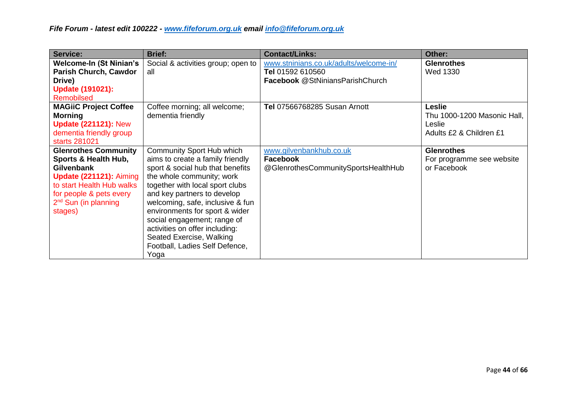| Service:                                                                                                                                                                                                | <b>Brief:</b>                                                                                                                                                                                                                                                                                                                                                                                                 | <b>Contact/Links:</b>                                                                         | Other:                                                                            |
|---------------------------------------------------------------------------------------------------------------------------------------------------------------------------------------------------------|---------------------------------------------------------------------------------------------------------------------------------------------------------------------------------------------------------------------------------------------------------------------------------------------------------------------------------------------------------------------------------------------------------------|-----------------------------------------------------------------------------------------------|-----------------------------------------------------------------------------------|
| <b>Welcome-In (St Ninian's)</b><br><b>Parish Church, Cawdor</b><br>Drive)<br><b>Update (191021):</b><br>Remobilsed                                                                                      | Social & activities group; open to<br>all                                                                                                                                                                                                                                                                                                                                                                     | www.stninians.co.uk/adults/welcome-in/<br>Tel 01592 610560<br>Facebook @StNiniansParishChurch | <b>Glenrothes</b><br><b>Wed 1330</b>                                              |
| <b>MAGIIC Project Coffee</b><br><b>Morning</b><br><b>Update (221121): New</b><br>dementia friendly group<br>starts 281021                                                                               | Coffee morning; all welcome;<br>dementia friendly                                                                                                                                                                                                                                                                                                                                                             | <b>Tel 07566768285 Susan Arnott</b>                                                           | <b>Leslie</b><br>Thu 1000-1200 Masonic Hall,<br>Leslie<br>Adults £2 & Children £1 |
| <b>Glenrothes Community</b><br>Sports & Health Hub,<br><b>Gilvenbank</b><br><b>Update (221121): Aiming</b><br>to start Health Hub walks<br>for people & pets every<br>$2nd$ Sun (in planning<br>stages) | Community Sport Hub which<br>aims to create a family friendly<br>sport & social hub that benefits<br>the whole community; work<br>together with local sport clubs<br>and key partners to develop<br>welcoming, safe, inclusive & fun<br>environments for sport & wider<br>social engagement; range of<br>activities on offer including:<br>Seated Exercise, Walking<br>Football, Ladies Self Defence,<br>Yoga | www.gilvenbankhub.co.uk<br>Facebook<br>@GlenrothesCommunitySportsHealthHub                    | <b>Glenrothes</b><br>For programme see website<br>or Facebook                     |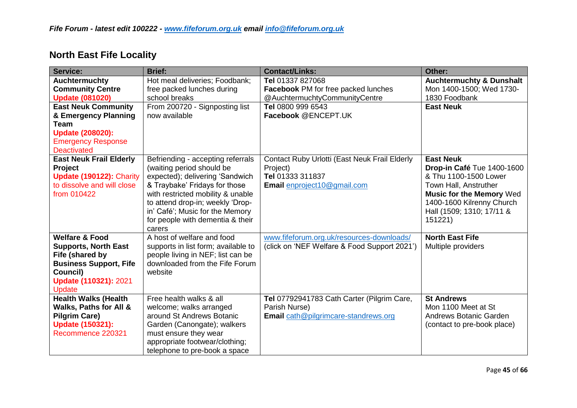| <b>Service:</b>                | <b>Brief:</b>                       | <b>Contact/Links:</b>                         | Other:                              |
|--------------------------------|-------------------------------------|-----------------------------------------------|-------------------------------------|
| <b>Auchtermuchty</b>           | Hot meal deliveries; Foodbank;      | Tel 01337 827068                              | <b>Auchtermuchty &amp; Dunshalt</b> |
| <b>Community Centre</b>        | free packed lunches during          | <b>Facebook PM for free packed lunches</b>    | Mon 1400-1500; Wed 1730-            |
| <b>Update (081020)</b>         | school breaks                       | @AuchtermuchtyCommunityCentre                 | 1830 Foodbank                       |
| <b>East Neuk Community</b>     | From 200720 - Signposting list      | Tel 0800 999 6543                             | <b>East Neuk</b>                    |
| & Emergency Planning           | now available                       | Facebook @ENCEPT.UK                           |                                     |
| <b>Team</b>                    |                                     |                                               |                                     |
| <b>Update (208020):</b>        |                                     |                                               |                                     |
| <b>Emergency Response</b>      |                                     |                                               |                                     |
| <b>Deactivated</b>             |                                     |                                               |                                     |
| <b>East Neuk Frail Elderly</b> | Befriending - accepting referrals   | Contact Ruby Urlotti (East Neuk Frail Elderly | <b>East Neuk</b>                    |
| <b>Project</b>                 | (waiting period should be           | Project)                                      | Drop-in Café Tue 1400-1600          |
| Update (190122): Charity       | expected); delivering 'Sandwich     | Tel 01333 311837                              | & Thu 1100-1500 Lower               |
| to dissolve and will close     | & Traybake' Fridays for those       | Email enproject10@gmail.com                   | Town Hall, Anstruther               |
| from 010422                    | with restricted mobility & unable   |                                               | <b>Music for the Memory Wed</b>     |
|                                | to attend drop-in; weekly 'Drop-    |                                               | 1400-1600 Kilrenny Church           |
|                                | in' Café'; Music for the Memory     |                                               | Hall (1509; 1310; 17/11 &           |
|                                | for people with dementia & their    |                                               | 151221)                             |
|                                | carers                              |                                               |                                     |
| <b>Welfare &amp; Food</b>      | A host of welfare and food          | www.fifeforum.org.uk/resources-downloads/     | <b>North East Fife</b>              |
| <b>Supports, North East</b>    | supports in list form; available to | (click on 'NEF Welfare & Food Support 2021')  | Multiple providers                  |
| Fife (shared by                | people living in NEF; list can be   |                                               |                                     |
| <b>Business Support, Fife</b>  | downloaded from the Fife Forum      |                                               |                                     |
| Council)                       | website                             |                                               |                                     |
| <b>Update (110321): 2021</b>   |                                     |                                               |                                     |
| Update                         |                                     |                                               |                                     |
| <b>Health Walks (Health</b>    | Free health walks & all             | Tel 07792941783 Cath Carter (Pilgrim Care,    | <b>St Andrews</b>                   |
| Walks, Paths for All &         | welcome; walks arranged             | Parish Nurse)                                 | Mon 1100 Meet at St                 |
| <b>Pilgrim Care)</b>           | around St Andrews Botanic           | Email cath@pilgrimcare-standrews.org          | Andrews Botanic Garden              |
| <b>Update (150321):</b>        | Garden (Canongate); walkers         |                                               | (contact to pre-book place)         |
| Recommence 220321              | must ensure they wear               |                                               |                                     |
|                                | appropriate footwear/clothing;      |                                               |                                     |
|                                | telephone to pre-book a space       |                                               |                                     |

#### **North East Fife Locality**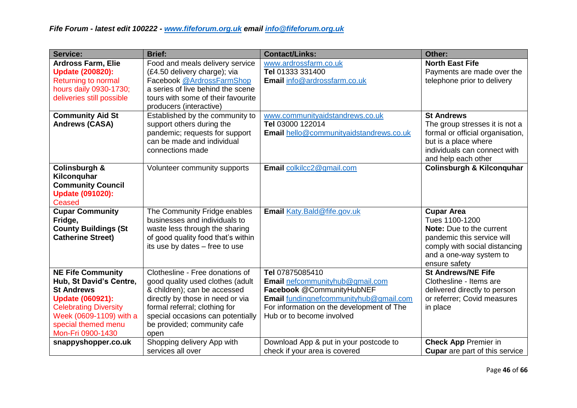| <b>Service:</b>                                                                                                                                                                                            | <b>Brief:</b>                                                                                                                                                                                                                                        | <b>Contact/Links:</b>                                                                                                                                                                               | Other:                                                                                                                                                                            |
|------------------------------------------------------------------------------------------------------------------------------------------------------------------------------------------------------------|------------------------------------------------------------------------------------------------------------------------------------------------------------------------------------------------------------------------------------------------------|-----------------------------------------------------------------------------------------------------------------------------------------------------------------------------------------------------|-----------------------------------------------------------------------------------------------------------------------------------------------------------------------------------|
| <b>Ardross Farm, Elie</b><br><b>Update (200820):</b><br><b>Returning to normal</b><br>hours daily 0930-1730;<br>deliveries still possible                                                                  | Food and meals delivery service<br>(£4.50 delivery charge); via<br>Facebook @ArdrossFarmShop<br>a series of live behind the scene<br>tours with some of their favourite<br>producers (interactive)                                                   | www.ardrossfarm.co.uk<br>Tel 01333 331400<br>Email info@ardrossfarm.co.uk                                                                                                                           | <b>North East Fife</b><br>Payments are made over the<br>telephone prior to delivery                                                                                               |
| <b>Community Aid St</b><br><b>Andrews (CASA)</b>                                                                                                                                                           | Established by the community to<br>support others during the<br>pandemic; requests for support<br>can be made and individual<br>connections made                                                                                                     | www.communityaidstandrews.co.uk<br>Tel 03000 122014<br>Email hello@communityaidstandrews.co.uk                                                                                                      | <b>St Andrews</b><br>The group stresses it is not a<br>formal or official organisation,<br>but is a place where<br>individuals can connect with<br>and help each other            |
| <b>Colinsburgh &amp;</b><br>Kilconquhar<br><b>Community Council</b><br><b>Update (091020):</b><br>Ceased                                                                                                   | Volunteer community supports                                                                                                                                                                                                                         | Email colkilcc2@gmail.com                                                                                                                                                                           | <b>Colinsburgh &amp; Kilconquhar</b>                                                                                                                                              |
| <b>Cupar Community</b><br>Fridge,<br><b>County Buildings (St</b><br><b>Catherine Street)</b>                                                                                                               | The Community Fridge enables<br>businesses and individuals to<br>waste less through the sharing<br>of good quality food that's within<br>its use by dates - free to use                                                                              | Email Katy.Bald@fife.gov.uk                                                                                                                                                                         | <b>Cupar Area</b><br>Tues 1100-1200<br><b>Note:</b> Due to the current<br>pandemic this service will<br>comply with social distancing<br>and a one-way system to<br>ensure safety |
| <b>NE Fife Community</b><br>Hub, St David's Centre,<br><b>St Andrews</b><br><b>Update (060921):</b><br><b>Celebrating Diversity</b><br>Week (0609-1109) with a<br>special themed menu<br>Mon-Fri 0900-1430 | Clothesline - Free donations of<br>good quality used clothes (adult<br>& children); can be accessed<br>directly by those in need or via<br>formal referral; clothing for<br>special occasions can potentially<br>be provided; community cafe<br>open | Tel 07875085410<br>Email nefcommunityhub@gmail.com<br>Facebook @CommunityHubNEF<br>Email fundingnefcommunityhub@gmail.com<br>For information on the development of The<br>Hub or to become involved | <b>St Andrews/NE Fife</b><br>Clothesline - Items are<br>delivered directly to person<br>or referrer; Covid measures<br>in place                                                   |
| snappyshopper.co.uk                                                                                                                                                                                        | Shopping delivery App with<br>services all over                                                                                                                                                                                                      | Download App & put in your postcode to<br>check if your area is covered                                                                                                                             | <b>Check App Premier in</b><br><b>Cupar</b> are part of this service                                                                                                              |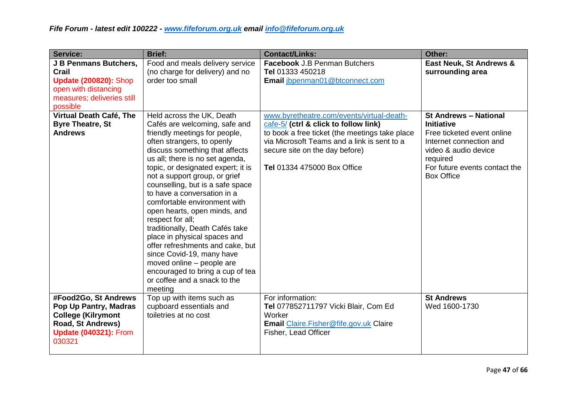| <b>Service:</b>                                                                                                                           | <b>Brief:</b>                                                                                                                                                                                                                                                                                                                                                                                                                                                                                                                                                                                                                                                                | <b>Contact/Links:</b>                                                                                                                                                                                                                                       | Other:                                                                                                                                                                                               |
|-------------------------------------------------------------------------------------------------------------------------------------------|------------------------------------------------------------------------------------------------------------------------------------------------------------------------------------------------------------------------------------------------------------------------------------------------------------------------------------------------------------------------------------------------------------------------------------------------------------------------------------------------------------------------------------------------------------------------------------------------------------------------------------------------------------------------------|-------------------------------------------------------------------------------------------------------------------------------------------------------------------------------------------------------------------------------------------------------------|------------------------------------------------------------------------------------------------------------------------------------------------------------------------------------------------------|
| J B Penmans Butchers,<br>Crail<br><b>Update (200820): Shop</b><br>open with distancing<br>measures; deliveries still<br>possible          | Food and meals delivery service<br>(no charge for delivery) and no<br>order too small                                                                                                                                                                                                                                                                                                                                                                                                                                                                                                                                                                                        | <b>Facebook J.B Penman Butchers</b><br>Tel 01333 450218<br>Email jbpenman01@btconnect.com                                                                                                                                                                   | East Neuk, St Andrews &<br>surrounding area                                                                                                                                                          |
| Virtual Death Café, The<br><b>Byre Theatre, St</b><br><b>Andrews</b>                                                                      | Held across the UK, Death<br>Cafés are welcoming, safe and<br>friendly meetings for people,<br>often strangers, to openly<br>discuss something that affects<br>us all; there is no set agenda,<br>topic, or designated expert; it is<br>not a support group, or grief<br>counselling, but is a safe space<br>to have a conversation in a<br>comfortable environment with<br>open hearts, open minds, and<br>respect for all;<br>traditionally, Death Cafés take<br>place in physical spaces and<br>offer refreshments and cake, but<br>since Covid-19, many have<br>moved online - people are<br>encouraged to bring a cup of tea<br>or coffee and a snack to the<br>meeting | www.byretheatre.com/events/virtual-death-<br>cafe-5/ (ctrl & click to follow link)<br>to book a free ticket (the meetings take place<br>via Microsoft Teams and a link is sent to a<br>secure site on the day before)<br><b>Tel 01334 475000 Box Office</b> | <b>St Andrews - National</b><br><b>Initiative</b><br>Free ticketed event online<br>Internet connection and<br>video & audio device<br>required<br>For future events contact the<br><b>Box Office</b> |
| #Food2Go, St Andrews<br>Pop Up Pantry, Madras<br><b>College (Kilrymont</b><br>Road, St Andrews)<br><b>Update (040321): From</b><br>030321 | Top up with items such as<br>cupboard essentials and<br>toiletries at no cost                                                                                                                                                                                                                                                                                                                                                                                                                                                                                                                                                                                                | For information:<br>Tel 077852711797 Vicki Blair, Com Ed<br>Worker<br>Email Claire. Fisher@fife.gov.uk Claire<br>Fisher, Lead Officer                                                                                                                       | <b>St Andrews</b><br>Wed 1600-1730                                                                                                                                                                   |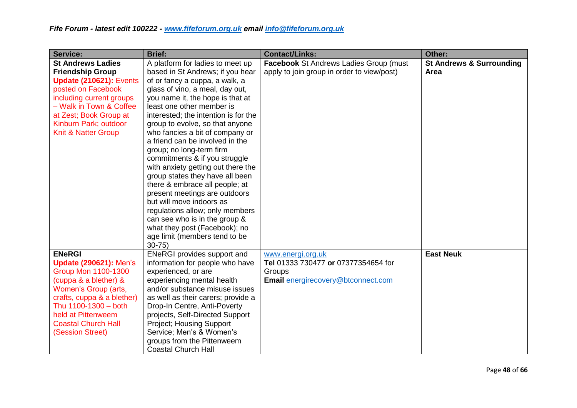| <b>Service:</b>                                                                                                                                                                                                                                             | <b>Brief:</b>                                                                                                                                                                                                                                                                                                                                                                                                                                                                                                                                                                                                                                                                                                                                       | <b>Contact/Links:</b>                                                                                    | Other:                                      |
|-------------------------------------------------------------------------------------------------------------------------------------------------------------------------------------------------------------------------------------------------------------|-----------------------------------------------------------------------------------------------------------------------------------------------------------------------------------------------------------------------------------------------------------------------------------------------------------------------------------------------------------------------------------------------------------------------------------------------------------------------------------------------------------------------------------------------------------------------------------------------------------------------------------------------------------------------------------------------------------------------------------------------------|----------------------------------------------------------------------------------------------------------|---------------------------------------------|
| <b>St Andrews Ladies</b><br><b>Friendship Group</b><br><b>Update (210621): Events</b><br>posted on Facebook<br>including current groups<br>- Walk in Town & Coffee<br>at Zest; Book Group at<br>Kinburn Park; outdoor<br><b>Knit &amp; Natter Group</b>     | A platform for ladies to meet up<br>based in St Andrews; if you hear<br>of or fancy a cuppa, a walk, a<br>glass of vino, a meal, day out,<br>you name it, the hope is that at<br>least one other member is<br>interested; the intention is for the<br>group to evolve, so that anyone<br>who fancies a bit of company or<br>a friend can be involved in the<br>group; no long-term firm<br>commitments & if you struggle<br>with anxiety getting out there the<br>group states they have all been<br>there & embrace all people; at<br>present meetings are outdoors<br>but will move indoors as<br>regulations allow; only members<br>can see who is in the group &<br>what they post (Facebook); no<br>age limit (members tend to be<br>$30 - 75$ | Facebook St Andrews Ladies Group (must<br>apply to join group in order to view/post)                     | <b>St Andrews &amp; Surrounding</b><br>Area |
| <b>ENeRGI</b><br><b>Update (290621): Men's</b><br><b>Group Mon 1100-1300</b><br>(cuppa & a blether) &<br>Women's Group (arts,<br>crafts, cuppa & a blether)<br>Thu 1100-1300 - both<br>held at Pittenweem<br><b>Coastal Church Hall</b><br>(Session Street) | <b>ENeRGI provides support and</b><br>information for people who have<br>experienced, or are<br>experiencing mental health<br>and/or substance misuse issues<br>as well as their carers; provide a<br>Drop-In Centre, Anti-Poverty<br>projects, Self-Directed Support<br><b>Project; Housing Support</b><br>Service: Men's & Women's<br>groups from the Pittenweem<br><b>Coastal Church Hall</b>                                                                                                                                                                                                                                                                                                                                                    | www.energi.org.uk<br>Tel 01333 730477 or 07377354654 for<br>Groups<br>Email energirecovery@btconnect.com | <b>East Neuk</b>                            |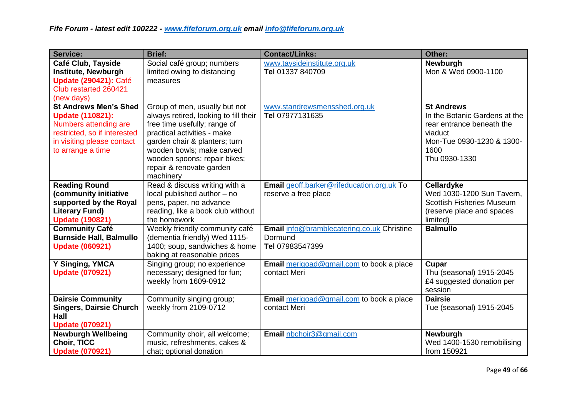| <b>Service:</b>                                                                                                                                                     | <b>Brief:</b>                                                                                                                                                                                                                                                                | <b>Contact/Links:</b>                                                           | Other:                                                                                                                                           |
|---------------------------------------------------------------------------------------------------------------------------------------------------------------------|------------------------------------------------------------------------------------------------------------------------------------------------------------------------------------------------------------------------------------------------------------------------------|---------------------------------------------------------------------------------|--------------------------------------------------------------------------------------------------------------------------------------------------|
| Café Club, Tayside<br><b>Institute, Newburgh</b><br><b>Update (290421): Café</b><br>Club restarted 260421<br>(new days)                                             | Social café group; numbers<br>limited owing to distancing<br>measures                                                                                                                                                                                                        | www.taysideinstitute.org.uk<br>Tel 01337 840709                                 | Newburgh<br>Mon & Wed 0900-1100                                                                                                                  |
| <b>St Andrews Men's Shed</b><br><b>Update (110821):</b><br>Numbers attending are<br>restricted, so if interested<br>in visiting please contact<br>to arrange a time | Group of men, usually but not<br>always retired, looking to fill their<br>free time usefully; range of<br>practical activities - make<br>garden chair & planters; turn<br>wooden bowls; make carved<br>wooden spoons; repair bikes;<br>repair & renovate garden<br>machinery | www.standrewsmensshed.org.uk<br>Tel 07977131635                                 | <b>St Andrews</b><br>In the Botanic Gardens at the<br>rear entrance beneath the<br>viaduct<br>Mon-Tue 0930-1230 & 1300-<br>1600<br>Thu 0930-1330 |
| <b>Reading Round</b><br>(community initiative<br>supported by the Royal<br><b>Literary Fund)</b><br><b>Update (190821)</b>                                          | Read & discuss writing with a<br>local published author - no<br>pens, paper, no advance<br>reading, like a book club without<br>the homework                                                                                                                                 | Email geoff.barker@rifeducation.org.uk To<br>reserve a free place               | Cellardyke<br>Wed 1030-1200 Sun Tavern,<br><b>Scottish Fisheries Museum</b><br>(reserve place and spaces<br>limited)                             |
| <b>Community Café</b><br><b>Burnside Hall, Balmullo</b><br><b>Update (060921)</b>                                                                                   | Weekly friendly community café<br>(dementia friendly) Wed 1115-<br>1400; soup, sandwiches & home<br>baking at reasonable prices                                                                                                                                              | <b>Email</b> info@bramblecatering.co.uk Christine<br>Dormund<br>Tel 07983547399 | <b>Balmullo</b>                                                                                                                                  |
| Y Singing, YMCA<br><b>Update (070921)</b>                                                                                                                           | Singing group; no experience<br>necessary; designed for fun;<br>weekly from 1609-0912                                                                                                                                                                                        | Email merigoad@gmail.com to book a place<br>contact Meri                        | Cupar<br>Thu (seasonal) 1915-2045<br>£4 suggested donation per<br>session                                                                        |
| <b>Dairsie Community</b><br><b>Singers, Dairsie Church</b><br><b>Hall</b><br><b>Update (070921)</b>                                                                 | Community singing group;<br>weekly from 2109-0712                                                                                                                                                                                                                            | Email merigoad@gmail.com to book a place<br>contact Meri                        | <b>Dairsie</b><br>Tue (seasonal) 1915-2045                                                                                                       |
| <b>Newburgh Wellbeing</b><br><b>Choir, TICC</b><br><b>Update (070921)</b>                                                                                           | Community choir, all welcome;<br>music, refreshments, cakes &<br>chat; optional donation                                                                                                                                                                                     | Email nbchoir3@gmail.com                                                        | Newburgh<br>Wed 1400-1530 remobilising<br>from 150921                                                                                            |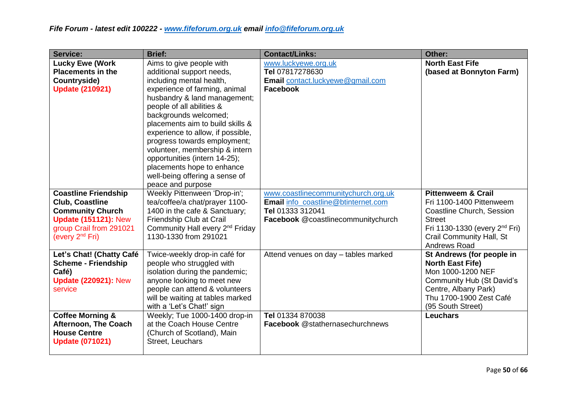| <b>Service:</b>                                                                                                                                                    | <b>Brief:</b>                                                                                                                                                                                                                                                                                                                                                                                                                                                             | <b>Contact/Links:</b>                                                                                                                | Other:                                                                                                                                                                                                  |
|--------------------------------------------------------------------------------------------------------------------------------------------------------------------|---------------------------------------------------------------------------------------------------------------------------------------------------------------------------------------------------------------------------------------------------------------------------------------------------------------------------------------------------------------------------------------------------------------------------------------------------------------------------|--------------------------------------------------------------------------------------------------------------------------------------|---------------------------------------------------------------------------------------------------------------------------------------------------------------------------------------------------------|
| <b>Lucky Ewe (Work</b><br><b>Placements in the</b><br>Countryside)<br><b>Update (210921)</b>                                                                       | Aims to give people with<br>additional support needs,<br>including mental health,<br>experience of farming, animal<br>husbandry & land management;<br>people of all abilities &<br>backgrounds welcomed;<br>placements aim to build skills &<br>experience to allow, if possible,<br>progress towards employment;<br>volunteer, membership & intern<br>opportunities (intern 14-25);<br>placements hope to enhance<br>well-being offering a sense of<br>peace and purpose | www.luckyewe.org.uk<br>Tel 07817278630<br>Email contact.luckyewe@gmail.com<br><b>Facebook</b>                                        | <b>North East Fife</b><br>(based at Bonnyton Farm)                                                                                                                                                      |
| <b>Coastline Friendship</b><br><b>Club, Coastline</b><br><b>Community Church</b><br><b>Update (151121): New</b><br>group Crail from 291021<br>(every $2^{nd}$ Fri) | Weekly Pittenween 'Drop-in';<br>tea/coffee/a chat/prayer 1100-<br>1400 in the cafe & Sanctuary;<br>Friendship Club at Crail<br>Community Hall every 2 <sup>nd</sup> Friday<br>1130-1330 from 291021                                                                                                                                                                                                                                                                       | www.coastlinecommunitychurch.org.uk<br>Email info_coastline@btinternet.com<br>Tel 01333 312041<br>Facebook @coastlinecommunitychurch | <b>Pittenweem &amp; Crail</b><br>Fri 1100-1400 Pittenweem<br>Coastline Church, Session<br><b>Street</b><br>Fri 1130-1330 (every 2 <sup>nd</sup> Fri)<br>Crail Community Hall, St<br><b>Andrews Road</b> |
| Let's Chat! (Chatty Café<br><b>Scheme - Friendship</b><br>Café)<br><b>Update (220921): New</b><br>service                                                          | Twice-weekly drop-in café for<br>people who struggled with<br>isolation during the pandemic;<br>anyone looking to meet new<br>people can attend & volunteers<br>will be waiting at tables marked<br>with a 'Let's Chat!' sign                                                                                                                                                                                                                                             | Attend venues on day - tables marked                                                                                                 | St Andrews (for people in<br><b>North East Fife)</b><br>Mon 1000-1200 NEF<br><b>Community Hub (St David's</b><br>Centre, Albany Park)<br>Thu 1700-1900 Zest Café<br>(95 South Street)                   |
| <b>Coffee Morning &amp;</b><br><b>Afternoon, The Coach</b><br><b>House Centre</b><br><b>Update (071021)</b>                                                        | Weekly; Tue 1000-1400 drop-in<br>at the Coach House Centre<br>(Church of Scotland), Main<br>Street, Leuchars                                                                                                                                                                                                                                                                                                                                                              | Tel 01334 870038<br>Facebook @stathernasechurchnews                                                                                  | <b>Leuchars</b>                                                                                                                                                                                         |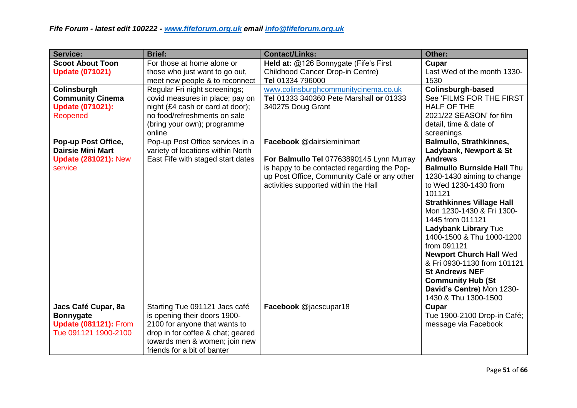| <b>Service:</b>                                                                                 | <b>Brief:</b>                                                                                                                                                                                       | <b>Contact/Links:</b>                                                                                                                                                                                       | Other:                                                                                                                                                                                                                                                                                                                                                                                                                                                                                                                      |
|-------------------------------------------------------------------------------------------------|-----------------------------------------------------------------------------------------------------------------------------------------------------------------------------------------------------|-------------------------------------------------------------------------------------------------------------------------------------------------------------------------------------------------------------|-----------------------------------------------------------------------------------------------------------------------------------------------------------------------------------------------------------------------------------------------------------------------------------------------------------------------------------------------------------------------------------------------------------------------------------------------------------------------------------------------------------------------------|
| <b>Scoot About Toon</b><br><b>Update (071021)</b>                                               | For those at home alone or<br>those who just want to go out,<br>meet new people & to reconnect                                                                                                      | Held at: @126 Bonnygate (Fife's First<br>Childhood Cancer Drop-in Centre)<br>Tel 01334 796000                                                                                                               | Cupar<br>Last Wed of the month 1330-<br>1530                                                                                                                                                                                                                                                                                                                                                                                                                                                                                |
| Colinsburgh<br><b>Community Cinema</b><br><b>Update (071021):</b><br>Reopened                   | Regular Fri night screenings;<br>covid measures in place; pay on<br>night (£4 cash or card at door);<br>no food/refreshments on sale<br>(bring your own); programme<br>online                       | www.colinsburghcommunitycinema.co.uk<br>Tel 01333 340360 Pete Marshall or 01333<br>340275 Doug Grant                                                                                                        | Colinsburgh-based<br>See 'FILMS FOR THE FIRST<br><b>HALF OF THE</b><br>2021/22 SEASON' for film<br>detail, time & date of<br>screenings                                                                                                                                                                                                                                                                                                                                                                                     |
| Pop-up Post Office,<br><b>Dairsie Mini Mart</b><br><b>Update (281021): New</b><br>service       | Pop-up Post Office services in a<br>variety of locations within North<br>East Fife with staged start dates                                                                                          | Facebook @dairsieminimart<br>For Balmullo Tel 07763890145 Lynn Murray<br>is happy to be contacted regarding the Pop-<br>up Post Office, Community Café or any other<br>activities supported within the Hall | <b>Balmullo, Strathkinnes,</b><br>Ladybank, Newport & St<br><b>Andrews</b><br><b>Balmullo Burnside Hall Thu</b><br>1230-1430 aiming to change<br>to Wed 1230-1430 from<br>101121<br><b>Strathkinnes Village Hall</b><br>Mon 1230-1430 & Fri 1300-<br>1445 from 011121<br><b>Ladybank Library Tue</b><br>1400-1500 & Thu 1000-1200<br>from 091121<br><b>Newport Church Hall Wed</b><br>& Fri 0930-1130 from 101121<br><b>St Andrews NEF</b><br><b>Community Hub (St</b><br>David's Centre) Mon 1230-<br>1430 & Thu 1300-1500 |
| Jacs Café Cupar, 8a<br><b>Bonnygate</b><br><b>Update (081121): From</b><br>Tue 091121 1900-2100 | Starting Tue 091121 Jacs café<br>is opening their doors 1900-<br>2100 for anyone that wants to<br>drop in for coffee & chat; geared<br>towards men & women; join new<br>friends for a bit of banter | Facebook @jacscupar18                                                                                                                                                                                       | Cupar<br>Tue 1900-2100 Drop-in Café;<br>message via Facebook                                                                                                                                                                                                                                                                                                                                                                                                                                                                |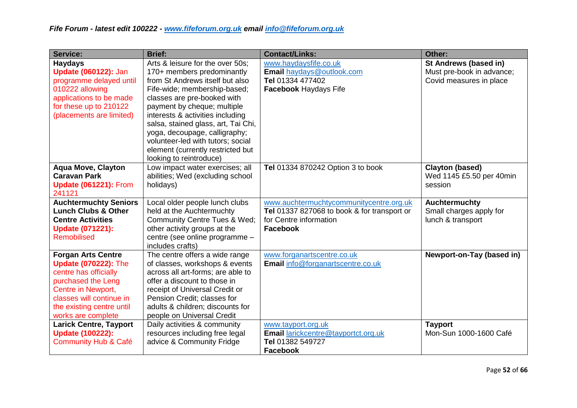| <b>Service:</b>                                                                                                                                                                                              | <b>Brief:</b>                                                                                                                                                                                                                                                                                                                                                                                                    | <b>Contact/Links:</b>                                                                                                        | Other:                                                                        |
|--------------------------------------------------------------------------------------------------------------------------------------------------------------------------------------------------------------|------------------------------------------------------------------------------------------------------------------------------------------------------------------------------------------------------------------------------------------------------------------------------------------------------------------------------------------------------------------------------------------------------------------|------------------------------------------------------------------------------------------------------------------------------|-------------------------------------------------------------------------------|
| <b>Haydays</b><br><b>Update (060122): Jan</b><br>programme delayed until<br>010222 allowing<br>applications to be made<br>for these up to 210122<br>(placements are limited)                                 | Arts & leisure for the over 50s;<br>170+ members predominantly<br>from St Andrews itself but also<br>Fife-wide; membership-based;<br>classes are pre-booked with<br>payment by cheque; multiple<br>interests & activities including<br>salsa, stained glass, art, Tai Chi,<br>yoga, decoupage, calligraphy;<br>volunteer-led with tutors; social<br>element (currently restricted but<br>looking to reintroduce) | www.haydaysfife.co.uk<br>Email haydays@outlook.com<br>Tel 01334 477402<br><b>Facebook Haydays Fife</b>                       | St Andrews (based in)<br>Must pre-book in advance;<br>Covid measures in place |
| <b>Aqua Move, Clayton</b><br><b>Caravan Park</b><br><b>Update (061221): From</b><br>241121                                                                                                                   | Low impact water exercises; all<br>abilities; Wed (excluding school<br>holidays)                                                                                                                                                                                                                                                                                                                                 | Tel 01334 870242 Option 3 to book                                                                                            | <b>Clayton (based)</b><br>Wed 1145 £5.50 per 40min<br>session                 |
| <b>Auchtermuchty Seniors</b><br><b>Lunch Clubs &amp; Other</b><br><b>Centre Activities</b><br><b>Update (071221):</b><br>Remobilised                                                                         | Local older people lunch clubs<br>held at the Auchtermuchty<br>Community Centre Tues & Wed;<br>other activity groups at the<br>centre (see online programme -<br>includes crafts)                                                                                                                                                                                                                                | www.auchtermuchtycommunitycentre.org.uk<br>Tel 01337 827068 to book & for transport or<br>for Centre information<br>Facebook | Auchtermuchty<br>Small charges apply for<br>lunch & transport                 |
| <b>Forgan Arts Centre</b><br><b>Update (070222): The</b><br>centre has officially<br>purchased the Leng<br>Centre in Newport,<br>classes will continue in<br>the existing centre until<br>works are complete | The centre offers a wide range<br>of classes, workshops & events<br>across all art-forms; are able to<br>offer a discount to those in<br>receipt of Universal Credit or<br>Pension Credit; classes for<br>adults & children; discounts for<br>people on Universal Credit                                                                                                                                         | www.forganartscentre.co.uk<br>Email info@forganartscentre.co.uk                                                              | Newport-on-Tay (based in)                                                     |
| <b>Larick Centre, Tayport</b><br><b>Update (100222):</b><br><b>Community Hub &amp; Café</b>                                                                                                                  | Daily activities & community<br>resources including free legal<br>advice & Community Fridge                                                                                                                                                                                                                                                                                                                      | www.tayport.org.uk<br>Email larickcentre@tayportct.org.uk<br>Tel 01382 549727<br>Facebook                                    | <b>Tayport</b><br>Mon-Sun 1000-1600 Café                                      |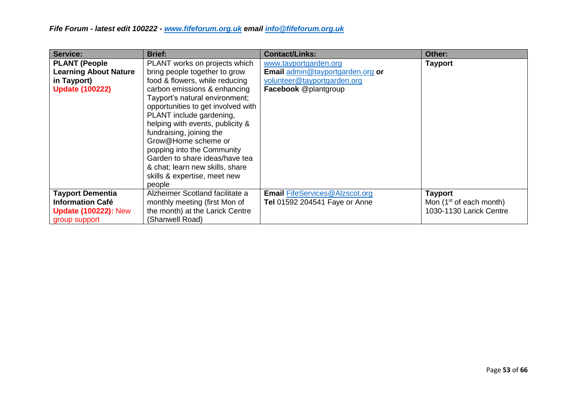| Service:                                                                                           | <b>Brief:</b>                                                                                                                                                                                                                                                                                                                                                                                                                                                            | <b>Contact/Links:</b>                                                                                                   | Other:                                                                 |
|----------------------------------------------------------------------------------------------------|--------------------------------------------------------------------------------------------------------------------------------------------------------------------------------------------------------------------------------------------------------------------------------------------------------------------------------------------------------------------------------------------------------------------------------------------------------------------------|-------------------------------------------------------------------------------------------------------------------------|------------------------------------------------------------------------|
| <b>PLANT (People</b><br><b>Learning About Nature</b><br>in Tayport)<br><b>Update (100222)</b>      | PLANT works on projects which<br>bring people together to grow<br>food & flowers, while reducing<br>carbon emissions & enhancing<br>Tayport's natural environment;<br>opportunities to get involved with<br>PLANT include gardening,<br>helping with events, publicity &<br>fundraising, joining the<br>Grow@Home scheme or<br>popping into the Community<br>Garden to share ideas/have tea<br>& chat; learn new skills, share<br>skills & expertise, meet new<br>people | www.tayportgarden.org<br>Email admin@tayportgarden.org or<br>volunteer@tayportgarden.org<br><b>Facebook</b> @plantgroup | <b>Tayport</b>                                                         |
| <b>Tayport Dementia</b><br><b>Information Café</b><br><b>Update (100222): New</b><br>group support | Alzheimer Scotland facilitate a<br>monthly meeting (first Mon of<br>the month) at the Larick Centre<br>(Shanwell Road)                                                                                                                                                                                                                                                                                                                                                   | <b>Email FifeServices@Alzscot.org</b><br>Tel 01592 204541 Faye or Anne                                                  | <b>Tayport</b><br>Mon $(1st$ of each month)<br>1030-1130 Larick Centre |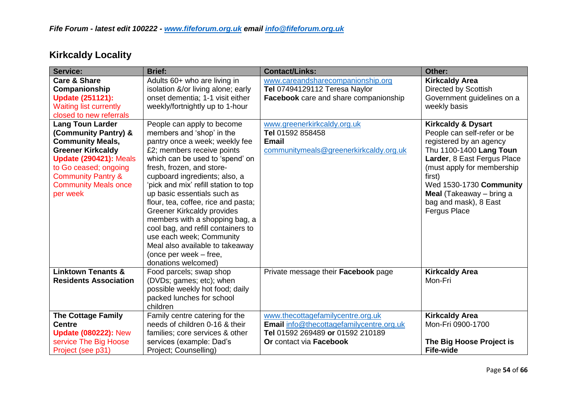| <b>Service:</b>                                                                                                                                                                                                                              | <b>Brief:</b>                                                                                                                                                                                                                                                                                                                                                                                                                                                                                                                                                | <b>Contact/Links:</b>                                                                                                                               | Other:                                                                                                                                                                                                                                                                                                    |
|----------------------------------------------------------------------------------------------------------------------------------------------------------------------------------------------------------------------------------------------|--------------------------------------------------------------------------------------------------------------------------------------------------------------------------------------------------------------------------------------------------------------------------------------------------------------------------------------------------------------------------------------------------------------------------------------------------------------------------------------------------------------------------------------------------------------|-----------------------------------------------------------------------------------------------------------------------------------------------------|-----------------------------------------------------------------------------------------------------------------------------------------------------------------------------------------------------------------------------------------------------------------------------------------------------------|
| <b>Care &amp; Share</b><br>Companionship<br><b>Update (251121):</b><br><b>Waiting list currently</b><br>closed to new referrals                                                                                                              | Adults 60+ who are living in<br>isolation &/or living alone; early<br>onset dementia; 1-1 visit either<br>weekly/fortnightly up to 1-hour                                                                                                                                                                                                                                                                                                                                                                                                                    | www.careandsharecompanionship.org<br>Tel 07494129112 Teresa Naylor<br>Facebook care and share companionship                                         | <b>Kirkcaldy Area</b><br>Directed by Scottish<br>Government guidelines on a<br>weekly basis                                                                                                                                                                                                               |
| <b>Lang Toun Larder</b><br>(Community Pantry) &<br><b>Community Meals,</b><br><b>Greener Kirkcaldy</b><br><b>Update (290421): Meals</b><br>to Go ceased; ongoing<br><b>Community Pantry &amp;</b><br><b>Community Meals once</b><br>per week | People can apply to become<br>members and 'shop' in the<br>pantry once a week; weekly fee<br>£2; members receive points<br>which can be used to 'spend' on<br>fresh, frozen, and store-<br>cupboard ingredients; also, a<br>'pick and mix' refill station to top<br>up basic essentials such as<br>flour, tea, coffee, rice and pasta;<br>Greener Kirkcaldy provides<br>members with a shopping bag, a<br>cool bag, and refill containers to<br>use each week; Community<br>Meal also available to takeaway<br>(once per week – free,<br>donations welcomed) | www.greenerkirkcaldy.org.uk<br>Tel 01592 858458<br><b>Email</b><br>communitymeals@greenerkirkcaldy.org.uk                                           | <b>Kirkcaldy &amp; Dysart</b><br>People can self-refer or be<br>registered by an agency<br>Thu 1100-1400 Lang Toun<br>Larder, 8 East Fergus Place<br>(must apply for membership<br>first)<br>Wed 1530-1730 Community<br><b>Meal</b> (Takeaway $-$ bring a<br>bag and mask), 8 East<br><b>Fergus Place</b> |
| <b>Linktown Tenants &amp;</b><br><b>Residents Association</b>                                                                                                                                                                                | Food parcels; swap shop<br>(DVDs; games; etc); when<br>possible weekly hot food; daily<br>packed lunches for school<br>children                                                                                                                                                                                                                                                                                                                                                                                                                              | Private message their Facebook page                                                                                                                 | <b>Kirkcaldy Area</b><br>Mon-Fri                                                                                                                                                                                                                                                                          |
| <b>The Cottage Family</b><br><b>Centre</b><br><b>Update (080222): New</b><br>service The Big Hoose<br>Project (see p31)                                                                                                                      | Family centre catering for the<br>needs of children 0-16 & their<br>families; core services & other<br>services (example: Dad's<br>Project; Counselling)                                                                                                                                                                                                                                                                                                                                                                                                     | www.thecottagefamilycentre.org.uk<br><b>Email</b> info@thecottagefamilycentre.org.uk<br>Tel 01592 269489 or 01592 210189<br>Or contact via Facebook | <b>Kirkcaldy Area</b><br>Mon-Fri 0900-1700<br>The Big Hoose Project is<br><b>Fife-wide</b>                                                                                                                                                                                                                |

# **Kirkcaldy Locality**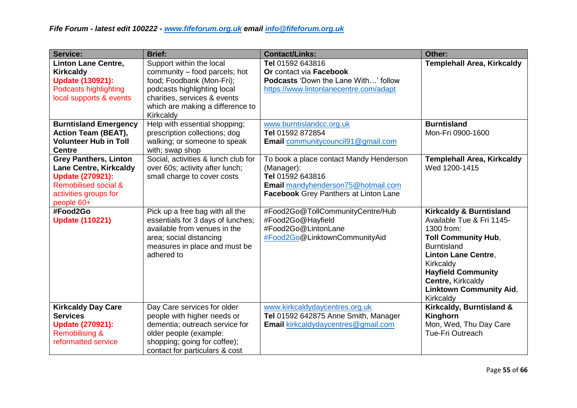| <b>Service:</b>                                                                                                                                                    | <b>Brief:</b>                                                                                                                                                                                          | <b>Contact/Links:</b>                                                                                                                                           | Other:                                                                                                                                                                                                                                                                        |
|--------------------------------------------------------------------------------------------------------------------------------------------------------------------|--------------------------------------------------------------------------------------------------------------------------------------------------------------------------------------------------------|-----------------------------------------------------------------------------------------------------------------------------------------------------------------|-------------------------------------------------------------------------------------------------------------------------------------------------------------------------------------------------------------------------------------------------------------------------------|
| <b>Linton Lane Centre,</b><br><b>Kirkcaldy</b><br><b>Update (130921):</b><br><b>Podcasts highlighting</b><br>local supports & events                               | Support within the local<br>community – food parcels; hot<br>food; Foodbank (Mon-Fri);<br>podcasts highlighting local<br>charities, services & events<br>which are making a difference to<br>Kirkcaldy | Tel 01592 643816<br>Or contact via Facebook<br><b>Podcasts 'Down the Lane With' follow</b><br>https://www.lintonlanecentre.com/adapt                            | <b>Templehall Area, Kirkcaldy</b>                                                                                                                                                                                                                                             |
| <b>Burntisland Emergency</b><br><b>Action Team (BEAT),</b><br><b>Volunteer Hub in Toll</b><br><b>Centre</b>                                                        | Help with essential shopping;<br>prescription collections; dog<br>walking; or someone to speak<br>with; swap shop                                                                                      | www.burntislandcc.org.uk<br>Tel 01592 872854<br>Email communitycouncil91@gmail.com                                                                              | <b>Burntisland</b><br>Mon-Fri 0900-1600                                                                                                                                                                                                                                       |
| <b>Grey Panthers, Linton</b><br><b>Lane Centre, Kirkcaldy</b><br><b>Update (270921):</b><br><b>Remobilised social &amp;</b><br>activities groups for<br>people 60+ | Social, activities & lunch club for<br>over 60s; activity after lunch;<br>small charge to cover costs                                                                                                  | To book a place contact Mandy Henderson<br>(Manager):<br>Tel 01592 643816<br>Email mandyhenderson75@hotmail.com<br><b>Facebook</b> Grey Panthers at Linton Lane | <b>Templehall Area, Kirkcaldy</b><br>Wed 1200-1415                                                                                                                                                                                                                            |
| #Food2Go<br><b>Update (110221)</b>                                                                                                                                 | Pick up a free bag with all the<br>essentials for 3 days of lunches;<br>available from venues in the<br>area; social distancing<br>measures in place and must be<br>adhered to                         | #Food2Go@TollCommunityCentre/Hub<br>#Food2Go@Hayfield<br>#Food2Go@LintonLane<br>#Food2Go@LinktownCommunityAid                                                   | <b>Kirkcaldy &amp; Burntisland</b><br>Available Tue & Fri 1145-<br>1300 from:<br><b>Toll Community Hub,</b><br><b>Burntisland</b><br><b>Linton Lane Centre,</b><br>Kirkcaldy<br><b>Hayfield Community</b><br>Centre, Kirkcaldy<br><b>Linktown Community Aid,</b><br>Kirkcaldy |
| <b>Kirkcaldy Day Care</b><br><b>Services</b><br><b>Update (270921):</b><br><b>Remobilising &amp;</b><br>reformatted service                                        | Day Care services for older<br>people with higher needs or<br>dementia; outreach service for<br>older people (example:<br>shopping; going for coffee);<br>contact for particulars & cost               | www.kirkcaldydaycentres.org.uk<br>Tel 01592 642875 Anne Smith, Manager<br><b>Email</b> kirkcaldydaycentres@gmail.com                                            | Kirkcaldy, Burntisland &<br>Kinghorn<br>Mon, Wed, Thu Day Care<br><b>Tue-Fri Outreach</b>                                                                                                                                                                                     |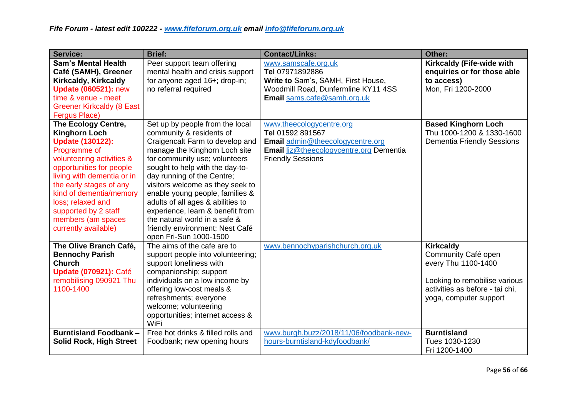| <b>Service:</b>                                                                                                                                                                                                                                                                                                                | <b>Brief:</b>                                                                                                                                                                                                                                                                                                                                                                                                                                                                   | <b>Contact/Links:</b>                                                                                                                                   | Other:                                                                                                                                                       |
|--------------------------------------------------------------------------------------------------------------------------------------------------------------------------------------------------------------------------------------------------------------------------------------------------------------------------------|---------------------------------------------------------------------------------------------------------------------------------------------------------------------------------------------------------------------------------------------------------------------------------------------------------------------------------------------------------------------------------------------------------------------------------------------------------------------------------|---------------------------------------------------------------------------------------------------------------------------------------------------------|--------------------------------------------------------------------------------------------------------------------------------------------------------------|
| <b>Sam's Mental Health</b><br>Café (SAMH), Greener<br>Kirkcaldy, Kirkcaldy<br><b>Update (060521): new</b><br>time & venue - meet<br><b>Greener Kirkcaldy (8 East</b><br>Fergus Place)                                                                                                                                          | Peer support team offering<br>mental health and crisis support<br>for anyone aged 16+; drop-in;<br>no referral required                                                                                                                                                                                                                                                                                                                                                         | www.samscafe.org.uk<br>Tel 07971892886<br>Write to Sam's, SAMH, First House,<br>Woodmill Road, Dunfermline KY11 4SS<br>Email sams.cafe@samh.org.uk      | Kirkcaldy (Fife-wide with<br>enquiries or for those able<br>to access)<br>Mon, Fri 1200-2000                                                                 |
| The Ecology Centre,<br><b>Kinghorn Loch</b><br><b>Update (130122):</b><br>Programme of<br>volunteering activities &<br>opportunities for people<br>living with dementia or in<br>the early stages of any<br>kind of dementia/memory<br>loss; relaxed and<br>supported by 2 staff<br>members (am spaces<br>currently available) | Set up by people from the local<br>community & residents of<br>Craigencalt Farm to develop and<br>manage the Kinghorn Loch site<br>for community use; volunteers<br>sought to help with the day-to-<br>day running of the Centre;<br>visitors welcome as they seek to<br>enable young people, families &<br>adults of all ages & abilities to<br>experience, learn & benefit from<br>the natural world in a safe &<br>friendly environment; Nest Café<br>open Fri-Sun 1000-1500 | www.theecologycentre.org<br>Tel 01592 891567<br>Email admin@theecologycentre.org<br>Email liz@theecologycentre.org Dementia<br><b>Friendly Sessions</b> | <b>Based Kinghorn Loch</b><br>Thu 1000-1200 & 1330-1600<br><b>Dementia Friendly Sessions</b>                                                                 |
| The Olive Branch Café,<br><b>Bennochy Parish</b><br><b>Church</b><br><b>Update (070921): Café</b><br>remobilising 090921 Thu<br>1100-1400                                                                                                                                                                                      | The aims of the cafe are to<br>support people into volunteering;<br>support loneliness with<br>companionship; support<br>individuals on a low income by<br>offering low-cost meals &<br>refreshments; everyone<br>welcome; volunteering<br>opportunities; internet access &<br>WiFi                                                                                                                                                                                             | www.bennochyparishchurch.org.uk                                                                                                                         | <b>Kirkcaldy</b><br>Community Café open<br>every Thu 1100-1400<br>Looking to remobilise various<br>activities as before - tai chi,<br>yoga, computer support |
| <b>Burntisland Foodbank -</b><br><b>Solid Rock, High Street</b>                                                                                                                                                                                                                                                                | Free hot drinks & filled rolls and<br>Foodbank; new opening hours                                                                                                                                                                                                                                                                                                                                                                                                               | www.burgh.buzz/2018/11/06/foodbank-new-<br>hours-burntisland-kdyfoodbank/                                                                               | <b>Burntisland</b><br>Tues 1030-1230<br>Fri 1200-1400                                                                                                        |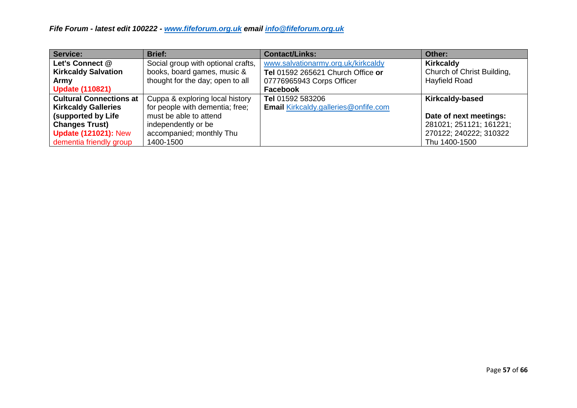| Service:                       | <b>Brief:</b>                      | <b>Contact/Links:</b>                       | Other:                     |
|--------------------------------|------------------------------------|---------------------------------------------|----------------------------|
| Let's Connect @                | Social group with optional crafts, | www.salvationarmy.org.uk/kirkcaldy          | <b>Kirkcaldy</b>           |
| <b>Kirkcaldy Salvation</b>     | books, board games, music &        | Tel 01592 265621 Church Office or           | Church of Christ Building, |
| Army                           | thought for the day; open to all   | 07776965943 Corps Officer                   | Hayfield Road              |
| <b>Update (110821)</b>         |                                    | <b>Facebook</b>                             |                            |
| <b>Cultural Connections at</b> | Cuppa & exploring local history    | Tel 01592 583206                            | <b>Kirkcaldy-based</b>     |
| <b>Kirkcaldy Galleries</b>     | for people with dementia; free;    | <b>Email Kirkcaldy.galleries@onfife.com</b> |                            |
| (supported by Life             | must be able to attend             |                                             | Date of next meetings:     |
| <b>Changes Trust)</b>          | independently or be                |                                             | 281021; 251121; 161221;    |
| <b>Update (121021): New</b>    | accompanied; monthly Thu           |                                             | 270122; 240222; 310322     |
| dementia friendly group        | 1400-1500                          |                                             | Thu 1400-1500              |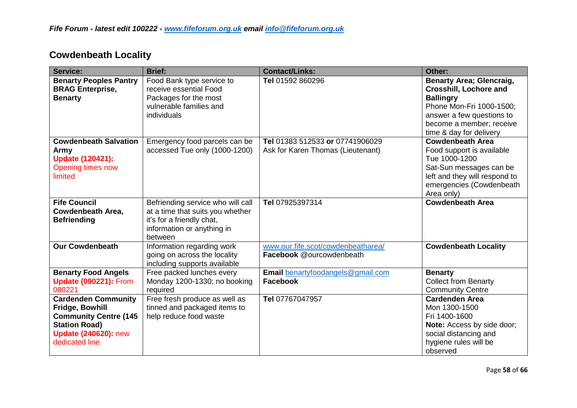| <b>Service:</b>                                                                                                                                        | <b>Brief:</b>                                                                                                                               | <b>Contact/Links:</b>                                                | Other:                                                                                                                                                                                               |
|--------------------------------------------------------------------------------------------------------------------------------------------------------|---------------------------------------------------------------------------------------------------------------------------------------------|----------------------------------------------------------------------|------------------------------------------------------------------------------------------------------------------------------------------------------------------------------------------------------|
| <b>Benarty Peoples Pantry</b><br><b>BRAG Enterprise,</b><br><b>Benarty</b>                                                                             | Food Bank type service to<br>receive essential Food<br>Packages for the most<br>vulnerable families and<br>individuals                      | Tel 01592 860296                                                     | <b>Benarty Area; Glencraig,</b><br><b>Crosshill, Lochore and</b><br><b>Ballingry</b><br>Phone Mon-Fri 1000-1500;<br>answer a few questions to<br>become a member; receive<br>time & day for delivery |
| <b>Cowdenbeath Salvation</b><br>Army<br><b>Update (120421):</b><br>Opening times now<br>limited                                                        | Emergency food parcels can be<br>accessed Tue only (1000-1200)                                                                              | Tel 01383 512533 or 07741906029<br>Ask for Karen Thomas (Lieutenant) | <b>Cowdenbeath Area</b><br>Food support is available<br>Tue 1000-1200<br>Sat-Sun messages can be<br>left and they will respond to<br>emergencies (Cowdenbeath<br>Area only)                          |
| <b>Fife Council</b><br>Cowdenbeath Area,<br><b>Befriending</b>                                                                                         | Befriending service who will call<br>at a time that suits you whether<br>it's for a friendly chat,<br>information or anything in<br>between | Tel 07925397314                                                      | <b>Cowdenbeath Area</b>                                                                                                                                                                              |
| <b>Our Cowdenbeath</b>                                                                                                                                 | Information regarding work<br>going on across the locality<br>including supports available                                                  | www.our.fife.scot/cowdenbeatharea/<br>Facebook @ourcowdenbeath       | <b>Cowdenbeath Locality</b>                                                                                                                                                                          |
| <b>Benarty Food Angels</b><br><b>Update (090221): From</b><br>080221                                                                                   | Free packed lunches every<br>Monday 1200-1330; no booking<br>required                                                                       | Email benartyfoodangels@gmail.com<br><b>Facebook</b>                 | <b>Benarty</b><br><b>Collect from Benarty</b><br><b>Community Centre</b>                                                                                                                             |
| <b>Cardenden Community</b><br>Fridge, Bowhill<br><b>Community Centre (145</b><br><b>Station Road)</b><br><b>Update (240620): new</b><br>dedicated line | Free fresh produce as well as<br>tinned and packaged items to<br>help reduce food waste                                                     | Tel 07767047957                                                      | <b>Cardenden Area</b><br>Mon 1300-1500<br>Fri 1400-1600<br>Note: Access by side door;<br>social distancing and<br>hygiene rules will be<br>observed                                                  |

#### **Cowdenbeath Locality**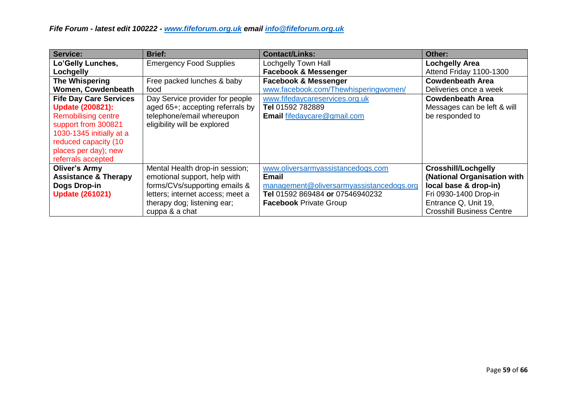| Service:                        | <b>Brief:</b>                    | <b>Contact/Links:</b>                    | Other:                           |
|---------------------------------|----------------------------------|------------------------------------------|----------------------------------|
| Lo'Gelly Lunches,               | <b>Emergency Food Supplies</b>   | Lochgelly Town Hall                      | <b>Lochgelly Area</b>            |
| Lochgelly                       |                                  | <b>Facebook &amp; Messenger</b>          | Attend Friday 1100-1300          |
| The Whispering                  | Free packed lunches & baby       | <b>Facebook &amp; Messenger</b>          | <b>Cowdenbeath Area</b>          |
| Women, Cowdenbeath              | food                             | www.facebook.com/Thewhisperingwomen/     | Deliveries once a week           |
| <b>Fife Day Care Services</b>   | Day Service provider for people  | www.fifedaycareservices.org.uk           | <b>Cowdenbeath Area</b>          |
| <b>Update (200821):</b>         | aged 65+; accepting referrals by | Tel 01592 782889                         | Messages can be left & will      |
| <b>Remobilising centre</b>      | telephone/email whereupon        | <b>Email fifedaycare@gmail.com</b>       | be responded to                  |
| support from 300821             | eligibility will be explored     |                                          |                                  |
| 1030-1345 initially at a        |                                  |                                          |                                  |
| reduced capacity (10            |                                  |                                          |                                  |
| places per day); new            |                                  |                                          |                                  |
| referrals accepted              |                                  |                                          |                                  |
| <b>Oliver's Army</b>            | Mental Health drop-in session;   | www.oliversarmyassistancedogs.com        | <b>Crosshill/Lochgelly</b>       |
| <b>Assistance &amp; Therapy</b> | emotional support, help with     | <b>Email</b>                             | (National Organisation with      |
| <b>Dogs Drop-in</b>             | forms/CVs/supporting emails &    | management@oliversarmyassistancedogs.org | local base & drop-in)            |
| <b>Update (261021)</b>          | letters; internet access; meet a | Tel   01592 869484 or 07546940232        | Fri 0930-1400 Drop-in            |
|                                 | therapy dog; listening ear;      | <b>Facebook Private Group</b>            | Entrance Q, Unit 19,             |
|                                 | cuppa & a chat                   |                                          | <b>Crosshill Business Centre</b> |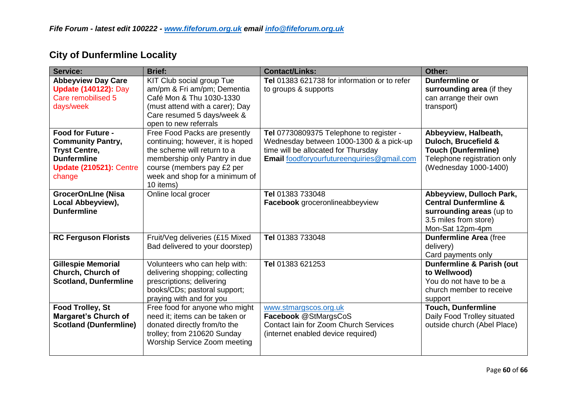| Service:                                                                                                                                       | <b>Brief:</b>                                                                                                                                                                                                  | <b>Contact/Links:</b>                                                                                                                                                   | Other:                                                                                                                                |
|------------------------------------------------------------------------------------------------------------------------------------------------|----------------------------------------------------------------------------------------------------------------------------------------------------------------------------------------------------------------|-------------------------------------------------------------------------------------------------------------------------------------------------------------------------|---------------------------------------------------------------------------------------------------------------------------------------|
| <b>Abbeyview Day Care</b><br><b>Update (140122): Day</b><br>Care remobilised 5<br>days/week                                                    | KIT Club social group Tue<br>am/pm & Fri am/pm; Dementia<br>Café Mon & Thu 1030-1330<br>(must attend with a carer); Day<br>Care resumed 5 days/week &<br>open to new referrals                                 | Tel 01383 621738 for information or to refer<br>to groups & supports                                                                                                    | <b>Dunfermline or</b><br>surrounding area (if they<br>can arrange their own<br>transport)                                             |
| <b>Food for Future -</b><br><b>Community Pantry,</b><br><b>Tryst Centre,</b><br><b>Dunfermline</b><br><b>Update (210521): Centre</b><br>change | Free Food Packs are presently<br>continuing; however, it is hoped<br>the scheme will return to a<br>membership only Pantry in due<br>course (members pay £2 per<br>week and shop for a minimum of<br>10 items) | Tel 07730809375 Telephone to register -<br>Wednesday between 1000-1300 & a pick-up<br>time will be allocated for Thursday<br>Email foodforyourfutureenquiries@gmail.com | Abbeyview, Halbeath,<br>Duloch, Brucefield &<br><b>Touch (Dunfermline)</b><br>Telephone registration only<br>(Wednesday 1000-1400)    |
| <b>GrocerOnLIne (Nisa</b><br>Local Abbeyview),<br><b>Dunfermline</b>                                                                           | Online local grocer                                                                                                                                                                                            | Tel 01383 733048<br>Facebook groceronlineabbeyview                                                                                                                      | Abbeyview, Dulloch Park,<br><b>Central Dunfermline &amp;</b><br>surrounding areas (up to<br>3.5 miles from store)<br>Mon-Sat 12pm-4pm |
| <b>RC Ferguson Florists</b>                                                                                                                    | Fruit/Veg deliveries (£15 Mixed<br>Bad delivered to your doorstep)                                                                                                                                             | Tel 01383 733048                                                                                                                                                        | <b>Dunfermline Area (free</b><br>delivery)<br>Card payments only                                                                      |
| <b>Gillespie Memorial</b><br>Church, Church of<br><b>Scotland, Dunfermline</b>                                                                 | Volunteers who can help with:<br>delivering shopping; collecting<br>prescriptions; delivering<br>books/CDs; pastoral support;<br>praying with and for you                                                      | Tel 01383 621253                                                                                                                                                        | Dunfermline & Parish (out<br>to Wellwood)<br>You do not have to be a<br>church member to receive<br>support                           |
| <b>Food Trolley, St</b><br><b>Margaret's Church of</b><br><b>Scotland (Dunfermline)</b>                                                        | Free food for anyone who might<br>need it; items can be taken or<br>donated directly from/to the<br>trolley; from 210620 Sunday<br>Worship Service Zoom meeting                                                | www.stmargscos.org.uk<br>Facebook @StMargsCoS<br>Contact Iain for Zoom Church Services<br>(internet enabled device required)                                            | <b>Touch, Dunfermline</b><br>Daily Food Trolley situated<br>outside church (Abel Place)                                               |

# **City of Dunfermline Locality**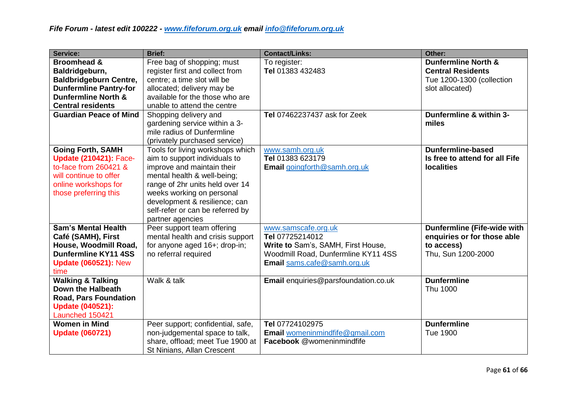| Service:                                                                                                                                                      | <b>Brief:</b>                                                                                                                                                                                                                                                                           | <b>Contact/Links:</b>                                                                                                                              | Other:                                                                                                |
|---------------------------------------------------------------------------------------------------------------------------------------------------------------|-----------------------------------------------------------------------------------------------------------------------------------------------------------------------------------------------------------------------------------------------------------------------------------------|----------------------------------------------------------------------------------------------------------------------------------------------------|-------------------------------------------------------------------------------------------------------|
| <b>Broomhead &amp;</b>                                                                                                                                        | Free bag of shopping; must                                                                                                                                                                                                                                                              | To register:                                                                                                                                       | <b>Dunfermline North &amp;</b>                                                                        |
| Baldridgeburn,                                                                                                                                                | register first and collect from                                                                                                                                                                                                                                                         | Tel 01383 432483                                                                                                                                   | <b>Central Residents</b>                                                                              |
| <b>Baldbridgeburn Centre,</b>                                                                                                                                 | centre; a time slot will be                                                                                                                                                                                                                                                             |                                                                                                                                                    | Tue 1200-1300 (collection                                                                             |
| <b>Dunfermline Pantry-for</b>                                                                                                                                 | allocated; delivery may be                                                                                                                                                                                                                                                              |                                                                                                                                                    | slot allocated)                                                                                       |
| <b>Dunfermline North &amp;</b>                                                                                                                                | available for the those who are                                                                                                                                                                                                                                                         |                                                                                                                                                    |                                                                                                       |
| <b>Central residents</b>                                                                                                                                      | unable to attend the centre                                                                                                                                                                                                                                                             |                                                                                                                                                    |                                                                                                       |
| <b>Guardian Peace of Mind</b>                                                                                                                                 | Shopping delivery and<br>gardening service within a 3-<br>mile radius of Dunfermline<br>(privately purchased service)                                                                                                                                                                   | <b>Tel 07462237437 ask for Zeek</b>                                                                                                                | Dunfermline & within 3-<br>miles                                                                      |
| <b>Going Forth, SAMH</b><br><b>Update (210421): Face-</b><br>to-face from 260421 &<br>will continue to offer<br>online workshops for<br>those preferring this | Tools for living workshops which<br>aim to support individuals to<br>improve and maintain their<br>mental health & well-being;<br>range of 2hr units held over 14<br>weeks working on personal<br>development & resilience; can<br>self-refer or can be referred by<br>partner agencies | www.samh.org.uk<br>Tel 01383 623179<br>Email goingforth@samh.org.uk                                                                                | <b>Dunfermline-based</b><br>Is free to attend for all Fife<br><b>localities</b>                       |
| <b>Sam's Mental Health</b><br>Café (SAMH), First<br>House, Woodmill Road,<br><b>Dunfermline KY11 4SS</b><br><b>Update (060521): New</b><br>time               | Peer support team offering<br>mental health and crisis support<br>for anyone aged 16+; drop-in;<br>no referral required                                                                                                                                                                 | www.samscafe.org.uk<br>Tel 07725214012<br>Write to Sam's, SAMH, First House,<br>Woodmill Road, Dunfermline KY11 4SS<br>Email sams.cafe@samh.org.uk | <b>Dunfermline (Fife-wide with</b><br>enquiries or for those able<br>to access)<br>Thu, Sun 1200-2000 |
| <b>Walking &amp; Talking</b><br>Down the Halbeath<br><b>Road, Pars Foundation</b><br><b>Update (040521):</b><br>Launched 150421                               | Walk & talk                                                                                                                                                                                                                                                                             | Email enquiries@parsfoundation.co.uk                                                                                                               | <b>Dunfermline</b><br>Thu 1000                                                                        |
| <b>Women in Mind</b><br><b>Update (060721)</b>                                                                                                                | Peer support; confidential, safe,<br>non-judgemental space to talk,<br>share, offload; meet Tue 1900 at<br>St Ninians, Allan Crescent                                                                                                                                                   | Tel 07724102975<br>Email womeninmindfife@gmail.com<br>Facebook @womeninmindfife                                                                    | <b>Dunfermline</b><br>Tue 1900                                                                        |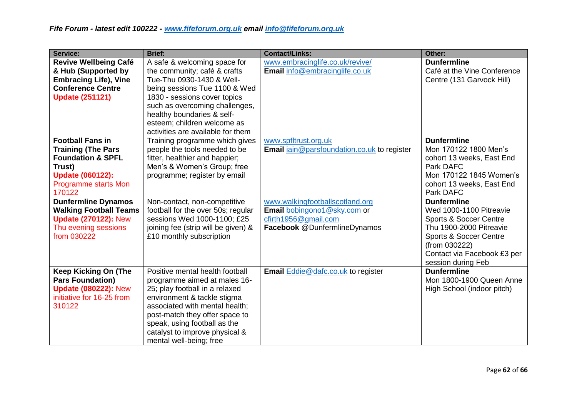| Service:                                                                                                                                                             | <b>Brief:</b>                                                                                                                                                                                                                                                                                                                    | <b>Contact/Links:</b>                                                                                                  | Other:                                                                                                                                                                                                        |
|----------------------------------------------------------------------------------------------------------------------------------------------------------------------|----------------------------------------------------------------------------------------------------------------------------------------------------------------------------------------------------------------------------------------------------------------------------------------------------------------------------------|------------------------------------------------------------------------------------------------------------------------|---------------------------------------------------------------------------------------------------------------------------------------------------------------------------------------------------------------|
| <b>Revive Wellbeing Café</b><br>& Hub (Supported by<br><b>Embracing Life), Vine</b><br><b>Conference Centre</b><br><b>Update (251121)</b><br><b>Football Fans in</b> | A safe & welcoming space for<br>the community; café & crafts<br>Tue-Thu 0930-1430 & Well-<br>being sessions Tue 1100 & Wed<br>1830 - sessions cover topics<br>such as overcoming challenges,<br>healthy boundaries & self-<br>esteem; children welcome as<br>activities are available for them<br>Training programme which gives | www.embracinglife.co.uk/revive/<br>Email info@embracinglife.co.uk<br>www.spfltrust.org.uk                              | <b>Dunfermline</b><br>Café at the Vine Conference<br>Centre (131 Garvock Hill)<br><b>Dunfermline</b>                                                                                                          |
| <b>Training (The Pars</b><br><b>Foundation &amp; SPFL</b><br>Trust)<br><b>Update (060122):</b><br><b>Programme starts Mon</b><br>170122                              | people the tools needed to be<br>fitter, healthier and happier;<br>Men's & Women's Group; free<br>programme; register by email                                                                                                                                                                                                   | <b>Email</b> jain@parsfoundation.co.uk to register                                                                     | Mon 170122 1800 Men's<br>cohort 13 weeks, East End<br>Park DAFC<br>Mon 170122 1845 Women's<br>cohort 13 weeks, East End<br>Park DAFC                                                                          |
| <b>Dunfermline Dynamos</b><br><b>Walking Football Teams</b><br><b>Update (270122): New</b><br>Thu evening sessions<br>from 030222                                    | Non-contact, non-competitive<br>football for the over 50s; regular<br>sessions Wed 1000-1100; £25<br>joining fee (strip will be given) &<br>£10 monthly subscription                                                                                                                                                             | www.walkingfootballscotland.org<br>Email bobingono1@sky.com or<br>cfirth1956@gmail.com<br>Facebook @DunfermlineDynamos | <b>Dunfermline</b><br>Wed 1000-1100 Pitreavie<br><b>Sports &amp; Soccer Centre</b><br>Thu 1900-2000 Pitreavie<br>Sports & Soccer Centre<br>(from 030222)<br>Contact via Facebook £3 per<br>session during Feb |
| <b>Keep Kicking On (The</b><br><b>Pars Foundation)</b><br><b>Update (080222): New</b><br>initiative for 16-25 from<br>310122                                         | Positive mental health football<br>programme aimed at males 16-<br>25; play football in a relaxed<br>environment & tackle stigma<br>associated with mental health;<br>post-match they offer space to<br>speak, using football as the<br>catalyst to improve physical &<br>mental well-being; free                                | <b>Email Eddie @dafc.co.uk to register</b>                                                                             | <b>Dunfermline</b><br>Mon 1800-1900 Queen Anne<br>High School (indoor pitch)                                                                                                                                  |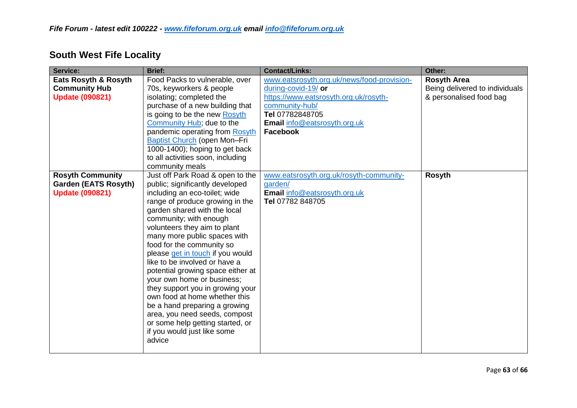| <b>Service:</b>                                                                  | <b>Brief:</b>                                                                                                                                                                                                                                                                                                                                                                                                                                                                                                                                                                                                                                              | <b>Contact/Links:</b>                                                                                                                                                                              | Other:                                                                          |
|----------------------------------------------------------------------------------|------------------------------------------------------------------------------------------------------------------------------------------------------------------------------------------------------------------------------------------------------------------------------------------------------------------------------------------------------------------------------------------------------------------------------------------------------------------------------------------------------------------------------------------------------------------------------------------------------------------------------------------------------------|----------------------------------------------------------------------------------------------------------------------------------------------------------------------------------------------------|---------------------------------------------------------------------------------|
| Eats Rosyth & Rosyth<br><b>Community Hub</b><br><b>Update (090821)</b>           | Food Packs to vulnerable, over<br>70s, keyworkers & people<br>isolating; completed the<br>purchase of a new building that<br>is going to be the new Rosyth<br>Community Hub; due to the<br>pandemic operating from Rosyth<br>Baptist Church (open Mon-Fri<br>1000-1400); hoping to get back<br>to all activities soon, including<br>community meals                                                                                                                                                                                                                                                                                                        | www.eatsrosyth.org.uk/news/food-provision-<br>during-covid-19/ or<br>https://www.eatsrosyth.org.uk/rosyth-<br>community-hub/<br>Tel 07782848705<br>Email info@eatsrosyth.org.uk<br><b>Facebook</b> | <b>Rosyth Area</b><br>Being delivered to individuals<br>& personalised food bag |
| <b>Rosyth Community</b><br><b>Garden (EATS Rosyth)</b><br><b>Update (090821)</b> | Just off Park Road & open to the<br>public; significantly developed<br>including an eco-toilet; wide<br>range of produce growing in the<br>garden shared with the local<br>community; with enough<br>volunteers they aim to plant<br>many more public spaces with<br>food for the community so<br>please get in touch if you would<br>like to be involved or have a<br>potential growing space either at<br>your own home or business;<br>they support you in growing your<br>own food at home whether this<br>be a hand preparing a growing<br>area, you need seeds, compost<br>or some help getting started, or<br>if you would just like some<br>advice | www.eatsrosyth.org.uk/rosyth-community-<br>garden/<br>Email info@eatsrosyth.org.uk<br>Tel 07782 848705                                                                                             | <b>Rosyth</b>                                                                   |

# **South West Fife Locality**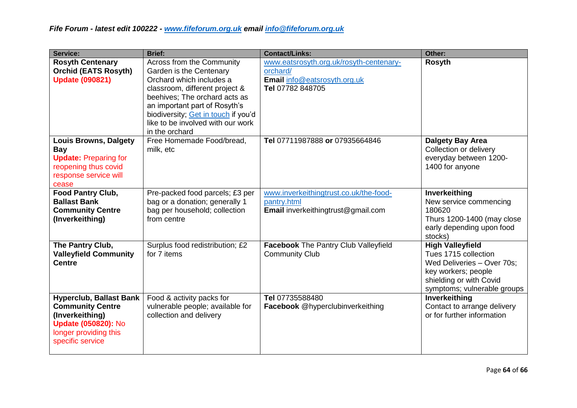| Service:                                                                                                                                                | <b>Brief:</b>                                                                                                                                                                                                                                                                      | <b>Contact/Links:</b>                                                                                   | Other:                                                                                                                                                         |
|---------------------------------------------------------------------------------------------------------------------------------------------------------|------------------------------------------------------------------------------------------------------------------------------------------------------------------------------------------------------------------------------------------------------------------------------------|---------------------------------------------------------------------------------------------------------|----------------------------------------------------------------------------------------------------------------------------------------------------------------|
| <b>Rosyth Centenary</b><br><b>Orchid (EATS Rosyth)</b><br><b>Update (090821)</b>                                                                        | Across from the Community<br>Garden is the Centenary<br>Orchard which includes a<br>classroom, different project &<br>beehives; The orchard acts as<br>an important part of Rosyth's<br>biodiversity; Get in touch if you'd<br>like to be involved with our work<br>in the orchard | www.eatsrosyth.org.uk/rosyth-centenary-<br>orchard/<br>Email info@eatsrosyth.org.uk<br>Tel 07782 848705 | <b>Rosyth</b>                                                                                                                                                  |
| <b>Louis Browns, Dalgety</b><br><b>Bay</b><br><b>Update: Preparing for</b><br>reopening thus covid<br>response service will<br>cease                    | Free Homemade Food/bread,<br>milk, etc                                                                                                                                                                                                                                             | Tel 07711987888 or 07935664846                                                                          | <b>Dalgety Bay Area</b><br>Collection or delivery<br>everyday between 1200-<br>1400 for anyone                                                                 |
| Food Pantry Club,<br><b>Ballast Bank</b><br><b>Community Centre</b><br>(Inverkeithing)                                                                  | Pre-packed food parcels; £3 per<br>bag or a donation; generally 1<br>bag per household; collection<br>from centre                                                                                                                                                                  | www.inverkeithingtrust.co.uk/the-food-<br>pantry.html<br>Email inverkeithingtrust@gmail.com             | Inverkeithing<br>New service commencing<br>180620<br>Thurs 1200-1400 (may close<br>early depending upon food<br>stocks)                                        |
| The Pantry Club,<br><b>Valleyfield Community</b><br><b>Centre</b>                                                                                       | Surplus food redistribution; £2<br>for 7 items                                                                                                                                                                                                                                     | <b>Facebook The Pantry Club Valleyfield</b><br><b>Community Club</b>                                    | <b>High Valleyfield</b><br>Tues 1715 collection<br>Wed Deliveries - Over 70s;<br>key workers; people<br>shielding or with Covid<br>symptoms; vulnerable groups |
| <b>Hyperclub, Ballast Bank</b><br><b>Community Centre</b><br>(Inverkeithing)<br><b>Update (050820): No</b><br>longer providing this<br>specific service | Food & activity packs for<br>vulnerable people; available for<br>collection and delivery                                                                                                                                                                                           | Tel 07735588480<br>Facebook @hyperclubinverkeithing                                                     | Inverkeithing<br>Contact to arrange delivery<br>or for further information                                                                                     |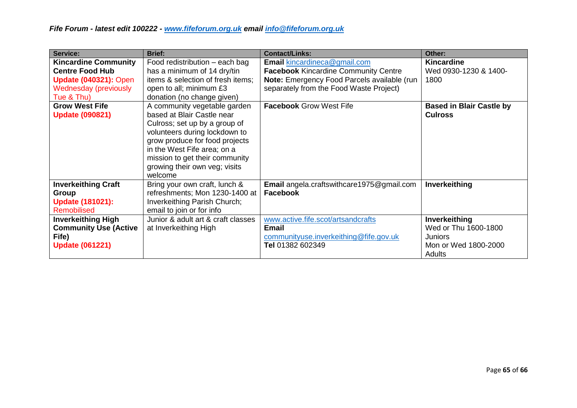| Service:                     | <b>Brief:</b>                      | <b>Contact/Links:</b>                            | Other:                          |
|------------------------------|------------------------------------|--------------------------------------------------|---------------------------------|
| <b>Kincardine Community</b>  | Food redistribution – each bag     | Email kincardineca@gmail.com                     | <b>Kincardine</b>               |
| <b>Centre Food Hub</b>       | has a minimum of 14 dry/tin        | <b>Facebook Kincardine Community Centre</b>      | Wed 0930-1230 & 1400-           |
| <b>Update (040321): Open</b> | items & selection of fresh items;  | Note: Emergency Food Parcels available (run      | 1800                            |
| <b>Wednesday (previously</b> | open to all; minimum £3            | separately from the Food Waste Project)          |                                 |
| Tue & Thu)                   | donation (no change given)         |                                                  |                                 |
| <b>Grow West Fife</b>        | A community vegetable garden       | <b>Facebook Grow West Fife</b>                   | <b>Based in Blair Castle by</b> |
| <b>Update (090821)</b>       | based at Blair Castle near         |                                                  | <b>Culross</b>                  |
|                              | Culross; set up by a group of      |                                                  |                                 |
|                              | volunteers during lockdown to      |                                                  |                                 |
|                              | grow produce for food projects     |                                                  |                                 |
|                              | in the West Fife area; on a        |                                                  |                                 |
|                              | mission to get their community     |                                                  |                                 |
|                              | growing their own veg; visits      |                                                  |                                 |
|                              | welcome                            |                                                  |                                 |
| <b>Inverkeithing Craft</b>   | Bring your own craft, lunch &      | <b>Email</b> angela.craftswithcare1975@gmail.com | Inverkeithing                   |
| Group                        | refreshments; Mon 1230-1400 at     | <b>Facebook</b>                                  |                                 |
| <b>Update (181021):</b>      | Inverkeithing Parish Church;       |                                                  |                                 |
| <b>Remobilised</b>           | email to join or for info          |                                                  |                                 |
| <b>Inverkeithing High</b>    | Junior & adult art & craft classes | www.active.fife.scot/artsandcrafts               | Inverkeithing                   |
| <b>Community Use (Active</b> | at Inverkeithing High              | <b>Email</b>                                     | Wed or Thu 1600-1800            |
| Fife)                        |                                    | communityuse.inverkeithing@fife.gov.uk           | <b>Juniors</b>                  |
| <b>Update (061221)</b>       |                                    | Tel 01382 602349                                 | Mon or Wed 1800-2000            |
|                              |                                    |                                                  | Adults                          |